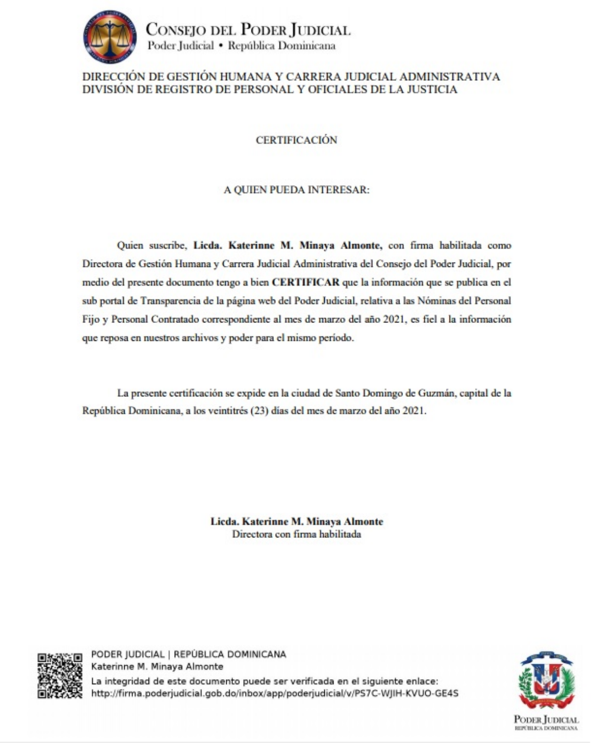

#### DIRECCIÓN DE GESTIÓN HUMANA Y CARRERA JUDICIAL ADMINISTRATIVA DIVISIÓN DE REGISTRO DE PERSONAL Y OFICIALES DE LA JUSTICIA

### CERTIFICACIÓN

#### A QUIEN PUEDA INTERESAR:

Quien suscribe, Lieda, Katerinne M. Minava Almonte, con firma habilitada como Directora de Gestión Humana y Carrera Judicial Administrativa del Consejo del Poder Judicial, por medio del presente documento tengo a bien CERTIFICAR que la información que se publica en el sub portal de Transparencia de la página web del Poder Judicial, relativa a las Nóminas del Personal Fijo y Personal Contratado correspondiente al mes de marzo del año 2021, es fiel a la información que reposa en nuestros archivos y poder para el mismo período.

La presente certificación se expide en la ciudad de Santo Domingo de Guzmán, capital de la República Dominicana, a los veintitrés (23) días del mes de marzo del año 2021.

> Lieda, Katerinne M. Minava Almonte Directora con firma habilitada



PODER JUDICIAL | REPÚBLICA DOMINICANA Katerinne M. Minava Almonte La integridad de este documento puede ser verificada en el siguiente enlace: http://firma.poderjudicial.gob.do/inbox/app/poderjudicial/v/PS7C-WIIH-KVUO-GE4S

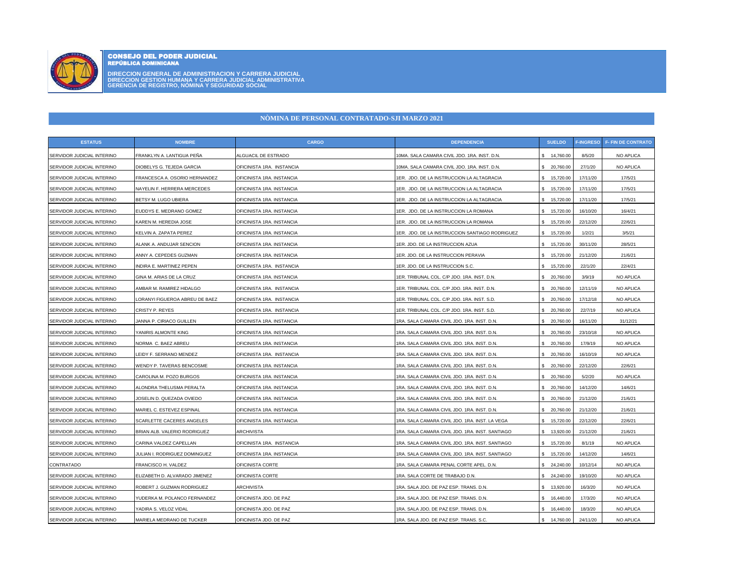

# CONSEJO DEL PODER JUDICIAL REPÚBLICA DOMINICANA

**DIRECCION GENERAL DE ADMINISTRACION Y CARRERA JUDICIAL DIRECCION GESTION HUMANA Y CARRERA JUDICIAL ADMINISTRATIVA GERENCIA DE REGISTRO, NÓMINA Y SEGURIDAD SOCIAL**

## **NÒMINA DE PERSONAL CONTRATADO-SJI MARZO 2021**

| <b>ESTATUS</b>             | <b>NOMBRE</b>                 | <b>CARGO</b>              | <b>DEPENDENCIA</b>                              | <b>SUELDO</b>    | <b>F-INGRESO</b> | <b>F- FIN DE CONTRATO</b> |
|----------------------------|-------------------------------|---------------------------|-------------------------------------------------|------------------|------------------|---------------------------|
| SERVIDOR JUDICIAL INTERINO | FRANKLYN A. LANTIGUA PEÑA     | ALGUACIL DE ESTRADO       | 10MA. SALA CAMARA CIVIL JDO. 1RA. INST. D.N.    | \$ 14,760.00     | 8/5/20           | NO APLICA                 |
| SERVIDOR JUDICIAL INTERINO | DIOBELYS G. TEJEDA GARCIA     | OFICINISTA 1RA. INSTANCIA | 10MA. SALA CAMARA CIVIL JDO. 1RA. INST. D.N.    | \$ 20,760.00     | 27/1/20          | NO APLICA                 |
| SERVIDOR JUDICIAL INTERINO | FRANCESCA A. OSORIO HERNANDEZ | OFICINISTA 1RA. INSTANCIA | 1ER. JDO. DE LA INSTRUCCION LA ALTAGRACIA       | \$ 15,720.00     | 17/11/20         | 17/5/21                   |
| SERVIDOR JUDICIAL INTERINO | NAYELIN F. HERRERA MERCEDES   | OFICINISTA 1RA. INSTANCIA | 1ER. JDO. DE LA INSTRUCCION LA ALTAGRACIA       | 15,720.00<br>\$. | 17/11/20         | 17/5/21                   |
| SERVIDOR JUDICIAL INTERINO | BETSY M. LUGO UBIERA          | OFICINISTA 1RA. INSTANCIA | 1ER. JDO. DE LA INSTRUCCION LA ALTAGRACIA       | 15,720.00        | 17/11/20         | 17/5/21                   |
| SERVIDOR JUDICIAL INTERINO | EUDDYS E. MEDRANO GOMEZ       | OFICINISTA 1RA. INSTANCIA | 1ER. JDO. DE LA INSTRUCCION LA ROMANA           | \$ 15,720.00     | 16/10/20         | 16/4/21                   |
| SERVIDOR JUDICIAL INTERINO | KAREN M. HEREDIA JOSE         | OFICINISTA 1RA. INSTANCIA | 1ER. JDO. DE LA INSTRUCCION LA ROMANA           | \$ 15,720.00     | 22/12/20         | 22/6/21                   |
| SERVIDOR JUDICIAL INTERINO | KELVIN A. ZAPATA PEREZ        | OFICINISTA 1RA. INSTANCIA | IER. JDO. DE LA INSTRUCCION SANTIAGO RODRIGUEZ  | \$ 15,720.00     | 1/2/21           | 3/5/21                    |
| SERVIDOR JUDICIAL INTERINO | ALANK A. ANDUJAR SENCION      | OFICINISTA 1RA. INSTANCIA | 1ER. JDO. DE LA INSTRUCCION AZUA                | \$ 15,720.00     | 30/11/20         | 28/5/21                   |
| SERVIDOR JUDICIAL INTERINO | ANNY A. CEPEDES GUZMAN        | OFICINISTA 1RA. INSTANCIA | IER. JDO. DE LA INSTRUCCION PERAVIA             | \$ 15,720.00     | 21/12/20         | 21/6/21                   |
| SERVIDOR JUDICIAL INTERINO | INDIRA E. MARTINEZ PEPEN      | OFICINISTA 1RA. INSTANCIA | 1ER. JDO. DE LA INSTRUCCION S.C.                | \$ 15,720.00     | 22/1/20          | 22/4/21                   |
| SERVIDOR JUDICIAL INTERINO | GINA M. ARIAS DE LA CRUZ      | OFICINISTA 1RA. INSTANCIA | 1ER. TRIBUNAL COL. C/P JDO. 1RA. INST. D.N.     | \$20,760.00      | 3/9/19           | NO APLICA                 |
| SERVIDOR JUDICIAL INTERINO | AMBAR M. RAMIREZ HIDALGO      | OFICINISTA 1RA. INSTANCIA | 1ER. TRIBUNAL COL. C/P JDO. 1RA. INST. D.N      | 20,760.00        | 12/11/19         | NO APLICA                 |
| SERVIDOR JUDICIAL INTERINO | ORANYI FIGUEROA ABREU DE BAEZ | OFICINISTA 1RA. INSTANCIA | 1ER. TRIBUNAL COL. C/P JDO. 1RA. INST. S.D.     | 20,760.00        | 17/12/18         | <b>NO APLICA</b>          |
| SERVIDOR JUDICIAL INTERINO | CRISTY P. REYES               | OFICINISTA 1RA. INSTANCIA | 1ER. TRIBUNAL COL. C/P JDO. 1RA. INST. S.D.     | \$ 20,760.00     | 22/7/19          | NO APLICA                 |
| SERVIDOR JUDICIAL INTERINO | JANNA P. CIRIACO GUILLEN      | OFICINISTA 1RA. INSTANCIA | 1RA. SALA CAMARA CIVIL JDO. 1RA. INST. D.N.     | \$20,760.00      | 16/11/20         | 31/12/21                  |
| SERVIDOR JUDICIAL INTERINO | YANIRIS ALMONTE KING          | OFICINISTA 1RA. INSTANCIA | 1RA. SALA CAMARA CIVIL JDO. 1RA. INST. D.N.     | \$ 20,760.00     | 23/10/18         | NO APLICA                 |
| SERVIDOR JUDICIAL INTERINO | NORMA C. BAEZ ABREU           | OFICINISTA 1RA. INSTANCIA | 1RA. SALA CAMARA CIVIL JDO. 1RA. INST. D.N.     | 20,760.00        | 17/9/19          | NO APLICA                 |
| SERVIDOR JUDICIAL INTERINO | LEIDY F. SERRANO MENDEZ       | OFICINISTA 1RA. INSTANCIA | IRA. SALA CAMARA CIVIL JDO. 1RA. INST. D.N.     | \$ 20,760.00     | 16/10/19         | NO APLICA                 |
| SERVIDOR JUDICIAL INTERINO | WENDY P. TAVERAS BENCOSME     | OFICINISTA 1RA. INSTANCIA | 1RA. SALA CAMARA CIVIL JDO. 1RA. INST. D.N.     | \$ 20,760.00     | 22/12/20         | 22/6/21                   |
| SERVIDOR JUDICIAL INTERINO | CAROLINA M. POZO BURGOS       | OFICINISTA 1RA. INSTANCIA | 1RA. SALA CAMARA CIVIL JDO. 1RA. INST. D.N.     | 20,760.00        | 5/2/20           | NO APLICA                 |
| SERVIDOR JUDICIAL INTERINO | ALONDRA THELUSMA PERALTA      | OFICINISTA 1RA. INSTANCIA | 1RA. SALA CAMARA CIVIL JDO. 1RA. INST. D.N.     | \$20,760.00      | 14/12/20         | 14/6/21                   |
| SERVIDOR JUDICIAL INTERINO | JOSELIN D. QUEZADA OVIEDO     | OFICINISTA 1RA. INSTANCIA | 1RA. SALA CAMARA CIVIL JDO. 1RA. INST. D.N.     | \$20,760.00      | 21/12/20         | 21/6/21                   |
| SERVIDOR JUDICIAL INTERINO | MARIEL C. ESTEVEZ ESPINAL     | OFICINISTA 1RA. INSTANCIA | 1RA. SALA CAMARA CIVIL JDO. 1RA. INST. D.N.     | \$20,760.00      | 21/12/20         | 21/6/21                   |
| SERVIDOR JUDICIAL INTERINO | SCARLETTE CACERES ANGELES     | OFICINISTA 1RA. INSTANCIA | 1RA. SALA CAMARA CIVIL JDO. 1RA. INST. LA VEGA  | \$ 15,720.00     | 22/12/20         | 22/6/21                   |
| SERVIDOR JUDICIAL INTERINO | BRIAN ALB. VALERIO RODRIGUEZ  | ARCHIVISTA                | IRA. SALA CAMARA CIVIL JDO. 1RA. INST. SANTIAGO | \$ 13,920.00     | 21/12/20         | 21/6/21                   |
| SERVIDOR JUDICIAL INTERINO | CARINA VALDEZ CAPELLAN        | OFICINISTA 1RA. INSTANCIA | 1RA. SALA CAMARA CIVIL JDO. 1RA. INST. SANTIAGO | \$ 15,720.00     | 8/1/19           | NO APLICA                 |
| SERVIDOR JUDICIAL INTERINO | JULIAN I. RODRIGUEZ DOMINGUEZ | OFICINISTA 1RA. INSTANCIA | IRA. SALA CAMARA CIVIL JDO. 1RA. INST. SANTIAGO | \$ 15,720.00     | 14/12/20         | 14/6/21                   |
| CONTRATADO                 | FRANCISCO H. VALDEZ           | OFICINISTA CORTE          | 1RA. SALA CAMARA PENAL CORTE APEL. D.N.         | 24,240.00        | 10/12/14         | NO APLICA                 |
| SERVIDOR JUDICIAL INTERINO | ELIZABETH D. ALVARADO JIMENEZ | OFICINISTA CORTE          | 1RA. SALA CORTE DE TRABAJO D.N.                 | 24,240.00        | 19/10/20         | NO APLICA                 |
| SERVIDOR JUDICIAL INTERINO | ROBERT J. GUZMAN RODRIGUEZ    | ARCHIVISTA                | 1RA. SALA JDO. DE PAZ ESP. TRANS. D.N.          | \$ 13,920.00     | 16/3/20          | NO APLICA                 |
| SERVIDOR JUDICIAL INTERINO | YUDERKA M. POLANCO FERNANDEZ  | OFICINISTA JDO. DE PAZ    | 1RA. SALA JDO. DE PAZ ESP. TRANS. D.N.          | \$16,440.00      | 17/3/20          | NO APLICA                 |
| SERVIDOR JUDICIAL INTERINO | YADIRA S. VELOZ VIDAL         | OFICINISTA JDO. DE PAZ    | 1RA. SALA JDO. DE PAZ ESP. TRANS. D.N.          | \$16.440.00      | 18/3/20          | NO APLICA                 |
| SERVIDOR JUDICIAL INTERINO | MARIELA MEDRANO DE TUCKER     | OFICINISTA JDO. DE PAZ    | 1RA. SALA JDO. DE PAZ ESP. TRANS. S.C.          | \$14,760.00      | 24/11/20         | NO APLICA                 |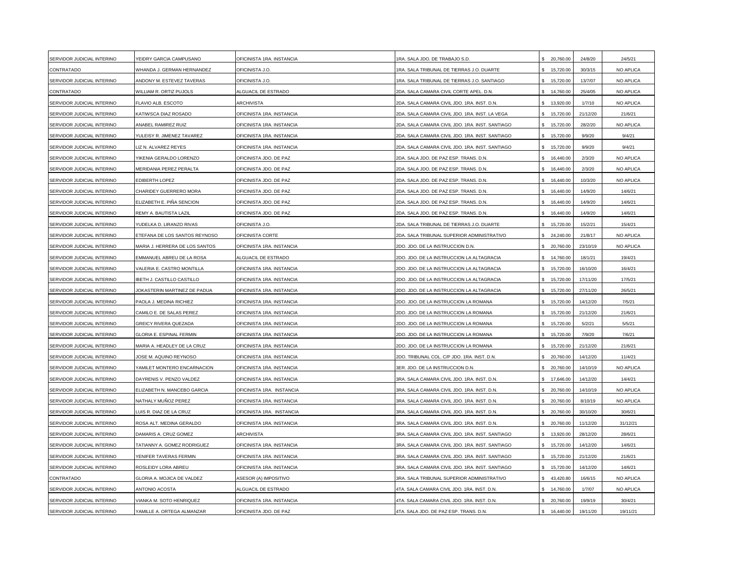| SERVIDOR JUDICIAL INTERINO | YEIDRY GARCIA CAMPUSANO               | OFICINISTA 1RA. INSTANCIA        | 1RA. SALA JDO. DE TRABAJO S.D.                  | 20,760.00    | 24/8/20  | 24/5/21          |
|----------------------------|---------------------------------------|----------------------------------|-------------------------------------------------|--------------|----------|------------------|
| CONTRATADO                 | WHANDA J. GERMAN HERNANDEZ            | OFICINISTA J.O.                  | 1RA. SALA TRIBUNAL DE TIERRAS J.O. DUARTE       | 15,720.00    | 30/3/15  | <b>NO APLICA</b> |
| SERVIDOR JUDICIAL INTERINO | ANDONY M. ESTEVEZ TAVERAS             | OFICINISTA J.O.                  | 1RA. SALA TRIBUNAL DE TIERRAS J.O. SANTIAGO     | 15,720.00    | 13/7/07  | NO APLICA        |
| CONTRATADO                 | <b>NILLIAM R. ORTIZ PUJOLS</b>        | ALGUACIL DE ESTRADO              | 2DA. SALA CAMARA CIVIL CORTE APEL. D.N.         | 14,760.00    | 25/4/05  | <b>NO APLICA</b> |
| SERVIDOR JUDICIAL INTERINO | FLAVIO ALB. ESCOTO                    | <b>ARCHIVISTA</b>                | 2DA. SALA CAMARA CIVIL JDO. 1RA. INST. D.N.     | 13,920.00    | 1/7/10   | NO APLICA        |
| SERVIDOR JUDICIAL INTERINO | KATIWSCA DIAZ ROSADO                  | OFICINISTA 1RA. INSTANCIA        | 2DA. SALA CAMARA CIVIL JDO. 1RA. INST. LA VEGA  | 15,720.00    | 21/12/20 | 21/6/21          |
| SERVIDOR JUDICIAL INTERINO | ANABEL RAMIREZ RUIZ                   | OFICINISTA 1RA. INSTANCIA        | 2DA. SALA CAMARA CIVIL JDO. 1RA. INST. SANTIAGO | 15,720.00    | 28/2/20  | NO APLICA        |
| SERVIDOR JUDICIAL INTERINO | YULEISY R. JIMENEZ TAVAREZ            | OFICINISTA 1RA. INSTANCIA        | 2DA. SALA CAMARA CIVIL JDO. 1RA. INST. SANTIAGO | 15,720.00    | 9/9/20   | 9/4/21           |
| SERVIDOR JUDICIAL INTERINO | IZ N. ALVAREZ REYES                   | OFICINISTA 1RA. INSTANCIA        | 2DA. SALA CAMARA CIVIL JDO. 1RA. INST. SANTIAGO | 15,720.00    | 9/9/20   | 9/4/21           |
| SERVIDOR JUDICIAL INTERINO | YIKENIA GERALDO LORENZO               | OFICINISTA JDO. DE PAZ           | 2DA. SALA JDO. DE PAZ ESP. TRANS. D.N.          | 16,440.00    | 2/3/20   | NO APLICA        |
| SERVIDOR JUDICIAL INTERINO | MERIDANIA PEREZ PERALTA               | OFICINISTA JDO. DE PAZ           | 2DA, SALA JDO, DE PAZ ESP, TRANS, D.N.          | 16,440.00    | 2/3/20   | <b>NO APLICA</b> |
| SERVIDOR JUDICIAL INTERINO | EDIBERTH LOPEZ                        | OFICINISTA JDO. DE PAZ           | 2DA. SALA JDO. DE PAZ ESP. TRANS. D.N.          | 16,440.00    | 10/3/20  | NO APLICA        |
| SERVIDOR JUDICIAL INTERINO | CHARIDEY GUERRERO MORA                | OFICINISTA JDO. DE PAZ           | 2DA. SALA JDO. DE PAZ ESP. TRANS. D.N.          | 16,440.00    | 14/9/20  | 14/6/21          |
| SERVIDOR JUDICIAL INTERINO | ELIZABETH E. PIÑA SENCION             | OFICINISTA JDO. DE PAZ           | 2DA. SALA JDO. DE PAZ ESP. TRANS. D.N.          | 16,440.00    | 14/9/20  | 14/6/21          |
| SERVIDOR JUDICIAL INTERINO | REMY A. BAUTISTA LAZIL                | OFICINISTA JDO. DE PAZ           | 2DA. SALA JDO. DE PAZ ESP. TRANS. D.N.          | 16,440.00    | 14/9/20  | 14/6/21          |
| SERVIDOR JUDICIAL INTERINO | YUDELKA D. LIRANZO RIVAS              | OFICINISTA J.O.                  | 2DA. SALA TRIBUNAL DE TIERRAS J.O. DUARTE       | \$ 15,720.00 | 15/2/21  | 15/4/21          |
| SERVIDOR JUDICIAL INTERINO | TEFANA DE LOS SANTOS REYNOSO          | OFICINISTA CORTE                 | 2DA. SALA TRIBUNAL SUPERIOR ADMINISTRATIVO      | 24,240.00    | 21/8/17  | NO APLICA        |
| SERVIDOR JUDICIAL INTERINO | <b>MARIA J. HERRERA DE LOS SANTOS</b> | OFICINISTA 1RA. INSTANCIA        | 2DO. JDO. DE LA INSTRUCCION D.N.                | 20,760.00    | 23/10/19 | NO APLICA        |
| SERVIDOR JUDICIAL INTERINO | EMMANUEL ABREU DE LA ROSA             | ALGUACIL DE ESTRADO              | 2DO. JDO. DE LA INSTRUCCION LA ALTAGRACIA       | 14,760.00    | 18/1/21  | 19/4/21          |
| SERVIDOR JUDICIAL INTERINO | VALERIA E. CASTRO MONTILLA            | OFICINISTA 1RA. INSTANCIA        | 2DO. JDO. DE LA INSTRUCCION LA ALTAGRACIA       | 15,720.00    | 16/10/20 | 16/4/21          |
| SERVIDOR JUDICIAL INTERINO | IBETH J. CASTILLO CASTILLO            | OFICINISTA 1RA. INSTANCIA        | 2DO. JDO. DE LA INSTRUCCION LA ALTAGRACIA       | 15,720.00    | 17/11/20 | 17/5/21          |
| SERVIDOR JUDICIAL INTERINO | JOKASTERIN MARTINEZ DE PADUA          | OFICINISTA 1RA. INSTANCIA        | 2DO. JDO. DE LA INSTRUCCION LA ALTAGRACIA       | 15,720.00    | 27/11/20 | 26/5/21          |
| SERVIDOR JUDICIAL INTERINO | PAOLA J. MEDINA RICHIEZ               | OFICINISTA 1RA. INSTANCIA        | 2DO. JDO. DE LA INSTRUCCION LA ROMANA           | 15,720.00    | 14/12/20 | 7/5/21           |
| SERVIDOR JUDICIAL INTERINO | CAMILO E. DE SALAS PEREZ              | OFICINISTA 1RA. INSTANCIA        | 2DO. JDO. DE LA INSTRUCCION LA ROMANA           | 15,720.00    | 21/12/20 | 21/6/21          |
| SERVIDOR JUDICIAL INTERINO | <b>GREICY RIVERA QUEZADA</b>          | OFICINISTA 1RA. INSTANCIA        | 2DO. JDO. DE LA INSTRUCCION LA ROMANA           | 15,720.00    | 5/2/21   | 5/5/21           |
| SERVIDOR JUDICIAL INTERINO | <b>GLORIA E. ESPINAL FERMIN</b>       | OFICINISTA 1RA. INSTANCIA        | 2DO. JDO. DE LA INSTRUCCION LA ROMANA           | 15,720.00    | 7/9/20   | 7/6/21           |
| SERVIDOR JUDICIAL INTERINO | MARIA A. HEADLEY DE LA CRUZ           | OFICINISTA 1RA. INSTANCIA        | 2DO. JDO. DE LA INSTRUCCION LA ROMANA           | 15,720.00    | 21/12/20 | 21/6/21          |
| SERVIDOR JUDICIAL INTERINO | JOSE M. AQUINO REYNOSO                | OFICINISTA 1RA. INSTANCIA        | 2DO. TRIBUNAL COL. C/P JDO. 1RA. INST. D.N.     | 20,760.00    | 14/12/20 | 11/4/21          |
| SERVIDOR JUDICIAL INTERINO | YAMILET MONTERO ENCARNACION           | OFICINISTA 1RA. INSTANCIA        | 3ER. JDO. DE LA INSTRUCCION D.N.                | 20,760.00    | 14/10/19 | NO APLICA        |
| SERVIDOR JUDICIAL INTERINO | DAYRENIS V. PENZO VALDEZ              | <b>DFICINISTA 1RA. INSTANCIA</b> | 3RA. SALA CAMARA CIVIL JDO. 1RA. INST. D.N.     | 17,646.00    | 14/12/20 | 14/4/21          |
| SERVIDOR JUDICIAL INTERINO | ELIZABETH N. MANCEBO GARCIA           | OFICINISTA 1RA. INSTANCIA        | 3RA. SALA CAMARA CIVIL JDO. 1RA. INST. D.N.     | 20,760.00    | 14/10/19 | NO APLICA        |
| SERVIDOR JUDICIAL INTERINO | NATHALY MUÑOZ PEREZ                   | OFICINISTA 1RA. INSTANCIA        | 3RA. SALA CAMARA CIVIL JDO. 1RA. INST. D.N.     | 20,760.00    | 8/10/19  | <b>NO APLICA</b> |
| SERVIDOR JUDICIAL INTERINO | UIS R. DIAZ DE LA CRUZ                | OFICINISTA 1RA. INSTANCIA        | 3RA. SALA CAMARA CIVIL JDO. 1RA. INST. D.N.     | 20,760.00    | 30/10/20 | 30/6/21          |
| SERVIDOR JUDICIAL INTERINO | ROSA ALT. MEDINA GERALDO              | OFICINISTA 1RA. INSTANCIA        | 3RA. SALA CAMARA CIVIL JDO. 1RA. INST. D.N.     | 20,760.00    | 11/12/20 | 31/12/21         |
| SERVIDOR JUDICIAL INTERINO | DAMARIS A. CRUZ GOMEZ                 | ARCHIVISTA                       | 3RA. SALA CAMARA CIVIL JDO. 1RA. INST. SANTIAGO | 13,920.00    | 28/12/20 | 28/6/21          |
| SERVIDOR JUDICIAL INTERINO | TATIANNY A. GOMEZ RODRIGUEZ           | OFICINISTA 1RA. INSTANCIA        | 3RA. SALA CAMARA CIVIL JDO. 1RA. INST. SANTIAGO | 15,720.00    | 14/12/20 | 14/6/21          |
| SERVIDOR JUDICIAL INTERINO | YENIFER TAVERAS FERMIN                | OFICINISTA 1RA. INSTANCIA        | 3RA. SALA CAMARA CIVIL JDO. 1RA. INST. SANTIAGO | 15,720.00    | 21/12/20 | 21/6/21          |
| SERVIDOR JUDICIAL INTERINO | ROSLEIDY LORA ABREU                   | OFICINISTA 1RA. INSTANCIA        | 3RA. SALA CAMARA CIVIL JDO. 1RA. INST. SANTIAGO | 15,720.00    | 14/12/20 | 14/6/21          |
| CONTRATADO                 | <b>GLORIA A. MOJICA DE VALDEZ</b>     | ASESOR (A) IMPOSITIVO            | 3RA. SALA TRIBUNAL SUPERIOR ADMINISTRATIVO      | 43,420.80    | 16/6/15  | NO APLICA        |
| SERVIDOR JUDICIAL INTERINO | <b>ANTONIO ACOSTA</b>                 | ALGUACIL DE ESTRADO              | 4TA. SALA CAMARA CIVIL JDO. 1RA. INST. D.N.     | 14,760.00    | 1/7/07   | NO APLICA        |
| SERVIDOR JUDICIAL INTERINO | <b>VIANKA M. SOTO HENRIQUEZ</b>       | OFICINISTA 1RA. INSTANCIA        | 4TA. SALA CAMARA CIVIL JDO. 1RA. INST. D.N.     | 20,760.00    | 19/9/19  | 30/4/21          |
| SERVIDOR JUDICIAL INTERINO | YAMILLE A. ORTEGA ALMANZAR            | OFICINISTA JDO. DE PAZ           | 4TA. SALA JDO. DE PAZ ESP. TRANS. D.N.          | 16,440.00    | 19/11/20 | 19/11/21         |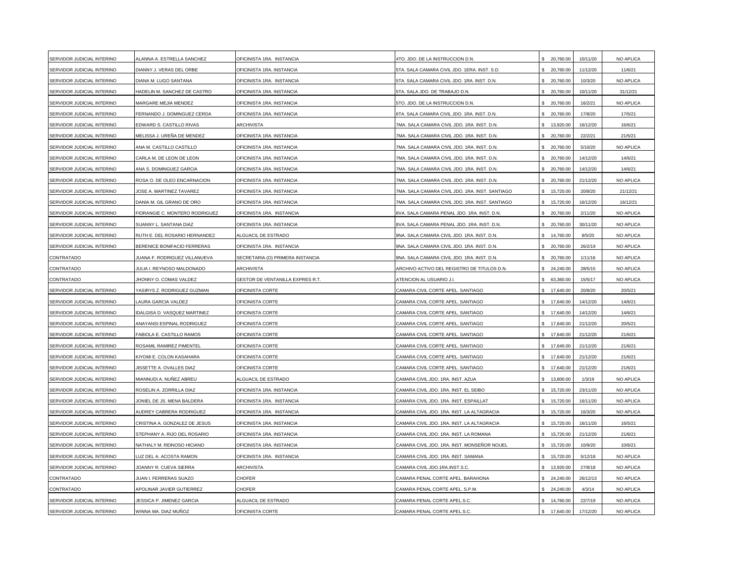| SERVIDOR JUDICIAL INTERINO | ALANNA A. ESTRELLA SANCHEZ     | OFICINISTA 1RA. INSTANCIA        | 4TO. JDO. DE LA INSTRUCCION D.N.                | 20,760.00        | 10/11/20 | NO APLICA |
|----------------------------|--------------------------------|----------------------------------|-------------------------------------------------|------------------|----------|-----------|
| SERVIDOR JUDICIAL INTERINO | DIANNY J. VERAS DEL ORBE       | <b>DFICINISTA 1RA. INSTANCIA</b> | 5TA. SALA CAMARA CIVIL JDO. 1ERA. INST. S.D.    | \$ 20,760.00     | 11/12/20 | 11/6/21   |
| SERVIDOR JUDICIAL INTERINO | DIANA M. LUGO SANTANA          | OFICINISTA 1RA. INSTANCIA        | 5TA. SALA CAMARA CIVIL JDO. 1RA. INST. D.N.     | \$ 20,760.00     | 10/3/20  | NO APLICA |
| SERVIDOR JUDICIAL INTERINO | HADELIN M. SANCHEZ DE CASTRO   | OFICINISTA 1RA. INSTANCIA        | 5TA. SALA JDO. DE TRABAJO D.N.                  | \$ 20,760.00     | 10/11/20 | 31/12/21  |
| SERVIDOR JUDICIAL INTERINO | MARGARE MEJIA MENDEZ           | OFICINISTA 1RA. INSTANCIA        | 5TO. JDO. DE LA INSTRUCCION D.N.                | \$ 20,760.00     | 16/2/21  | NO APLICA |
| SERVIDOR JUDICIAL INTERINO | FERNANDO J. DOMINGUEZ CERDA    | OFICINISTA 1RA. INSTANCIA        | 6TA. SALA CAMARA CIVIL JDO. 1RA. INST. D.N.     | \$ 20,760.00     | 17/8/20  | 17/5/21   |
| SERVIDOR JUDICIAL INTERINO | EDWARD S. CASTILLO RIVAS       | <b>ARCHIVISTA</b>                | 7MA. SALA CAMARA CIVIL JDO. 1RA. INST. D.N.     | 13,920.00<br>\$  | 16/12/20 | 16/6/21   |
| SERVIDOR JUDICIAL INTERINO | MELISSA J. UREÑA DE MENDEZ     | OFICINISTA 1RA. INSTANCIA        | 7MA. SALA CAMARA CIVIL JDO. 1RA. INST. D.N.     | 20,760.00<br>\$. | 22/2/21  | 21/5/21   |
| SERVIDOR JUDICIAL INTERINO | ANA M. CASTILLO CASTILLO       | OFICINISTA 1RA. INSTANCIA        | 7MA. SALA CAMARA CIVIL JDO. 1RA. INST. D.N.     | 20,760.00        | 5/10/20  | NO APLICA |
| SERVIDOR JUDICIAL INTERINO | CARLA M. DE LEON DE LEON       | OFICINISTA 1RA. INSTANCIA        | 7MA. SALA CAMARA CIVIL JDO. 1RA. INST. D.N.     | 20,760.00        | 14/12/20 | 14/6/21   |
| SERVIDOR JUDICIAL INTERINO | ANA S. DOMINGUEZ GARCIA        | OFICINISTA 1RA. INSTANCIA        | 7MA. SALA CAMARA CIVIL JDO. 1RA. INST. D.N.     | \$ 20,760.00     | 14/12/20 | 14/6/21   |
| SERVIDOR JUDICIAL INTERINO | ROSA O. DE OLEO ENCARNACION    | <b>DFICINISTA 1RA. INSTANCIA</b> | 7MA. SALA CAMARA CIVIL JDO. 1RA. INST. D.N.     | 20,760.00        | 21/12/20 | NO APLICA |
| SERVIDOR JUDICIAL INTERINO | JOSE A. MARTINEZ TAVAREZ       | OFICINISTA 1RA. INSTANCIA        | 7MA. SALA CAMARA CIVIL JDO. 1RA. INST. SANTIAGO | \$ 15,720.00     | 20/8/20  | 21/12/21  |
| SERVIDOR JUDICIAL INTERINO | DANIA M. GIL GRANO DE ORO      | OFICINISTA 1RA. INSTANCIA        | 7MA. SALA CAMARA CIVIL JDO. 1RA. INST. SANTIAGO | \$ 15,720.00     | 16/12/20 | 16/12/21  |
| SERVIDOR JUDICIAL INTERINO | FIORANGIE C. MONTERO RODRIGUEZ | OFICINISTA 1RA. INSTANCIA        | 8VA. SALA CAMARA PENAL JDO. 1RA. INST. D.N.     | \$ 20,760.00     | 2/11/20  | NO APLICA |
| SERVIDOR JUDICIAL INTERINO | SUANNY L. SANTANA DIAZ         | OFICINISTA 1RA. INSTANCIA        | 8VA. SALA CAMARA PENAL JDO. 1RA. INST. D.N.     | \$ 20,760.00     | 30/11/20 | NO APLICA |
| SERVIDOR JUDICIAL INTERINO | RUTH E. DEL ROSARIO HERNANDEZ  | <b>LGUACIL DE ESTRADO</b>        | 9NA. SALA CAMARA CIVIL JDO. 1RA. INST. D.N.     | 14,760.00        | 8/5/20   | NO APLICA |
| SERVIDOR JUDICIAL INTERINO | BERENICE BONIFACIO FERRERAS    | OFICINISTA 1RA. INSTANCIA        | 9NA. SALA CAMARA CIVIL JDO. 1RA. INST. D.N.     | 20,760.00<br>\$. | 26/2/19  | NO APLICA |
| CONTRATADO                 | JUANA F. RODRIGUEZ VILLANUEVA  | SECRETARIA (O) PRIMERA INSTANCIA | 9NA. SALA CAMARA CIVIL JDO. 1RA. INST. D.N      | \$<br>20,760.00  | 1/11/16  | NO APLICA |
| CONTRATADO                 | JULIA I. REYNOSO MALDONADO     | ARCHIVISTA                       | ARCHIVO ACTIVO DEL REGISTRO DE TITULOS D.N.     | 24,240.00        | 28/5/15  | NO APLICA |
| CONTRATADO                 | JHONNY O. COMAS VALDEZ         | GESTOR DE VENTANILLA EXPRES R.T. | ATENCION AL USUARIO J.I.                        | 63,360.00        | 15/5/17  | NO APLICA |
| SERVIDOR JUDICIAL INTERINO | YASIRYS Z. RODRIGUEZ GUZMAN    | OFICINISTA CORTE                 | CAMARA CIVIL CORTE APEL. SANTIAGO               | \$ 17,640.00     | 20/8/20  | 20/5/21   |
| SERVIDOR JUDICIAL INTERINO | AURA GARCIA VALDEZ             | OFICINISTA CORTE                 | CAMARA CIVIL CORTE APEL. SANTIAGO               | \$ 17,640.00     | 14/12/20 | 14/6/21   |
| SERVIDOR JUDICIAL INTERINO | IDALGISA D. VASQUEZ MARTINEZ   | OFICINISTA CORTE                 | CAMARA CIVIL CORTE APEL. SANTIAGO               | \$ 17,640.00     | 14/12/20 | 14/6/21   |
| SERVIDOR JUDICIAL INTERINO | ANAYANSI ESPINAL RODRIGUEZ     | OFICINISTA CORTE                 | CAMARA CIVIL CORTE APEL. SANTIAGO               | \$ 17,640.00     | 21/12/20 | 20/5/21   |
| SERVIDOR JUDICIAL INTERINO | FABIOLA E. CASTILLO RAMOS      | OFICINISTA CORTE                 | CAMARA CIVIL CORTE APEL. SANTIAGO               | 17,640.00        | 21/12/20 | 21/6/21   |
| SERVIDOR JUDICIAL INTERINO | ROSAMIL RAMIREZ PIMENTEL       | OFICINISTA CORTE                 | CAMARA CIVIL CORTE APEL. SANTIAGO               | \$ 17,640.00     | 21/12/20 | 21/6/21   |
| SERVIDOR JUDICIAL INTERINO | KIYOMI E. COLON KASAHARA       | OFICINISTA CORTE                 | CAMARA CIVIL CORTE APEL. SANTIAGO               | 17,640.00        | 21/12/20 | 21/6/21   |
| SERVIDOR JUDICIAL INTERINO | JISSETTE A. OVALLES DIAZ       | OFICINISTA CORTE                 | CAMARA CIVIL CORTE APEL. SANTIAGO               | 17,640.00        | 21/12/20 | 21/6/21   |
| SERVIDOR JUDICIAL INTERINO | MIANNUDI A. NUÑEZ ABREU        | <b>ALGUACIL DE ESTRADO</b>       | CAMARA CIVIL JDO. 1RA. INST. AZUA               | 13,800.00        | 1/3/19   | NO APLICA |
| SERVIDOR JUDICIAL INTERINO | ROSELIN A. ZORRILLA DIAZ       | OFICINISTA 1RA. INSTANCIA        | CAMARA CIVIL JDO. 1RA. INST. EL SEIBO           | \$ 15,720.00     | 23/11/20 | NO APLICA |
| SERVIDOR JUDICIAL INTERINO | JONIEL DE JS. MENA BALDERA     | OFICINISTA 1RA. INSTANCIA        | CAMARA CIVIL JDO. 1RA. INST. ESPAILLAT          | 15,720.00        | 16/11/20 | NO APLICA |
| SERVIDOR JUDICIAL INTERINO | AUDREY CABRERA RODRIGUEZ       | OFICINISTA 1RA. INSTANCIA        | CAMARA CIVIL JDO. 1RA. INST. LA ALTAGRACIA      | \$ 15,720.00     | 16/3/20  | NO APLICA |
| SERVIDOR JUDICIAL INTERINO | CRISTINA A. GONZALEZ DE JESUS  | OFICINISTA 1RA. INSTANCIA        | CAMARA CIVIL JDO, 1RA, INST, LA ALTAGRACIA      | \$15,720.00      | 16/11/20 | 16/5/21   |
| SERVIDOR JUDICIAL INTERINO | STEPHANY A. RIJO DEL ROSARIO   | OFICINISTA 1RA. INSTANCIA        | CAMARA CIVIL JDO. 1RA. INST. LA ROMANA          | 15,720.00<br>\$. | 21/12/20 | 21/6/21   |
| SERVIDOR JUDICIAL INTERINO | NATHALY M. REINOSO HICIANO     | OFICINISTA 1RA. INSTANCIA        | CAMARA CIVIL JDO. 1RA. INST. MONSEÑOR NOUEL     | 15,720.00<br>\$. | 10/9/20  | 10/6/21   |
| SERVIDOR JUDICIAL INTERINO | UZ DEL A. ACOSTA RAMON         | OFICINISTA 1RA. INSTANCIA        | CAMARA CIVIL JDO. 1RA. INST. SAMANA             | 15,720.00        | 5/12/18  | NO APLICA |
| SERVIDOR JUDICIAL INTERINO | JOANNY R. CUEVA SIERRA         | ARCHIVISTA                       | CAMARA CIVIL JDO.1RA.INST.S.C.                  | 13,920.00<br>\$  | 27/8/18  | NO APLICA |
| CONTRATADO                 | JUAN I. FERRERAS SUAZO         | CHOFER                           | CAMARA PENAL CORTE APEL. BARAHONA               | 24,240.00        | 26/12/13 | NO APLICA |
| CONTRATADO                 | APOLINAR JAVIER GUTIERREZ      | <b>HOFER</b>                     | CAMARA PENAL CORTE APEL. S.P.M.                 | 24,240.00        | 4/3/14   | NO APLICA |
| SERVIDOR JUDICIAL INTERINO | JESSICA P. JIMENEZ GARCIA      | <b>ILGUACIL DE ESTRADO</b>       | CAMARA PENAL CORTE APEL.S.C.                    | \$ 14,760.00     | 22/7/19  | NO APLICA |
| SERVIDOR JUDICIAL INTERINO | WINNA MA. DIAZ MUÑOZ           | OFICINISTA CORTE                 | CAMARA PENAL CORTE APEL.S.C.                    | \$17,640.00      | 17/12/20 | NO APLICA |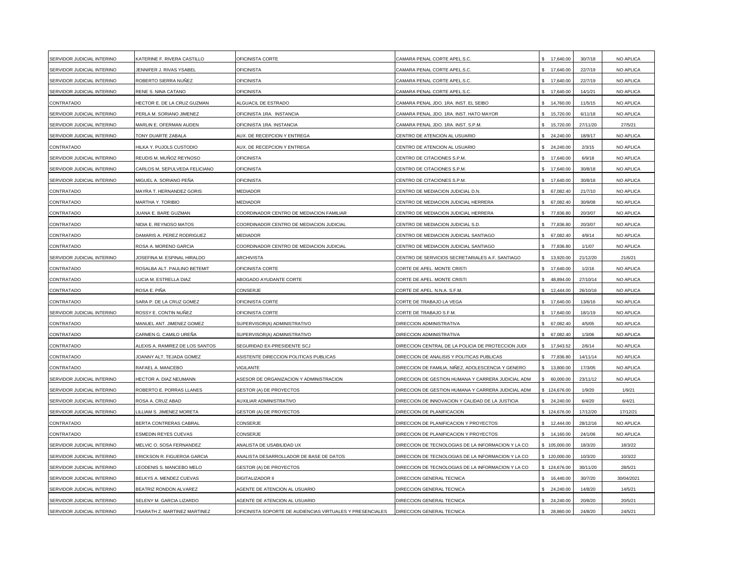| SERVIDOR JUDICIAL INTERINO | KATERINE F. RIVERA CASTILLO     | OFICINISTA CORTE                                          | CAMARA PENAL CORTE APEL.S.C.                       | 17,640.00        | 30/7/18  | NO APLICA  |
|----------------------------|---------------------------------|-----------------------------------------------------------|----------------------------------------------------|------------------|----------|------------|
| SERVIDOR JUDICIAL INTERINO | JENNIFER J. RIVAS YSABEL        | <b>OFICINISTA</b>                                         | CAMARA PENAL CORTE APEL.S.C.                       | \$ 17,640.00     | 22/7/19  | NO APLICA  |
| SERVIDOR JUDICIAL INTERINO | ROBERTO SIERRA NUÑEZ            | <b>OFICINISTA</b>                                         | CAMARA PENAL CORTE APEL.S.C.                       | 17,640.00        | 22/7/19  | NO APLICA  |
| SERVIDOR JUDICIAL INTERINO | RENE S. NINA CATANO             | <b>OFICINISTA</b>                                         | CAMARA PENAL CORTE APEL.S.C.                       | \$ 17,640.00     | 14/1/21  | NO APLICA  |
|                            |                                 |                                                           |                                                    |                  |          |            |
| CONTRATADO                 | HECTOR E. DE LA CRUZ GUZMAN     | <b>ILGUACIL DE ESTRADO</b>                                | CAMARA PENAL JDO. 1RA. INST. EL SEIBO              | \$ 14,760.00     | 11/5/15  | NO APLICA  |
| SERVIDOR JUDICIAL INTERINO | PERLA M. SORIANO JIMENEZ        | OFICINISTA 1RA. INSTANCIA                                 | CAMARA PENAL JDO. 1RA. INST. HATO MAYOR            | \$ 15,720.00     | 6/11/18  | NO APLICA  |
| SERVIDOR JUDICIAL INTERINO | MARLIN E. OFERMAN AUDEN         | OFICINISTA 1RA. INSTANCIA                                 | CAMARA PENAL JDO. 1RA. INST. S.P.M.                | \$ 15,720.00     | 27/11/20 | 27/5/21    |
| SERVIDOR JUDICIAL INTERINO | TONY DUARTE ZABALA              | AUX. DE RECEPCION Y ENTREGA                               | CENTRO DE ATENCION AL USUARIO                      | \$24.240.00      | 18/9/17  | NO APLICA  |
| CONTRATADO                 | HILKA Y. PUJOLS CUSTODIO        | AUX. DE RECEPCION Y ENTREGA                               | CENTRO DE ATENCION AL USUARIO                      | 24,240.00        | 2/3/15   | NO APLICA  |
| SERVIDOR JUDICIAL INTERINO | REUDIS M. MUÑOZ REYNOSO         | <b>OFICINISTA</b>                                         | CENTRO DE CITACIONES S.P.M.                        | 17,640.00        | 6/9/18   | NO APLICA  |
| SERVIDOR JUDICIAL INTERINO | CARLOS M. SEPULVEDA FELICIANO   | <b>OFICINISTA</b>                                         | CENTRO DE CITACIONES S.P.M.                        | 17,640.00<br>\$. | 30/8/18  | NO APLICA  |
| SERVIDOR JUDICIAL INTERINO | MIGUEL A. SORIANO PEÑA          | <b>OFICINISTA</b>                                         | CENTRO DE CITACIONES S.P.M.                        | 17,640.00        | 30/8/18  | NO APLICA  |
| CONTRATADO                 | MAYRA T. HERNANDEZ GORIS        | MEDIADOR                                                  | CENTRO DE MEDIACION JUDICIAL D.N.                  | \$ 67,082.40     | 21/7/10  | NO APLICA  |
| CONTRATADO                 | MARTHA Y. TORIBIO               | <b>MEDIADOR</b>                                           | CENTRO DE MEDIACION JUDICIAL HERRERA               | \$ 67,082.40     | 30/9/08  | NO APLICA  |
| CONTRATADO                 | JUANA E. BARE GUZMAN            | COORDINADOR CENTRO DE MEDIACION FAMILIAR                  | CENTRO DE MEDIACION JUDICIAL HERRERA               | \$77,836.80      | 20/3/07  | NO APLICA  |
| CONTRATADO                 | <b>VIDIA E. REYNOSO MATOS</b>   | COORDINADOR CENTRO DE MEDIACION JUDICIAL                  | CENTRO DE MEDIACION JUDICIAL S.D.                  | \$77,836.80      | 20/3/07  | NO APLICA  |
| CONTRATADO                 | DAMARIS A. PEREZ RODRIGUEZ      | MEDIADOR                                                  | CENTRO DE MEDIACION JUDICIAL SANTIAGO              | 67,082.40        | 4/9/14   | NO APLICA  |
| CONTRATADO                 | ROSA A. MORENO GARCIA           | COORDINADOR CENTRO DE MEDIACION JUDICIAL                  | CENTRO DE MEDIACION JUDICIAL SANTIAGO              | 77,836.80        | 1/1/07   | NO APLICA  |
| SERVIDOR JUDICIAL INTERINO | JOSEFINA M. ESPINAL HIRALDO     | ARCHIVISTA                                                | CENTRO DE SERVICIOS SECRETARIALES A.F. SANTIAGO    | 13,920.00<br>\$. | 21/12/20 | 21/6/21    |
| CONTRATADO                 | ROSALBA ALT. PAULINO BETEMIT    | <b>OFICINISTA CORTE</b>                                   | CORTE DE APEL. MONTE CRISTI                        | 17,640.00        | 1/2/16   | NO APLICA  |
| CONTRATADO                 | <b>UCIA M. ESTRELLA DIAZ</b>    | ABOGADO AYUDANTE CORTE                                    | CORTE DE APEL. MONTE CRISTI                        | 48,894.00        | 27/10/14 | NO APLICA  |
| CONTRATADO                 | ROSA E. PIÑA                    | CONSERJE                                                  | CORTE DE APEL. N.N.A. S.F.M.                       | 12,444.00        | 26/10/16 | NO APLICA  |
| CONTRATADO                 | SARA P. DE LA CRUZ GOMEZ        | OFICINISTA CORTE                                          | CORTE DE TRABAJO LA VEGA                           | \$ 17,640.00     | 13/6/16  | NO APLICA  |
| SERVIDOR JUDICIAL INTERINO | ROSSY E. CONTIN NUÑEZ           | OFICINISTA CORTE                                          | CORTE DE TRABAJO S.F.M.                            | \$ 17,640.00     | 18/1/19  | NO APLICA  |
| CONTRATADO                 | MANUEL ANT. JIMENEZ GOMEZ       | SUPERVISOR(A) ADMINISTRATIVO                              | DIRECCION ADMINISTRATIVA                           | 67,082.40<br>\$. | 4/5/05   | NO APLICA  |
| CONTRATADO                 | CARMEN G. CAMILO UREÑA          | SUPERVISOR(A) ADMINISTRATIVO                              | DIRECCION ADMINISTRATIVA                           | 67,082.40        | 1/3/06   | NO APLICA  |
| CONTRATADO                 | ALEXIS A. RAMIREZ DE LOS SANTOS | SEGURIDAD EX-PRESIDENTE SCJ                               | DIRECCION CENTRAL DE LA POLICIA DE PROTECCION JUDI | 17,943.52        | 2/6/14   | NO APLICA  |
| CONTRATADO                 | JOANNY ALT. TEJADA GOMEZ        | ASISTENTE DIRECCION POLITICAS PUBLICAS                    | DIRECCION DE ANALISIS Y POLITICAS PUBLICAS         | 77,836.80        | 14/11/14 | NO APLICA  |
| CONTRATADO                 | RAFAEL A. MANCEBO               | VIGILANTE                                                 | DIRECCION DE FAMILIA, NIÑEZ, ADOLESCENCIA Y GENERO | \$ 13,800.00     | 17/3/05  | NO APLICA  |
| SERVIDOR JUDICIAL INTERINO | HECTOR A. DIAZ NEUMANN          | ASESOR DE ORGANIZACION Y ADMINISTRACION                   | DIRECCION DE GESTION HUMANA Y CARRERA JUDICIAL ADM | \$60,000.00      | 23/11/12 | NO APLICA  |
| SERVIDOR JUDICIAL INTERINO | ROBERTO E. PORRAS LLANES        | <b>GESTOR (A) DE PROYECTOS</b>                            | DIRECCION DE GESTION HUMANA Y CARRERA JUDICIAL ADM | \$124,676.00     | 1/9/20   | 1/9/21     |
| SERVIDOR JUDICIAL INTERINO | ROSA A. CRUZ ABAD               | AUXILIAR ADMINISTRATIVO                                   | DIRECCION DE INNOVACION Y CALIDAD DE LA JUSTICIA   | \$24,240.00      | 6/4/20   | 6/4/21     |
| SERVIDOR JUDICIAL INTERINO | ILLIAM S. JIMENEZ MORETA        | <b>GESTOR (A) DE PROYECTOS</b>                            | DIRECCION DE PLANIFICACION                         | \$124,676.00     | 17/12/20 | 17/12/21   |
| CONTRATADO                 | BERTA CONTRERAS CABRAL          | CONSERJE                                                  | DIRECCION DE PLANIFICACION Y PROYECTOS             | 12,444.00        | 28/12/16 | NO APLICA  |
| CONTRATADO                 | ESMEDIN REYES CUEVAS            | CONSERJE                                                  | DIRECCION DE PLANIFICACION Y PROYECTOS             | 14,160.00        | 24/1/06  | NO APLICA  |
| SERVIDOR JUDICIAL INTERINO | MELVIC O. SOSA FERNANDEZ        | ANALISTA DE USABILIDAD UX                                 | DIRECCION DE TECNOLOGIAS DE LA INFORMACION Y LA CO | \$105,000.00     | 18/3/20  | 18/3/22    |
| SERVIDOR JUDICIAL INTERINO | ERICKSON R. FIGUEROA GARCIA     | ANALISTA DESARROLLADOR DE BASE DE DATOS                   | DIRECCION DE TECNOLOGIAS DE LA INFORMACION Y LA CO | \$120,000.00     | 10/3/20  | 10/3/22    |
| SERVIDOR JUDICIAL INTERINO | EODENIS S. MANCEBO MELO         | <b>GESTOR (A) DE PROYECTOS</b>                            | DIRECCION DE TECNOLOGIAS DE LA INFORMACION Y LA CO | \$124,676.00     | 30/11/20 | 28/5/21    |
| SERVIDOR JUDICIAL INTERINO | BELKYS A. MENDEZ CUEVAS         | DIGITALIZADOR II                                          | DIRECCION GENERAL TECNICA                          | \$16,440.00      | 30/7/20  | 30/04/2021 |
| SERVIDOR JUDICIAL INTERINO | BEATRIZ RONDON ALVAREZ          | AGENTE DE ATENCION AL USUARIO                             | DIRECCION GENERAL TECNICA                          | \$24,240.00      | 14/8/20  | 14/5/21    |
| SERVIDOR JUDICIAL INTERINO | SELENY M. GARCIA LIZARDO        | AGENTE DE ATENCION AL USUARIO                             | DIRECCION GENERAL TECNICA                          | 24,240.00        | 20/8/20  | 20/5/21    |
| SERVIDOR JUDICIAL INTERINO | YSARATH Z. MARTINEZ MARTINEZ    | OFICINISTA SOPORTE DE AUDIENCIAS VIRTUALES Y PRESENCIALES | DIRECCION GENERAL TECNICA                          | 28,860.00<br>\$. | 24/8/20  | 24/5/21    |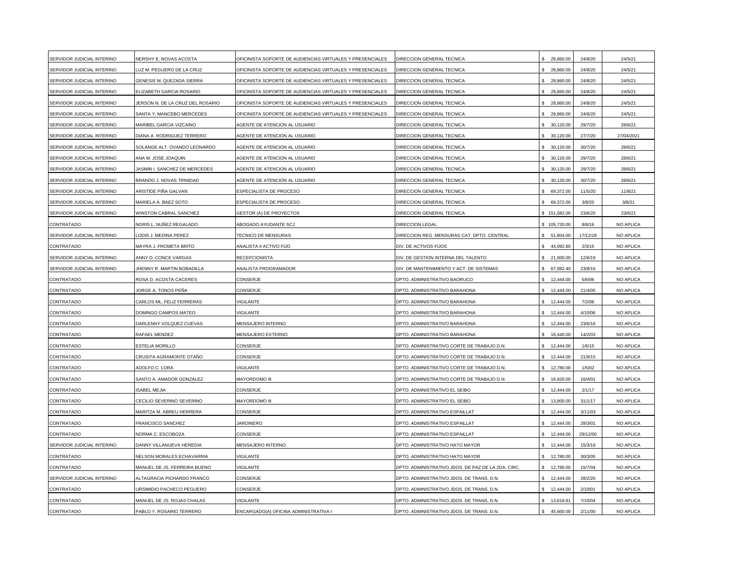| SERVIDOR JUDICIAL INTERINO | NERSHY E. NOVAS ACOSTA           | OFICINISTA SOPORTE DE AUDIENCIAS VIRTUALES Y PRESENCIALES | DIRECCION GENERAL TECNICA                         | 28,860.00        | 24/8/20  | 24/5/21    |
|----------------------------|----------------------------------|-----------------------------------------------------------|---------------------------------------------------|------------------|----------|------------|
| SERVIDOR JUDICIAL INTERINO | UZ M. PEGUERO DE LA CRUZ         | OFICINISTA SOPORTE DE AUDIENCIAS VIRTUALES Y PRESENCIALES | DIRECCION GENERAL TECNICA                         | \$ 28,860.00     | 24/8/20  | 24/5/21    |
| SERVIDOR JUDICIAL INTERINO | GENESIS M. QUEZADA SIERRA        | OFICINISTA SOPORTE DE AUDIENCIAS VIRTUALES Y PRESENCIALES | DIRECCION GENERAL TECNICA                         | \$ 28,860.00     | 24/8/20  | 24/5/21    |
| SERVIDOR JUDICIAL INTERINO | <b>ELIZABETH GARCIA ROSARIO</b>  | OFICINISTA SOPORTE DE AUDIENCIAS VIRTUALES Y PRESENCIALES | DIRECCION GENERAL TECNICA                         | \$ 28,860.00     | 24/8/20  | 24/5/21    |
| SERVIDOR JUDICIAL INTERINO | JERSON N. DE LA CRUZ DEL ROSARIO | OFICINISTA SOPORTE DE AUDIENCIAS VIRTUALES Y PRESENCIALES | DIRECCION GENERAL TECNICA                         | \$ 28,860.00     | 24/8/20  | 24/5/21    |
| SERVIDOR JUDICIAL INTERINO | SANTA Y. MANCEBO MERCEDES        | OFICINISTA SOPORTE DE AUDIENCIAS VIRTUALES Y PRESENCIALES | DIRECCION GENERAL TECNICA                         | 28,860.00        | 24/8/20  | 24/5/21    |
| SERVIDOR JUDICIAL INTERINO | MARIBEL GARCIA VIZCAINO          | AGENTE DE ATENCION AL USUARIO                             | DIRECCION GENERAL TECNICA                         | 30,120.00<br>ς.  | 29/7/20  | 28/6/21    |
| SERVIDOR JUDICIAL INTERINO | DIANA A. RODRIGUEZ TERRERO       | AGENTE DE ATENCION AL USUARIO                             | DIRECCION GENERAL TECNICA                         | 30,120.00        | 27/7/20  | 27/04/2021 |
| SERVIDOR JUDICIAL INTERINO | SOLANGE ALT. OVANDO LEONARDO     | AGENTE DE ATENCION AL USUARIO                             | DIRECCION GENERAL TECNICA                         | 30,120.00        | 30/7/20  | 28/6/21    |
| SERVIDOR JUDICIAL INTERINO | ANA M. JOSE JOAQUIN              | AGENTE DE ATENCION AL USUARIO                             | DIRECCION GENERAL TECNICA                         | 30,120.00        | 29/7/20  | 28/6/21    |
| SERVIDOR JUDICIAL INTERINO | JASMIN I. SANCHEZ DE MERCEDES    | AGENTE DE ATENCION AL USUARIO                             | DIRECCION GENERAL TECNICA                         | \$30,120.00      | 29/7/20  | 28/6/21    |
| SERVIDOR JUDICIAL INTERINO | BRANDO J. NOVAS TRINIDAD         | AGENTE DE ATENCION AL USUARIO                             | DIRECCION GENERAL TECNICA                         | 30,120.00        | 30/7/20  | 28/6/21    |
| SERVIDOR JUDICIAL INTERINO | ARISTIDE PIÑA GALVAN             | ESPECIALISTA DE PROCESO                                   | DIRECCION GENERAL TECNICA                         | 69,372.00        | 11/5/20  | 11/8/21    |
| SERVIDOR JUDICIAL INTERINO | <b>MARIELA A. BAEZ SOTO</b>      | ESPECIALISTA DE PROCESO                                   | DIRECCION GENERAL TECNICA                         | \$ 69,372.00     | 3/8/20   | 3/8/21     |
| SERVIDOR JUDICIAL INTERINO | WINSTON CABRAL SANCHEZ           | <b>GESTOR (A) DE PROYECTOS</b>                            | DIRECCION GENERAL TECNICA                         | \$151,582.00     | 23/6/20  | 23/6/21    |
| CONTRATADO                 | VORIS L. NUÑEZ REGALADO          | ABOGADO AYUDANTE SCJ                                      | DIRECCION LEGAL                                   | \$105,720.00     | 8/8/16   | NO APLICA  |
| SERVIDOR JUDICIAL INTERINO | ODIS J. MEDINA PEREZ             | TECNICO DE MENSURAS                                       | DIRECCION REG. MENSURAS CAT. DPTO. CENTRAL        | 51,804.00        | 17/12/18 | NO APLICA  |
| CONTRATADO                 | MAYRA J. FROMETA BRITO           | ANALISTA II ACTIVO FIJO                                   | DIV. DE ACTIVOS FIJOS                             | 44,092.80        | 2/3/15   | NO APLICA  |
| SERVIDOR JUDICIAL INTERINO | ANNY D. CONCE VARGAS             | <b>RECEPCIONISTA</b>                                      | DIV. DE GESTION INTERNA DEL TALENTO               | \$.<br>21,000.00 | 12/6/19  | NO APLICA  |
| SERVIDOR JUDICIAL INTERINO | JHENNY R. MARTIN BOBADILLA       | <b>ANALISTA PROGRAMADOR</b>                               | DIV. DE MANTENIMIENTO Y ACT. DE SISTEMAS          | 67,082.40        | 23/8/16  | NO APLICA  |
| CONTRATADO                 | ROSA D. ACOSTA CACERES           | CONSERJE                                                  | DPTO. ADMINISTRATIVO BAORUCO                      | 12,444.00        | 5/6/06   | NO APLICA  |
| CONTRATADO                 | JORGE A. TONOS PEÑA              | CONSERJE                                                  | DPTO. ADMINISTRATIVO BARAHONA                     | 12,444.00        | 21/4/05  | NO APLICA  |
| CONTRATADO                 | CARLOS ML. FELIZ FERRERAS        | /IGILANTE                                                 | DPTO. ADMINISTRATIVO BARAHONA                     | 12,444.00<br>ς.  | 7/2/06   | NO APLICA  |
| CONTRATADO                 | DOMINGO CAMPOS MATEO             | <b>/IGILANTE</b>                                          | DPTO. ADMINISTRATIVO BARAHONA                     | 12,444.00<br>¢.  | 4/10/06  | NO APLICA  |
| CONTRATADO                 | DARLENNY VOLQUEZ CUEVAS          | MENSAJERO INTERNO                                         | DPTO. ADMINISTRATIVO BARAHONA                     | 12,444.00        | 23/6/16  | NO APLICA  |
| CONTRATADO                 | RAFAEL MENDEZ                    | MENSAJERO EXTERNO                                         | DPTO. ADMINISTRATIVO BARAHONA                     | 16,440.00        | 14/2/03  | NO APLICA  |
| CONTRATADO                 | <b>ESTELIA MORILLO</b>           | CONSERJE                                                  | DPTO. ADMINISTRATIVO CORTE DE TRABAJO D.N.        | \$.<br>12,444.00 | 1/6/15   | NO APLICA  |
| CONTRATADO                 | CRUSITA AGRAMONTE OTAÑO          | CONSERJE                                                  | DPTO. ADMINISTRATIVO CORTE DE TRABAJO D.N.        | 12,444.00        | 21/9/15  | NO APLICA  |
| CONTRATADO                 | ADOLFO C. LORA                   | <b>/IGILANTE</b>                                          | DPTO. ADMINISTRATIVO CORTE DE TRABAJO D.N.        | 12,780.00        | 1/5/02   | NO APLICA  |
| CONTRATADO                 | SANTO A. AMADOR GONZALEZ         | MAYORDOMO III                                             | DPTO. ADMINISTRATIVO CORTE DE TRABAJO D.N.        | 16,920.00        | 16/4/01  | NO APLICA  |
| CONTRATADO                 | <b>ISABEL MEJIA</b>              | CONSERJE                                                  | DPTO. ADMINISTRATIVO EL SEIBO                     | \$12,444.00      | 2/1/17   | NO APLICA  |
| CONTRATADO                 | CECILIO SEVERINO SEVERINO        | <b>MAYORDOMO III</b>                                      | DPTO. ADMINISTRATIVO EL SEIBO                     | 13,800.00<br>\$  | 31/1/17  | NO APLICA  |
| CONTRATADO                 | MARITZA M. ABREU HERRERA         | CONSERJE                                                  | DPTO. ADMINISTRATIVO ESPAILLAT                    | 12,444.00        | 3/11/03  | NO APLICA  |
| CONTRATADO                 | <b>FRANCISCO SANCHEZ</b>         | <b>JARDINERO</b>                                          | DPTO. ADMINISTRATIVO ESPAILLAT                    | 12,444.00        | 28/3/01  | NO APLICA  |
| CONTRATADO                 | NORMA C. ESCOBOZA                | CONSERJE                                                  | DPTO. ADMINISTRATIVO ESPAILLAT                    | 12,444.00        | 29/12/00 | NO APLICA  |
| SERVIDOR JUDICIAL INTERINO | DANNY VILLANUEVA HEREDIA         | MENSAJERO INTERNO                                         | DPTO. ADMINISTRATIVO HATO MAYOR                   | 12,444.00        | 15/3/19  | NO APLICA  |
| CONTRATADO                 | NELSON MORALES ECHAVARRIA        | <b>/IGILANTE</b>                                          | DPTO. ADMINISTRATIVO HATO MAYOR                   | 12,780.00        | 30/3/05  | NO APLICA  |
| CONTRATADO                 | MANUEL DE JS. FERREIRA BUENO     | <b>/IGILANTE</b>                                          | DPTO. ADMINISTRATIVO JDOS. DE PAZ DE LA 2DA. CIRC | \$ 12,780.00     | 15/7/04  | NO APLICA  |
| SERVIDOR JUDICIAL INTERINO | ALTAGRACIA PICHARDO FRANCO       | CONSERJE                                                  | DPTO. ADMINISTRATIVO JDOS. DE TRANS. D.N.         | 12,444.00        | 28/2/20  | NO APLICA  |
| <b>CONTRATADO</b>          | JRSIMIDIO PACHECO PEGUERO        | CONSERJE                                                  | DPTO. ADMINISTRATIVO JDOS. DE TRANS. D.N.         | \$12,444.00      | 2/10/01  | NO APLICA  |
| CONTRATADO                 | MANUEL DE JS. ROJAS CHALAS       | VIGILANTE                                                 | DPTO. ADMINISTRATIVO JDOS. DE TRANS. D.N.         | Ś.<br>13,618.81  | 7/10/04  | NO APLICA  |
| CONTRATADO                 | PABLO Y. ROSARIO TERRERO         | ENCARGADO(A) OFICINA ADMINISTRATIVA I                     | DPTO. ADMINISTRATIVO JDOS. DE TRANS. D.N.         | 45,600.00<br>\$  | 2/11/00  | NO APLICA  |
|                            |                                  |                                                           |                                                   |                  |          |            |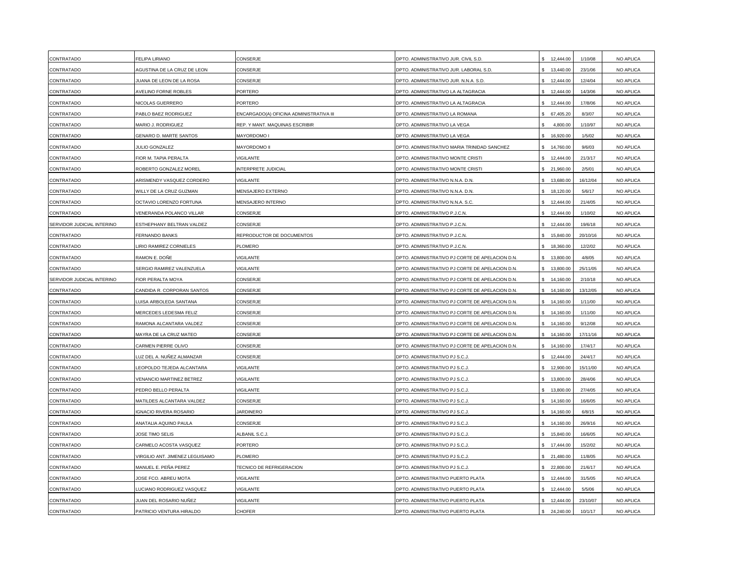| CONTRATADO                 | <b>FELIPA LIRIANO</b>                  | CONSERJE                                | DPTO. ADMINISTRATIVO JUR. CIVIL S.D.            | 12,444.00                 | 1/10/08  | NO APLICA |
|----------------------------|----------------------------------------|-----------------------------------------|-------------------------------------------------|---------------------------|----------|-----------|
| CONTRATADO                 | AGUSTINA DE LA CRUZ DE LEON            | CONSERJE                                | DPTO. ADMINISTRATIVO JUR. LABORAL S.D.          | 13,440.00<br>\$.          | 23/1/06  | NO APLICA |
| CONTRATADO                 | JUANA DE LEON DE LA ROSA               | CONSERJE                                | DPTO. ADMINISTRATIVO JUR. N.N.A. S.D.           | 12,444.00                 | 12/4/04  | NO APLICA |
| CONTRATADO                 | AVELINO FORNE ROBLES                   | PORTERO                                 | DPTO. ADMINISTRATIVO LA ALTAGRACIA              | 12,444.00                 | 14/3/06  | NO APLICA |
| CONTRATADO                 | NICOLAS GUERRERO                       | <b>ORTERO</b>                           | DPTO. ADMINISTRATIVO LA ALTAGRACIA              | 12,444.00<br>\$           | 17/8/06  | NO APLICA |
| CONTRATADO                 | PABLO BAEZ RODRIGUEZ                   | ENCARGADO(A) OFICINA ADMINISTRATIVA III | DPTO. ADMINISTRATIVO LA ROMANA                  | \$ 67,405.20              | 8/3/07   | NO APLICA |
| CONTRATADO                 | MARIO J. RODRIGUEZ                     | REP. Y MANT. MAQUINAS ESCRIBIR          | DPTO. ADMINISTRATIVO LA VEGA                    | 4,800.00<br>\$            | 1/10/97  | NO APLICA |
| CONTRATADO                 | <b>GENARO D. MARTE SANTOS</b>          | MAYORDOMO I                             | DPTO. ADMINISTRATIVO LA VEGA                    | \$.<br>16,920.00          | 1/5/02   | NO APLICA |
| CONTRATADO                 | JULIO GONZALEZ                         | <b>MAYORDOMO II</b>                     | DPTO. ADMINISTRATIVO MARIA TRINIDAD SANCHEZ     | 14,760.00                 | 9/6/03   | NO APLICA |
| CONTRATADO                 | FIOR M. TAPIA PERALTA                  | <b>IGILANTE</b>                         | DPTO. ADMINISTRATIVO MONTE CRISTI               | 12,444.00                 | 21/3/17  | NO APLICA |
| CONTRATADO                 | ROBERTO GONZALEZ MOREL                 | NTERPRETE JUDICIAL                      | DPTO. ADMINISTRATIVO MONTE CRISTI               | 21,960.00<br>\$.          | 2/5/01   | NO APLICA |
| CONTRATADO                 | ARISMENDY VASQUEZ CORDERO              | <b>/IGILANTE</b>                        | DPTO. ADMINISTRATIVO N.N.A. D.N.                | 13,680.00                 | 16/12/04 | NO APLICA |
| CONTRATADO                 | WILLY DE LA CRUZ GUZMAN                | <b>MENSAJERO EXTERNO</b>                | DPTO. ADMINISTRATIVO N.N.A. D.N.                | $\mathbf{s}$<br>18,120.00 | 5/6/17   | NO APLICA |
| CONTRATADO                 | <b>OCTAVIO LORENZO FORTUNA</b>         | <b>MENSAJERO INTERNO</b>                | DPTO. ADMINISTRATIVO N.N.A. S.C.                | 12,444.00                 | 21/4/05  | NO APLICA |
| CONTRATADO                 | VENERANDA POLANCO VILLAR               | CONSERJE                                | DPTO. ADMINISTRATIVO P.J.C.N.                   | \$12,444.00               | 1/10/02  | NO APLICA |
| SERVIDOR JUDICIAL INTERINO | ESTHEPHANY BELTRAN VALDEZ              | CONSERJE                                | DPTO. ADMINISTRATIVO P.J.C.N.                   | \$.<br>12,444.00          | 19/6/18  | NO APLICA |
| CONTRATADO                 | FERNANDO BANKS                         | REPRODUCTOR DE DOCUMENTOS               | DPTO. ADMINISTRATIVO P.J.C.N.                   | 15,840.00<br>\$.          | 20/10/16 | NO APLICA |
| CONTRATADO                 | <b>IRIO RAMIREZ CORNIELES</b>          | <b>LOMERO</b>                           | DPTO. ADMINISTRATIVO P.J.C.N.                   | 18,360.00                 | 12/2/02  | NO APLICA |
| CONTRATADO                 | RAMON E. DOÑE                          | /IGILANTE                               | DPTO. ADMINISTRATIVO PJ CORTE DE APELACION D.N. | 13,800.00<br>\$.          | 4/8/05   | NO APLICA |
| CONTRATADO                 | SERGIO RAMIREZ VALENZUELA              | <b>/IGILANTE</b>                        | DPTO. ADMINISTRATIVO PJ CORTE DE APELACION D.N. | 13,800.00<br>\$           | 25/11/05 | NO APLICA |
| SERVIDOR JUDICIAL INTERINO | FIOR PERALTA MOYA                      | CONSERJE                                | DPTO. ADMINISTRATIVO PJ CORTE DE APELACION D.N. | 14,160.00                 | 2/10/18  | NO APLICA |
| CONTRATADO                 | CANDIDA R. CORPORAN SANTOS             | CONSERJE                                | DPTO. ADMINISTRATIVO PJ CORTE DE APELACION D.N. | \$14,160.00               | 13/12/05 | NO APLICA |
| CONTRATADO                 | UISA ARBOLEDA SANTANA                  | CONSERJE                                | DPTO. ADMINISTRATIVO PJ CORTE DE APELACION D.N. | \$ 14,160.00              | 1/11/00  | NO APLICA |
| CONTRATADO                 | MERCEDES LEDESMA FELIZ                 | CONSERJE                                | DPTO. ADMINISTRATIVO PJ CORTE DE APELACION D.N. | 14,160.00<br>$\mathbf{s}$ | 1/11/00  | NO APLICA |
| CONTRATADO                 | RAMONA ALCANTARA VALDEZ                | CONSERJE                                | DPTO. ADMINISTRATIVO PJ CORTE DE APELACION D.N. | 14,160.00<br>\$           | 9/12/08  | NO APLICA |
| CONTRATADO                 | MAYRA DE LA CRUZ MATEO                 | CONSERJE                                | DPTO. ADMINISTRATIVO PJ CORTE DE APELACION D.N. | 14,160.00<br>\$.          | 17/11/16 | NO APLICA |
| CONTRATADO                 | CARMEN PIERRE OLIVO                    | CONSERJE                                | DPTO. ADMINISTRATIVO PJ CORTE DE APELACION D.N. | \$14,160.00               | 17/4/17  | NO APLICA |
| CONTRATADO                 | UZ DEL A. NUÑEZ ALMANZAR               | CONSERJE                                | DPTO. ADMINISTRATIVO PJ S.C.J                   | 12,444.00                 | 24/4/17  | NO APLICA |
| CONTRATADO                 | EOPOLDO TEJEDA ALCANTARA               | <b>/IGILANTE</b>                        | DPTO. ADMINISTRATIVO PJ S.C.J                   | 12,900.00<br>\$           | 15/11/00 | NO APLICA |
| CONTRATADO                 | VENANCIO MARTINEZ BETREZ               | <b>/IGILANTE</b>                        | DPTO. ADMINISTRATIVO PJ S.C.J                   | 13,800.00<br>\$           | 28/4/06  | NO APLICA |
| CONTRATADO                 | PEDRO BELLO PERALTA                    | <b>/IGILANTE</b>                        | DPTO. ADMINISTRATIVO PJ S.C.J.                  | 13,800.00                 | 27/4/05  | NO APLICA |
| CONTRATADO                 | MATILDES ALCANTARA VALDEZ              | CONSERJE                                | DPTO. ADMINISTRATIVO PJ S.C.J.                  | \$ 14,160.00              | 16/6/05  | NO APLICA |
| CONTRATADO                 | <b>IGNACIO RIVERA ROSARIO</b>          | <b>JARDINERO</b>                        | DPTO. ADMINISTRATIVO PJ S.C.J.                  | \$14,160.00               | 6/8/15   | NO APLICA |
| CONTRATADO                 | ANATALIA AQUINO PAULA                  | CONSERJE                                | DPTO. ADMINISTRATIVO PJ S.C.J.                  | \$14,160.00               | 26/9/16  | NO APLICA |
| CONTRATADO                 | JOSE TIMO SELIS                        | ALBANIL S.C.J.                          | DPTO. ADMINISTRATIVO PJ S.C.J.                  | \$15,840.00               | 16/6/05  | NO APLICA |
| CONTRATADO                 | CARMELO ACOSTA VASQUEZ                 | PORTERO                                 | DPTO. ADMINISTRATIVO PJ S.C.J.                  | 17,444.00<br>\$.          | 15/2/02  | NO APLICA |
| CONTRATADO                 | <b>/IRGILIO ANT. JIMENEZ LEGUISAMO</b> | LOMERO                                  | DPTO. ADMINISTRATIVO PJ S.C.J                   | 21,480.00                 | 11/8/05  | NO APLICA |
| CONTRATADO                 | MANUEL E. PEÑA PEREZ                   | <b>FECNICO DE REFRIGERACION</b>         | DPTO. ADMINISTRATIVO PJ S.C.J.                  | 22,800.00<br>\$           | 21/6/17  | NO APLICA |
| CONTRATADO                 | JOSE FCO. ABREU MOTA                   | <b>/IGILANTE</b>                        | DPTO. ADMINISTRATIVO PUERTO PLATA               | 12,444.00                 | 31/5/05  | NO APLICA |
| CONTRATADO                 | UCIANO RODRIGUEZ VASQUEZ               | <b>/IGILANTE</b>                        | DPTO. ADMINISTRATIVO PUERTO PLATA               | 12,444.00                 | 5/5/06   | NO APLICA |
| CONTRATADO                 | JUAN DEL ROSARIO NUÑEZ                 | /IGILANTE                               | DPTO. ADMINISTRATIVO PUERTO PLATA               | 12,444.00                 | 23/10/07 | NO APLICA |
| CONTRATADO                 | PATRICIO VENTURA HIRALDO               | CHOFER                                  | DPTO. ADMINISTRATIVO PUERTO PLATA               | \$24,240.00               | 10/1/17  | NO APLICA |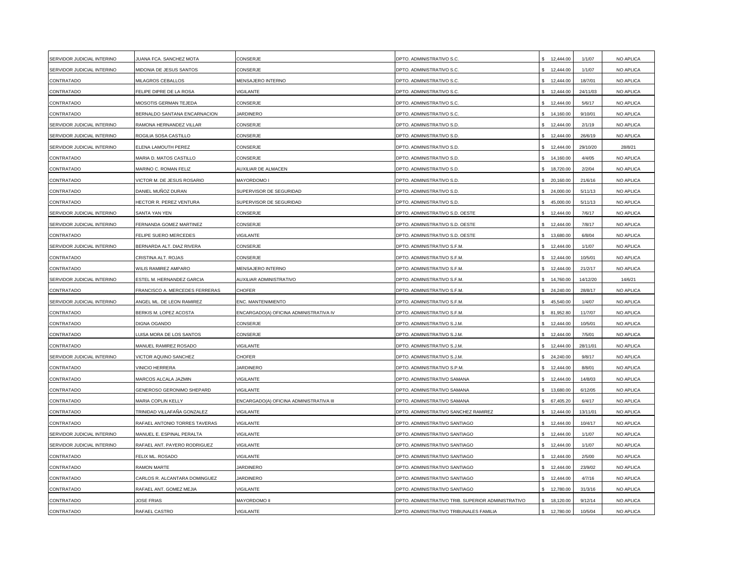| SERVIDOR JUDICIAL INTERINO | JUANA FCA. SANCHEZ MOTA        | CONSERJE                                | DPTO. ADMINISTRATIVO S.C.                          | \$12,444.00               | 1/1/07   | NO APLICA |
|----------------------------|--------------------------------|-----------------------------------------|----------------------------------------------------|---------------------------|----------|-----------|
| SERVIDOR JUDICIAL INTERINO | MIDONIA DE JESUS SANTOS        | CONSERJE                                | DPTO. ADMINISTRATIVO S.C.                          | \$12,444.00               | 1/1/07   | NO APLICA |
| CONTRATADO                 | MILAGROS CEBALLOS              | MENSAJERO INTERNO                       | DPTO. ADMINISTRATIVO S.C.                          | 12,444.00                 | 18/7/01  | NO APLICA |
| CONTRATADO                 | <b>ELIPE DIPRE DE LA ROSA</b>  | VIGILANTE                               | DPTO. ADMINISTRATIVO S.C.                          | 12,444.00                 | 24/11/03 | NO APLICA |
| CONTRATADO                 | MIOSOTIS GERMAN TEJEDA         | CONSERJE                                | DPTO. ADMINISTRATIVO S.C.                          | \$<br>12,444.00           | 5/6/17   | NO APLICA |
| CONTRATADO                 | BERNALDO SANTANA ENCARNACION   | <b>JARDINERO</b>                        | DPTO. ADMINISTRATIVO S.C.                          | \$ 14,160.00              | 9/10/01  | NO APLICA |
| SERVIDOR JUDICIAL INTERINO | RAMONA HERNANDEZ VILLAR        | CONSERJE                                | DPTO. ADMINISTRATIVO S.D.                          | 12,444.00                 | 2/1/19   | NO APLICA |
| SERVIDOR JUDICIAL INTERINO | ROGILIA SOSA CASTILLO          | CONSERJE                                | DPTO. ADMINISTRATIVO S.D.                          | 12,444.00                 | 26/6/19  | NO APLICA |
| SERVIDOR JUDICIAL INTERINO | ELENA LAMOUTH PEREZ            | CONSERJE                                | DPTO. ADMINISTRATIVO S.D.                          | 12,444.00<br>¢.           | 29/10/20 | 28/8/21   |
| CONTRATADO                 | MARIA D. MATOS CASTILLO        | CONSERJE                                | DPTO. ADMINISTRATIVO S.D.                          | 14,160.00<br>\$           | 4/4/05   | NO APLICA |
| CONTRATADO                 | MARINO C. ROMAN FELIZ          | AUXILIAR DE ALMACEN                     | DPTO. ADMINISTRATIVO S.D.                          | \$ 18,720.00              | 2/2/04   | NO APLICA |
| CONTRATADO                 | VICTOR M. DE JESUS ROSARIO     | MAYORDOMO I                             | DPTO. ADMINISTRATIVO S.D.                          | 20,160.00                 | 21/6/16  | NO APLICA |
| CONTRATADO                 | DANIEL MUÑOZ DURAN             | SUPERVISOR DE SEGURIDAD                 | DPTO. ADMINISTRATIVO S.D.                          | \$24,000.00               | 5/11/13  | NO APLICA |
| CONTRATADO                 | <b>HECTOR R. PEREZ VENTURA</b> | SUPERVISOR DE SEGURIDAD                 | DPTO. ADMINISTRATIVO S.D.                          | 45,000.00                 | 5/11/13  | NO APLICA |
| SERVIDOR JUDICIAL INTERINO | SANTA YAN YEN                  | CONSERJE                                | DPTO. ADMINISTRATIVO S.D. OESTE                    | 12,444.00                 | 7/6/17   | NO APLICA |
| SERVIDOR JUDICIAL INTERINO | <b>FERNANDA GOMEZ MARTINEZ</b> | CONSERJE                                | DPTO. ADMINISTRATIVO S.D. OESTE                    | 12,444.00<br>\$           | 7/8/17   | NO APLICA |
| CONTRATADO                 | <b>ELIPE SUERO MERCEDES</b>    | VIGILANTE                               | DPTO. ADMINISTRATIVO S.D. OESTE                    | 13,680.00<br>\$           | 6/8/04   | NO APLICA |
| SERVIDOR JUDICIAL INTERINO | BERNARDA ALT. DIAZ RIVERA      | CONSERJE                                | DPTO. ADMINISTRATIVO S.F.M.                        | 12,444.00<br>\$           | 1/1/07   | NO APLICA |
| CONTRATADO                 | CRISTINA ALT. ROJAS            | CONSERJE                                | DPTO. ADMINISTRATIVO S.F.M.                        | 12,444.00                 | 10/5/01  | NO APLICA |
| CONTRATADO                 | WILIS RAMIREZ AMPARO           | MENSAJERO INTERNO                       | DPTO. ADMINISTRATIVO S.F.M.                        | 12,444.00                 | 21/2/17  | NO APLICA |
| SERVIDOR JUDICIAL INTERINO | ESTEL M. HERNANDEZ GARCIA      | AUXILIAR ADMINISTRATIVO                 | DPTO. ADMINISTRATIVO S.F.M.                        | 14,760.00                 | 14/12/20 | 14/6/21   |
| CONTRATADO                 | FRANCISCO A. MERCEDES FERRERAS | CHOFER                                  | DPTO. ADMINISTRATIVO S.F.M.                        | 24,240.00                 | 28/8/17  | NO APLICA |
| SERVIDOR JUDICIAL INTERINO | ANGEL ML. DE LEON RAMIREZ      | ENC. MANTENIMIENTO                      | DPTO. ADMINISTRATIVO S.F.M.                        | 45,540.00                 | 1/4/07   | NO APLICA |
| CONTRATADO                 | BERKIS M. LOPEZ ACOSTA         | ENCARGADO(A) OFICINA ADMINISTRATIVA IV  | DPTO. ADMINISTRATIVO S.F.M.                        | \$81,952.80               | 11/7/07  | NO APLICA |
| CONTRATADO                 | <b>DIGNA OGANDO</b>            | CONSERJE                                | DPTO, ADMINISTRATIVO S.J.M.                        | 12,444.00<br>\$           | 10/5/01  | NO APLICA |
| CONTRATADO                 | <b>UISA MORA DE LOS SANTOS</b> | CONSERJE                                | DPTO. ADMINISTRATIVO S.J.M.                        | 12,444.00                 | 7/5/01   | NO APLICA |
| CONTRATADO                 | MANUEL RAMIREZ ROSADO          | VIGILANTE                               | DPTO. ADMINISTRATIVO S.J.M.                        | 12,444.00<br>\$.          | 28/11/01 | NO APLICA |
| SERVIDOR JUDICIAL INTERINO | VICTOR AQUINO SANCHEZ          | CHOFER                                  | DPTO. ADMINISTRATIVO S.J.M.                        | 24,240.00                 | 9/8/17   | NO APLICA |
| CONTRATADO                 | VINICIO HERRERA                | <b>JARDINERO</b>                        | DPTO. ADMINISTRATIVO S.P.M.                        | 12,444.00                 | 8/8/01   | NO APLICA |
| CONTRATADO                 | MARCOS ALCALA JAZMIN           | VIGILANTE                               | DPTO. ADMINISTRATIVO SAMANA                        | 12,444.00                 | 14/8/03  | NO APLICA |
| CONTRATADO                 | GENEROSO GERONIMO SHEPARD      | VIGILANTE                               | DPTO. ADMINISTRATIVO SAMANA                        | 13,680.00                 | 6/12/05  | NO APLICA |
| CONTRATADO                 | <b>MARIA COPLIN KELLY</b>      | ENCARGADO(A) OFICINA ADMINISTRATIVA III | DPTO. ADMINISTRATIVO SAMANA                        | \$<br>67,405.20           | 6/4/17   | NO APLICA |
| CONTRATADO                 | TRINIDAD VILLAFAÑA GONZALEZ    | VIGILANTE                               | DPTO. ADMINISTRATIVO SANCHEZ RAMIREZ               | 12,444.00<br>\$           | 13/11/01 | NO APLICA |
| CONTRATADO                 | RAFAEL ANTONIO TORRES TAVERAS  | VIGILANTE                               | DPTO. ADMINISTRATIVO SANTIAGO                      | 12,444.00<br>\$           | 10/4/17  | NO APLICA |
| SERVIDOR JUDICIAL INTERINO | MANUEL E. ESPINAL PERALTA      | <b>/IGILANTE</b>                        | DPTO. ADMINISTRATIVO SANTIAGO                      | 12,444.00                 | 1/1/07   | NO APLICA |
| SERVIDOR JUDICIAL INTERINO | RAFAEL ANT. PAYERO RODRIGUEZ   | VIGILANTE                               | DPTO. ADMINISTRATIVO SANTIAGO                      | 12,444.00                 | 1/1/07   | NO APLICA |
| CONTRATADO                 | FELIX ML. ROSADO               | /IGILANTE                               | DPTO. ADMINISTRATIVO SANTIAGO                      | 12,444.00                 | 2/5/00   | NO APLICA |
| CONTRATADO                 | RAMON MARTE                    | <b>JARDINERO</b>                        | DPTO. ADMINISTRATIVO SANTIAGO                      | 12,444.00<br>\$           | 23/9/02  | NO APLICA |
| CONTRATADO                 | CARLOS R. ALCANTARA DOMINGUEZ  | <b>JARDINERO</b>                        | DPTO. ADMINISTRATIVO SANTIAGO                      | 12,444.00                 | 4/7/16   | NO APLICA |
| CONTRATADO                 | RAFAEL ANT. GOMEZ MEJIA        | VIGILANTE                               | DPTO. ADMINISTRATIVO SANTIAGO                      | \$ 12,780.00              | 31/3/16  | NO APLICA |
| CONTRATADO                 | <b>JOSE FRIAS</b>              | MAYORDOMO II                            | DPTO. ADMINISTRATIVO TRIB. SUPERIOR ADMINISTRATIVO | $\mathbf{s}$<br>18,120.00 | 9/12/14  | NO APLICA |
| CONTRATADO                 | RAFAEL CASTRO                  | <b>VIGILANTE</b>                        | DPTO. ADMINISTRATIVO TRIBUNALES FAMILIA            | 12,780.00<br>\$           | 10/5/04  | NO APLICA |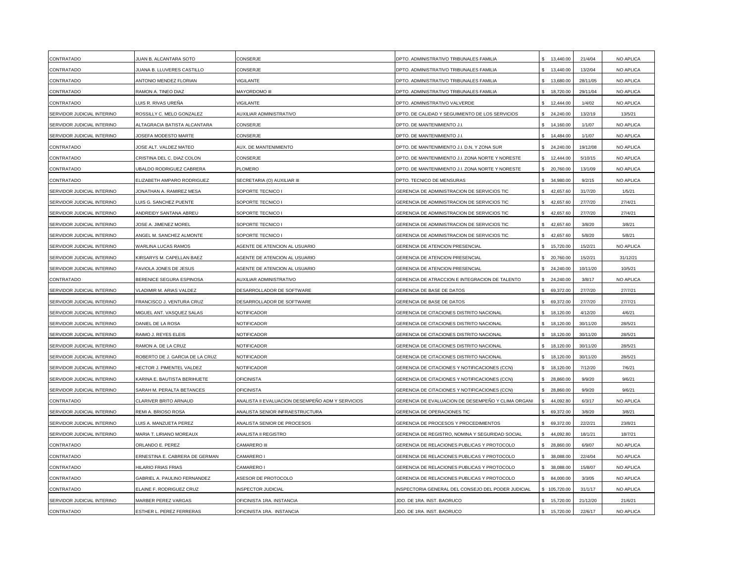| CONTRATADO                 | <b>JUAN B. ALCANTARA SOTO</b>    | CONSERJE                                         | DPTO. ADMINISTRATIVO TRIBUNALES FAMILIA            | 13,440.00                       | 21/4/04  | NO APLICA |
|----------------------------|----------------------------------|--------------------------------------------------|----------------------------------------------------|---------------------------------|----------|-----------|
| CONTRATADO                 | JUANA B. LLUVERES CASTILLO       | CONSERJE                                         | DPTO. ADMINISTRATIVO TRIBUNALES FAMILIA            | 13,440.00<br>\$.                | 13/2/04  | NO APLICA |
| CONTRATADO                 | ANTONIO MENDEZ FLORIAN           | VIGILANTE                                        | DPTO. ADMINISTRATIVO TRIBUNALES FAMILIA            | 13,680.00                       | 28/11/05 | NO APLICA |
| CONTRATADO                 | RAMON A. TINEO DIAZ              | MAYORDOMO III                                    | DPTO. ADMINISTRATIVO TRIBUNALES FAMILIA            | \$<br>18,720.00                 | 29/11/04 | NO APLICA |
| CONTRATADO                 | .UIS R. RIVAS UREÑA              | <b>/IGILANTE</b>                                 | DPTO. ADMINISTRATIVO VALVERDE                      | 12,444.00                       | 1/4/02   | NO APLICA |
| SERVIDOR JUDICIAL INTERINO | ROSSILLY C. MELO GONZALEZ        | AUXILIAR ADMINISTRATIVO                          | DPTO. DE CALIDAD Y SEGUIMIENTO DE LOS SERVICIOS    | \$24,240.00                     | 13/2/19  | 13/5/21   |
| SERVIDOR JUDICIAL INTERINO | ALTAGRACIA BATISTA ALCANTARA     | CONSERJE                                         | DPTO. DE MANTENIMIENTO J.I.                        | \$14,160.00                     | 1/1/07   | NO APLICA |
| SERVIDOR JUDICIAL INTERINO | <b>JOSEFA MODESTO MARTE</b>      | CONSERJE                                         | DPTO. DE MANTENIMIENTO J.I.                        | $\hat{\mathbf{z}}$<br>14.484.00 | 1/1/07   | NO APLICA |
| CONTRATADO                 | JOSE ALT. VALDEZ MATEO           | AUX. DE MANTENIMIENTO                            | DPTO. DE MANTENIMIENTO J.I. D.N. Y ZONA SUR        | 24,240.00                       | 19/12/08 | NO APLICA |
| CONTRATADO                 | CRISTINA DEL C. DIAZ COLON       | CONSERJE                                         | DPTO. DE MANTENIMIENTO J.I. ZONA NORTE Y NORESTE   | 12,444.00                       | 5/10/15  | NO APLICA |
| CONTRATADO                 | <b>JBALDO RODRIGUEZ CABRERA</b>  | PLOMERO                                          | DPTO. DE MANTENIMIENTO J.I. ZONA NORTE Y NORESTE   | 20,760.00<br>\$                 | 13/1/09  | NO APLICA |
| CONTRATADO                 | ELIZABETH AMPARO RODRIGUEZ       | SECRETARIA (O) AUXILIAR III                      | DPTO. TECNICO DE MENSURAS                          | 34,980.00                       | 9/2/15   | NO APLICA |
| SERVIDOR JUDICIAL INTERINO | JONATHAN A. RAMIREZ MESA         | SOPORTE TECNICO I                                | GERENCIA DE ADMINISTRACION DE SERVICIOS TIC        | \$42,657.60                     | 31/7/20  | 1/5/21    |
| SERVIDOR JUDICIAL INTERINO | UIS G. SANCHEZ PUENTE            | SOPORTE TECNICO I                                | GERENCIA DE ADMINISTRACION DE SERVICIOS TIC        | \$42,657.60                     | 27/7/20  | 27/4/21   |
| SERVIDOR JUDICIAL INTERINO | ANDREIDY SANTANA ABREU           | SOPORTE TECNICO I                                | GERENCIA DE ADMINISTRACION DE SERVICIOS TIC        | \$42,657.60                     | 27/7/20  | 27/4/21   |
| SERVIDOR JUDICIAL INTERINO | <b>JOSE A. JIMENEZ MOREL</b>     | SOPORTE TECNICO I                                | GERENCIA DE ADMINISTRACION DE SERVICIOS TIC        | \$42,657.60                     | 3/8/20   | 3/8/21    |
| SERVIDOR JUDICIAL INTERINO | ANGEL M. SANCHEZ ALMONTE         | SOPORTE TECNICO I                                | GERENCIA DE ADMINISTRACION DE SERVICIOS TIC        | 42,657.60                       | 5/8/20   | 5/8/21    |
| SERVIDOR JUDICIAL INTERINO | WARLINA LUCAS RAMOS              | AGENTE DE ATENCION AL USUARIO                    | GERENCIA DE ATENCION PRESENCIAL                    | 15,720.00<br>\$.                | 15/2/21  | NO APLICA |
| SERVIDOR JUDICIAL INTERINO | <b>KIRSARYS M. CAPELLAN BAEZ</b> | AGENTE DE ATENCION AL USUARIO                    | GERENCIA DE ATENCION PRESENCIAL                    | 20,760.00                       | 15/2/21  | 31/12/21  |
| SERVIDOR JUDICIAL INTERINO | <b>FAVIOLA JONES DE JESUS</b>    | AGENTE DE ATENCION AL USUARIO                    | GERENCIA DE ATENCION PRESENCIAL                    | 24,240.00                       | 10/11/20 | 10/5/21   |
| CONTRATADO                 | BERENICE SEGURA ESPINOSA         | AUXILIAR ADMINISTRATIVO                          | GERENCIA DE ATRACCION E INTEGRACION DE TALENTO     | 24,240.00                       | 3/8/17   | NO APLICA |
| SERVIDOR JUDICIAL INTERINO | /LADIMIR M. ARIAS VALDEZ         | DESARROLLADOR DE SOFTWARE                        | GERENCIA DE BASE DE DATOS                          | \$ 69,372.00                    | 27/7/20  | 27/7/21   |
| SERVIDOR JUDICIAL INTERINO | FRANCISCO J. VENTURA CRUZ        | DESARROLLADOR DE SOFTWARE                        | GERENCIA DE BASE DE DATOS                          | \$ 69,372.00                    | 27/7/20  | 27/7/21   |
| SERVIDOR JUDICIAL INTERINO | MIGUEL ANT. VASQUEZ SALAS        | NOTIFICADOR                                      | GERENCIA DE CITACIONES DISTRITO NACIONAL           | \$18,120.00                     | 4/12/20  | 4/6/21    |
| SERVIDOR JUDICIAL INTERINO | DANIEL DE LA ROSA                | NOTIFICADOR                                      | GERENCIA DE CITACIONES DISTRITO NACIONAL           | 18,120.00<br>\$.                | 30/11/20 | 28/5/21   |
| SERVIDOR JUDICIAL INTERINO | RAIMO J. REYES ELEIS             | NOTIFICADOR                                      | GERENCIA DE CITACIONES DISTRITO NACIONAL           | 18,120.00                       | 30/11/20 | 28/5/21   |
| SERVIDOR JUDICIAL INTERINO | RAMON A. DE LA CRUZ              | NOTIFICADOR                                      | GERENCIA DE CITACIONES DISTRITO NACIONAL           | 18,120.00                       | 30/11/20 | 28/5/21   |
| SERVIDOR JUDICIAL INTERINO | ROBERTO DE J. GARCIA DE LA CRUZ  | NOTIFICADOR                                      | GERENCIA DE CITACIONES DISTRITO NACIONAL           | 18,120.00                       | 30/11/20 | 28/5/21   |
| SERVIDOR JUDICIAL INTERINO | <b>HECTOR J. PIMENTEL VALDEZ</b> | NOTIFICADOR                                      | GERENCIA DE CITACIONES Y NOTIFICACIONES (CCN)      | \$18,120.00                     | 7/12/20  | 7/6/21    |
| SERVIDOR JUDICIAL INTERINO | KARINA E. BAUTISTA BERIHUETE     | <b>OFICINISTA</b>                                | GERENCIA DE CITACIONES Y NOTIFICACIONES (CCN)      | \$ 28,860.00                    | 9/9/20   | 9/6/21    |
| SERVIDOR JUDICIAL INTERINO | SARAH M. PERALTA BETANCES        | <b>OFICINISTA</b>                                | GERENCIA DE CITACIONES Y NOTIFICACIONES (CCN)      | \$ 28,860.00                    | 9/9/20   | 9/6/21    |
| CONTRATADO                 | CLARIVER BRITO ARNAUD            | ANALISTA II EVALUACION DESEMPEÑO ADM Y SERVICIOS | GERENCIA DE EVALUACION DE DESEMPEÑO Y CLIMA ORGANI | 44,092.80<br>\$                 | 6/3/17   | NO APLICA |
| SERVIDOR JUDICIAL INTERINO | REMI A. BRIOSO ROSA              | ANALISTA SENIOR INFRAESTRUCTURA                  | GERENCIA DE OPERACIONES TIC                        | 69,372.00<br>\$.                | 3/8/20   | 3/8/21    |
| SERVIDOR JUDICIAL INTERINO | UIS A. MANZUETA PEREZ            | ANALISTA SENIOR DE PROCESOS                      | GERENCIA DE PROCESOS Y PROCEDIMIENTOS              | 69,372.00<br>\$.                | 22/2/21  | 23/8/21   |
| SERVIDOR JUDICIAL INTERINO | MARIA T. LIRIANO MOREAUX         | ANALISTA II REGISTRO                             | GERENCIA DE REGISTRO, NOMINA Y SEGURIDAD SOCIAL    | 44,092.80                       | 18/1/21  | 18/7/21   |
| CONTRATADO                 | ORLANDO E. PEREZ                 | CAMARERO III                                     | GERENCIA DE RELACIONES PUBLICAS Y PROTOCOLO        | 28,860.00                       | 6/9/07   | NO APLICA |
| CONTRATADO                 | ERNESTINA E. CABRERA DE GERMAN   | CAMARERO I                                       | GERENCIA DE RELACIONES PUBLICAS Y PROTOCOLO        | 38,088.00                       | 22/4/04  | NO APLICA |
| CONTRATADO                 | HILARIO FRIAS FRIAS              | CAMARERO I                                       | GERENCIA DE RELACIONES PUBLICAS Y PROTOCOLO        | \$ 38,088.00                    | 15/8/07  | NO APLICA |
| CONTRATADO                 | GABRIEL A. PAULINO FERNANDEZ     | ASESOR DE PROTOCOLO                              | GERENCIA DE RELACIONES PUBLICAS Y PROTOCOLO        | \$84,000.00                     | 3/3/05   | NO APLICA |
| CONTRATADO                 | ELAINE F. RODRIGUEZ CRUZ         | <b>INSPECTOR JUDICIAL</b>                        | INSPECTORIA GENERAL DEL CONSEJO DEL PODER JUDICIAL | \$105,720.00                    | 31/1/17  | NO APLICA |
| SERVIDOR JUDICIAL INTERINO | <b>MARBER PEREZ VARGAS</b>       | OFICINISTA 1RA. INSTANCIA                        | JDO. DE 1RA. INST. BAORUCO                         | 15,720.00                       | 21/12/20 | 21/6/21   |
| CONTRATADO                 | <b>ESTHER L. PEREZ FERRERAS</b>  | OFICINISTA 1RA. INSTANCIA                        | JDO, DE 1RA, INST, BAORUCO                         | 15,720.00<br>\$                 | 22/6/17  | NO APLICA |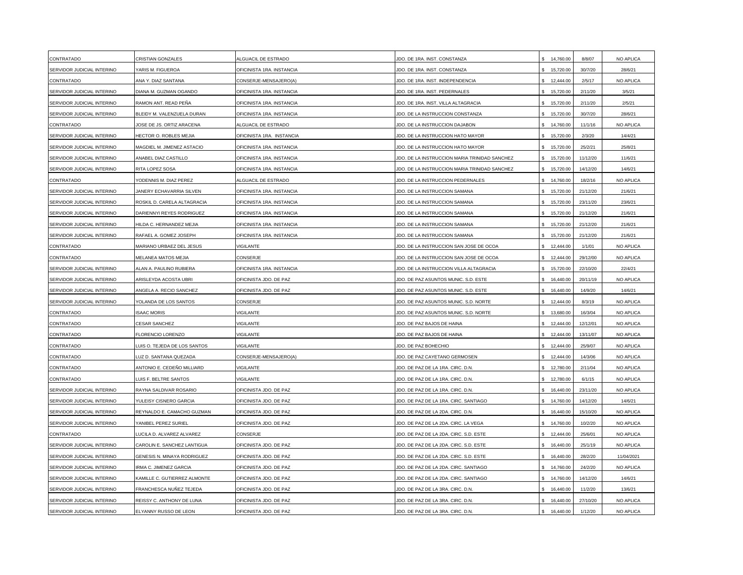| CONTRATADO                 | CRISTIAN GONZALES                  | ALGUACIL DE ESTRADO       | JDO. DE 1RA. INST. CONSTANZA                  | 14,760.00                 | 8/8/07   | NO APLICA  |
|----------------------------|------------------------------------|---------------------------|-----------------------------------------------|---------------------------|----------|------------|
| SERVIDOR JUDICIAL INTERINO | YARIS M. FIGUEROA                  | OFICINISTA 1RA. INSTANCIA | JDO. DE 1RA. INST. CONSTANZA                  | \$ 15,720.00              | 30/7/20  | 28/6/21    |
| CONTRATADO                 | ANA Y. DIAZ SANTANA                | CONSERJE-MENSAJERO(A)     | JDO. DE 1RA. INST. INDEPENDENCIA              | 12,444.00                 | 2/5/17   | NO APLICA  |
| SERVIDOR JUDICIAL INTERINO | <b>DIANA M. GUZMAN OGANDO</b>      | OFICINISTA 1RA. INSTANCIA | JDO. DE 1RA. INST. PEDERNALES                 | 15,720.00                 | 2/11/20  | 3/5/21     |
| SERVIDOR JUDICIAL INTERINO | RAMON ANT. READ PEÑA               | OFICINISTA 1RA. INSTANCIA | JDO. DE 1RA. INST. VILLA ALTAGRACIA           | \$ 15,720.00              | 2/11/20  | 2/5/21     |
| SERVIDOR JUDICIAL INTERINO | <b>BLEIDY M. VALENZUELA DURAN</b>  | OFICINISTA 1RA. INSTANCIA | JDO. DE LA INSTRUCCION CONSTANZA              | \$ 15,720.00              | 30/7/20  | 28/6/21    |
| CONTRATADO                 | JOSE DE JS. ORTIZ ARACENA          | ALGUACIL DE ESTRADO       | JDO. DE LA INSTRUCCION DAJABON                | \$14,760.00               | 11/1/16  | NO APLICA  |
| SERVIDOR JUDICIAL INTERINO | <b>HECTOR O. ROBLES MEJIA</b>      | OFICINISTA 1RA. INSTANCIA | JDO. DE LA INSTRUCCION HATO MAYOR             | \$ 15,720.00              | 2/3/20   | 14/4/21    |
| SERVIDOR JUDICIAL INTERINO | <b>MAGDIEL M. JIMENEZ ASTACIO</b>  | OFICINISTA 1RA. INSTANCIA | JDO. DE LA INSTRUCCION HATO MAYOR             | 15,720.00                 | 25/2/21  | 25/8/21    |
| SERVIDOR JUDICIAL INTERINO | ANABEL DIAZ CASTILLO               | OFICINISTA 1RA. INSTANCIA | JDO. DE LA INSTRUCCION MARIA TRINIDAD SANCHEZ | 15,720.00                 | 11/12/20 | 11/6/21    |
| SERVIDOR JUDICIAL INTERINO | RITA LOPEZ SOSA                    | OFICINISTA 1RA. INSTANCIA | JDO. DE LA INSTRUCCION MARIA TRINIDAD SANCHEZ | 15,720.00<br>\$.          | 14/12/20 | 14/6/21    |
| CONTRATADO                 | YODENNIS M. DIAZ PEREZ             | ALGUACIL DE ESTRADO       | JDO. DE LA INSTRUCCION PEDERNALES             | 14,760.00                 | 18/2/16  | NO APLICA  |
| SERVIDOR JUDICIAL INTERINO | JANERY ECHAVARRIA SILVEN           | OFICINISTA 1RA. INSTANCIA | JDO. DE LA INSTRUCCION SAMANA                 | \$ 15,720.00              | 21/12/20 | 21/6/21    |
| SERVIDOR JUDICIAL INTERINO | ROSKIL D. CARELA ALTAGRACIA        | OFICINISTA 1RA. INSTANCIA | JDO. DE LA INSTRUCCION SAMANA                 | \$ 15,720.00              | 23/11/20 | 23/6/21    |
| SERVIDOR JUDICIAL INTERINO | DARIENNYI REYES RODRIGUEZ          | OFICINISTA 1RA. INSTANCIA | JDO. DE LA INSTRUCCION SAMANA                 | \$ 15,720.00              | 21/12/20 | 21/6/21    |
| SERVIDOR JUDICIAL INTERINO | HILDA C. HERNANDEZ MEJIA           | OFICINISTA 1RA. INSTANCIA | JDO. DE LA INSTRUCCION SAMANA                 | $\mathbb{S}$<br>15,720.00 | 21/12/20 | 21/6/21    |
| SERVIDOR JUDICIAL INTERINO | RAFAEL A. GOMEZ JOSEPH             | OFICINISTA 1RA. INSTANCIA | JDO. DE LA INSTRUCCION SAMANA                 | 15,720.00                 | 21/12/20 | 21/6/21    |
| CONTRATADO                 | MARIANO URBAEZ DEL JESUS           | <b>/IGILANTE</b>          | JDO. DE LA INSTRUCCION SAN JOSE DE OCOA       | 12,444.00<br>\$.          | 1/1/01   | NO APLICA  |
| CONTRATADO                 | <b>MELANEA MATOS MEJIA</b>         | CONSERJE                  | JDO. DE LA INSTRUCCION SAN JOSE DE OCOA       | 12,444.00                 | 29/12/00 | NO APLICA  |
| SERVIDOR JUDICIAL INTERINO | ALAN A. PAULINO RUBIERA            | OFICINISTA 1RA. INSTANCIA | JDO. DE LA INSTRUCCION VILLA ALTAGRACIA       | 15,720.00                 | 22/10/20 | 22/4/21    |
| SERVIDOR JUDICIAL INTERINO | ARISLEYDA ACOSTA UBRI              | OFICINISTA JDO. DE PAZ    | JDO. DE PAZ ASUNTOS MUNIC. S.D. ESTE          | 16,440.00                 | 20/11/19 | NO APLICA  |
| SERVIDOR JUDICIAL INTERINO | ANGELA A. RECIO SANCHEZ            | OFICINISTA JDO. DE PAZ    | JDO. DE PAZ ASUNTOS MUNIC. S.D. ESTE          | 16,440.00                 | 14/9/20  | 14/6/21    |
| SERVIDOR JUDICIAL INTERINO | YOLANDA DE LOS SANTOS              | CONSERJE                  | JDO. DE PAZ ASUNTOS MUNIC. S.D. NORTE         | 12,444.00                 | 8/3/19   | NO APLICA  |
| CONTRATADO                 | <b>SAAC MORIS</b>                  | <b>/IGILANTE</b>          | JDO. DE PAZ ASUNTOS MUNIC. S.D. NORTE         | $\mathbf{s}$<br>13,680.00 | 16/3/04  | NO APLICA  |
| CONTRATADO                 | <b>CESAR SANCHEZ</b>               | <b>/IGILANTE</b>          | JDO. DE PAZ BAJOS DE HAINA                    | 12,444.00<br>\$           | 12/12/01 | NO APLICA  |
| CONTRATADO                 | FLORENCIO LORENZO                  | <b>/IGILANTE</b>          | JDO. DE PAZ BAJOS DE HAINA                    | 12,444.00<br>\$.          | 13/11/07 | NO APLICA  |
| CONTRATADO                 | LUIS O. TEJEDA DE LOS SANTOS       | /IGILANTE                 | JDO. DE PAZ BOHECHIO                          | \$12,444.00               | 25/9/07  | NO APLICA  |
| CONTRATADO                 | LUZ D. SANTANA QUEZADA             | CONSERJE-MENSAJERO(A)     | JDO. DE PAZ CAYETANO GERMOSEN                 | 12,444.00                 | 14/3/06  | NO APLICA  |
| CONTRATADO                 | ANTONIO E. CEDEÑO MILLIARD         | <b>/IGILANTE</b>          | JDO. DE PAZ DE LA 1RA. CIRC. D.N.             | 12,780.00                 | 2/11/04  | NO APLICA  |
| CONTRATADO                 | LUIS F. BELTRE SANTOS              | VIGILANTE                 | JDO. DE PAZ DE LA 1RA. CIRC. D.N.             | 12,780.00                 | 6/1/15   | NO APLICA  |
| SERVIDOR JUDICIAL INTERINO | RAYNA SALDIVAR ROSARIO             | OFICINISTA JDO. DE PAZ    | JDO. DE PAZ DE LA 1RA. CIRC. D.N.             | 16,440.00                 | 23/11/20 | NO APLICA  |
| SERVIDOR JUDICIAL INTERINO | YULEISY CISNERO GARCIA             | OFICINISTA JDO. DE PAZ    | JDO. DE PAZ DE LA 1RA. CIRC. SANTIAGO         | \$14,760.00               | 14/12/20 | 14/6/21    |
| SERVIDOR JUDICIAL INTERINO | REYNALDO E. CAMACHO GUZMAN         | OFICINISTA JDO. DE PAZ    | JDO. DE PAZ DE LA 2DA. CIRC. D.N.             | \$16,440.00               | 15/10/20 | NO APLICA  |
| SERVIDOR JUDICIAL INTERINO | <b>ANIBEL PEREZ SURIEL</b>         | OFICINISTA JDO. DE PAZ    | JDO. DE PAZ DE LA 2DA. CIRC. LA VEGA          | \$14,760.00               | 10/2/20  | NO APLICA  |
| CONTRATADO                 | <b>UCILA D. ALVAREZ ALVAREZ</b>    | CONSERJE                  | JDO. DE PAZ DE LA 2DA. CIRC. S.D. ESTE        | \$12,444.00               | 25/6/01  | NO APLICA  |
| SERVIDOR JUDICIAL INTERINO | CAROLIN E. SANCHEZ LANTIGUA        | OFICINISTA JDO. DE PAZ    | JDO. DE PAZ DE LA 2DA. CIRC. S.D. ESTE        | 16,440.00                 | 25/1/19  | NO APLICA  |
| SERVIDOR JUDICIAL INTERINO | <b>GENESIS N. MINAYA RODRIGUEZ</b> | OFICINISTA JDO. DE PAZ    | JDO. DE PAZ DE LA 2DA. CIRC. S.D. ESTE        | 16,440.00                 | 28/2/20  | 11/04/2021 |
| SERVIDOR JUDICIAL INTERINO | RMA C. JIMENEZ GARCIA              | OFICINISTA JDO. DE PAZ    | JDO. DE PAZ DE LA 2DA. CIRC. SANTIAGO         | 14,760.00<br>\$           | 24/2/20  | NO APLICA  |
| SERVIDOR JUDICIAL INTERINO | KAMILLE C. GUTIERREZ ALMONTE       | OFICINISTA JDO. DE PAZ    | JDO. DE PAZ DE LA 2DA. CIRC. SANTIAGO         | 14,760.00                 | 14/12/20 | 14/6/21    |
| SERVIDOR JUDICIAL INTERINO | FRANCHESCA NUÑEZ TEJEDA            | OFICINISTA JDO. DE PAZ    | JDO. DE PAZ DE LA 3RA. CIRC. D.N.             | 16,440.00                 | 11/2/20  | 13/6/21    |
| SERVIDOR JUDICIAL INTERINO | REISSY C. ANTHONY DE LUNA          | OFICINISTA JDO. DE PAZ    | JDO. DE PAZ DE LA 3RA. CIRC. D.N.             | 16,440.00                 | 27/10/20 | NO APLICA  |
| SERVIDOR JUDICIAL INTERINO | ELYANNY RUSSO DE LEON              | OFICINISTA JDO. DE PAZ    | JDO. DE PAZ DE LA 3RA. CIRC. D.N.             | 16,440.00<br>$\mathbf{s}$ | 1/12/20  | NO APLICA  |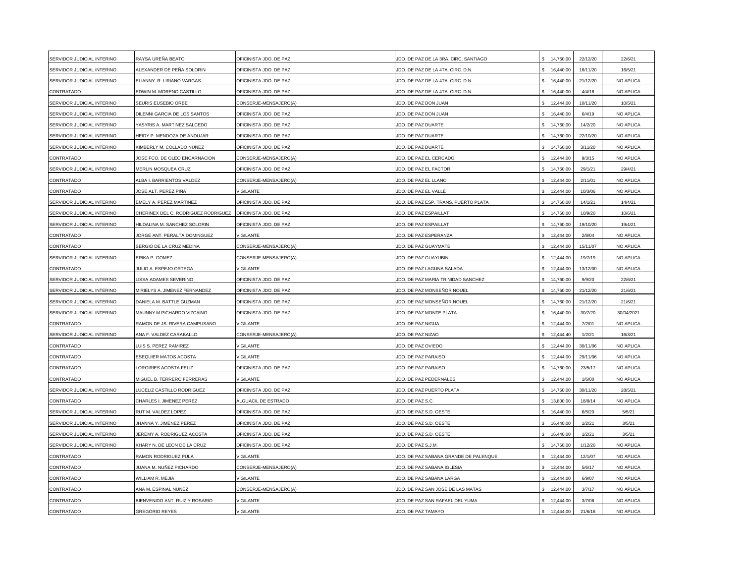| SERVIDOR JUDICIAL INTERINO | RAYSA UREÑA BEATO                   | OFICINISTA JDO. DE PAZ | JDO. DE PAZ DE LA 3RA. CIRC. SANTIAGO | 14,760.00                    | 22/12/20 | 22/6/21    |
|----------------------------|-------------------------------------|------------------------|---------------------------------------|------------------------------|----------|------------|
| SERVIDOR JUDICIAL INTERINO | ALEXANDER DE PEÑA SOLORIN           | OFICINISTA JDO. DE PAZ | JDO. DE PAZ DE LA 4TA. CIRC. D.N.     | \$16,440.00                  | 16/11/20 | 16/5/21    |
| SERVIDOR JUDICIAL INTERINO | ELIANNY R. LIRIANO VARGAS           | OFICINISTA JDO. DE PAZ | JDO. DE PAZ DE LA 4TA. CIRC. D.N.     | 16,440.00                    | 21/12/20 | NO APLICA  |
| CONTRATADO                 | EDWIN M. MORENO CASTILLO            | OFICINISTA JDO. DE PAZ | JDO. DE PAZ DE LA 4TA. CIRC. D.N.     | \$16,440.00                  | 4/4/16   | NO APLICA  |
| SERVIDOR JUDICIAL INTERINO | SEURIS EUSEBIO ORBE                 | CONSERJE-MENSAJERO(A)  | JDO. DE PAZ DON JUAN                  | \$<br>12,444.00              | 10/11/20 | 10/5/21    |
| SERVIDOR JUDICIAL INTERINO | DILENNI GARCIA DE LOS SANTOS        | OFICINISTA JDO. DE PAZ | JDO. DE PAZ DON JUAN                  | 16,440.00<br>\$.             | 6/4/19   | NO APLICA  |
| SERVIDOR JUDICIAL INTERINO | YASYRIS A. MARTINEZ SALCEDO         | OFICINISTA JDO. DE PAZ | <b>JDO. DE PAZ DUARTE</b>             | 14,760.00<br>\$.             | 14/2/20  | NO APLICA  |
| SERVIDOR JUDICIAL INTERINO | HEIDY P. MENDOZA DE ANDUJAR         | OFICINISTA JDO. DE PAZ | JDO. DE PAZ DUARTE                    | 14,760.00<br>\$.             | 22/10/20 | NO APLICA  |
| SERVIDOR JUDICIAL INTERINO | KIMBERLY M. COLLADO NUÑEZ           | OFICINISTA JDO. DE PAZ | JDO. DE PAZ DUARTE                    | \$<br>14,760.00              | 3/11/20  | NO APLICA  |
| CONTRATADO                 | JOSE FCO. DE OLEO ENCARNACION       | CONSERJE-MENSAJERO(A)  | JDO. DE PAZ EL CERCADO                | 12,444.00                    | 9/3/15   | NO APLICA  |
| SERVIDOR JUDICIAL INTERINO | MERLIN MOSQUEA CRUZ                 | OFICINISTA JDO. DE PAZ | JDO. DE PAZ EL FACTOR                 | \$<br>14,760.00              | 29/1/21  | 29/4/21    |
| CONTRATADO                 | ALBA I. BARRIENTOS VALDEZ           | CONSERJE-MENSAJERO(A)  | JDO. DE PAZ EL LLANO                  | 12,444.00                    | 2/11/01  | NO APLICA  |
| CONTRATADO                 | JOSE ALT. PEREZ PIÑA                | <b>/IGILANTE</b>       | JDO. DE PAZ EL VALLE                  | 12,444.00<br>\$              | 10/3/06  | NO APLICA  |
| SERVIDOR JUDICIAL INTERINO | EMELY A. PEREZ MARTINEZ             | OFICINISTA JDO. DE PAZ | IDO. DE PAZ ESP. TRANS. PUERTO PLATA  | \$14,760.00                  | 14/1/21  | 14/4/21    |
| SERVIDOR JUDICIAL INTERINO | CHERINEX DEL C. RODRIGUEZ RODRIGUEZ | OFICINISTA JDO. DE PAZ | JDO. DE PAZ ESPAILLAT                 | \$14,760.00                  | 10/9/20  | 10/6/21    |
| SERVIDOR JUDICIAL INTERINO | HILDALINA M. SANCHEZ SOLORIN        | OFICINISTA JDO. DE PAZ | <b>JDO, DE PAZ ESPAILLAT</b>          | \$14,760.00                  | 19/10/20 | 19/4/21    |
| CONTRATADO                 | JORGE ANT. PERALTA DOMINGUEZ        | <b>/IGILANTE</b>       | JDO. DE PAZ ESPERANZA                 | 12,444.00                    | 2/8/04   | NO APLICA  |
| CONTRATADO                 | SERGIO DE LA CRUZ MEDINA            | CONSERJE-MENSAJERO(A)  | <b>JDO. DE PAZ GUAYMATE</b>           | 12,444.00<br>\$.             | 15/11/07 | NO APLICA  |
| SERVIDOR JUDICIAL INTERINO | <b>ERIKA P. GOMEZ</b>               | CONSERJE-MENSAJERO(A)  | JDO. DE PAZ GUAYUBIN                  | \$<br>12,444.00              | 19/7/19  | NO APLICA  |
| CONTRATADO                 | JULIO A. ESPEJO ORTEGA              | <b>/IGILANTE</b>       | JDO. DE PAZ LAGUNA SALADA             | 12,444.00                    | 13/12/00 | NO APLICA  |
| SERVIDOR JUDICIAL INTERINO | ISSA ADAMES SEVERINO                | OFICINISTA JDO. DE PAZ | JDO. DE PAZ MARIA TRINIDAD SANCHEZ    | 14,760.00                    | 9/9/20   | 22/6/21    |
| SERVIDOR JUDICIAL INTERINO | MIRIELYS A. JIMENEZ FERNANDEZ       | OFICINISTA JDO. DE PAZ | JDO. DE PAZ MONSEÑOR NOUEL            | \$14,760.00                  | 21/12/20 | 21/6/21    |
| SERVIDOR JUDICIAL INTERINO | DANIELA M. BATTLE GUZMAN            | OFICINISTA JDO. DE PAZ | IDO. DE PAZ MONSEÑOR NOUEL            | \$14,760.00                  | 21/12/20 | 21/6/21    |
| SERVIDOR JUDICIAL INTERINO | MAUNNY M PICHARDO VIZCAINO          | OFICINISTA JDO. DE PAZ | JDO. DE PAZ MONTE PLATA               | \$16,440.00                  | 30/7/20  | 30/04/2021 |
| CONTRATADO                 | RAMON DE JS. RIVERA CAMPUSANO       | <b>/IGILANTE</b>       | <b>JDO. DE PAZ NIGUA</b>              | 12,444.00<br>\$.             | 7/2/01   | NO APLICA  |
| SERVIDOR JUDICIAL INTERINO | ANA F. VALDEZ CARABALLO             | CONSERJE-MENSAJERO(A)  | JDO. DE PAZ NIZAO                     | 12,444.40                    | 1/2/21   | 16/3/21    |
| CONTRATADO                 | UIS S. PEREZ RAMIREZ                | <b>/IGILANTE</b>       | <b>JDO. DE PAZ OVIEDO</b>             | \$ 12,444.00                 | 30/11/06 | NO APLICA  |
| CONTRATADO                 | ESEQUIER MATOS ACOSTA               | <b>/IGILANTE</b>       | JDO. DE PAZ PARAISO                   | 12,444.00                    | 29/11/06 | NO APLICA  |
| CONTRATADO                 | ORGIRIES ACOSTA FELIZ               | OFICINISTA JDO. DE PAZ | JDO. DE PAZ PARAISO                   | 14,760.00                    | 23/5/17  | NO APLICA  |
| CONTRATADO                 | MIGUEL B. TERRERO FERRERAS          | <b>/IGILANTE</b>       | JDO. DE PAZ PEDERNALES                | \$.<br>12,444.00             | 1/6/00   | NO APLICA  |
| SERVIDOR JUDICIAL INTERINO | UCELIZ CASTILLO RODRIGUEZ           | OFICINISTA JDO. DE PAZ | JDO. DE PAZ PUERTO PLATA              | \$<br>14,760.00              | 30/11/20 | 28/5/21    |
| CONTRATADO                 | CHARLES I. JIMENEZ PEREZ            | ALGUACIL DE ESTRADO    | <b>JDO. DE PAZ S.C.</b>               | 13,800.00                    | 18/8/14  | NO APLICA  |
| SERVIDOR JUDICIAL INTERINO | RUT M. VALDEZ LOPEZ                 | OFICINISTA JDO. DE PAZ | JDO. DE PAZ S.D. OESTE                | 16,440.00<br>$$\mathbbmss{}$ | 6/5/20   | 5/5/21     |
| SERVIDOR JUDICIAL INTERINO | JHANNA Y. JIMENEZ PEREZ             | OFICINISTA JDO. DE PAZ | <b>JDO, DE PAZ S.D. OESTE</b>         | 16,440.00<br>\$              | 1/2/21   | 3/5/21     |
| SERVIDOR JUDICIAL INTERINO | JEREMY A. RODRIGUEZ ACOSTA          | OFICINISTA JDO. DE PAZ | JDO. DE PAZ S.D. OESTE                | 16,440.00<br>\$.             | 1/2/21   | 3/5/21     |
| SERVIDOR JUDICIAL INTERINO | KHARY N. DE LEON DE LA CRUZ         | OFICINISTA JDO. DE PAZ | JDO. DE PAZ S.J.M.                    | 14,760.00<br>\$              | 1/12/20  | NO APLICA  |
| CONTRATADO                 | RAMON RODRIGUEZ PULA                | <b>IGILANTE</b>        | JDO. DE PAZ SABANA GRANDE DE PALENQUE | 12,444.00                    | 12/1/07  | NO APLICA  |
| CONTRATADO                 | JUANA M. NUÑEZ PICHARDO             | CONSERJE-MENSAJERO(A)  | JDO. DE PAZ SABANA IGLESIA            | 12,444.00<br>\$              | 5/6/17   | NO APLICA  |
| CONTRATADO                 | WILLIAM R. MEJIA                    | <b>/IGILANTE</b>       | JDO. DE PAZ SABANA LARGA              | 12,444.00                    | 6/9/07   | NO APLICA  |
| CONTRATADO                 | ANA M. ESPINAL NUÑEZ                | CONSERJE-MENSAJERO(A)  | JDO. DE PAZ SAN JOSE DE LAS MATAS     | 12,444.00                    | 3/7/17   | NO APLICA  |
| CONTRATADO                 | BIENVENIDO ANT. RUIZ Y ROSARIO      | /IGILANTE              | JDO. DE PAZ SAN RAFAEL DEL YUMA       | 12,444.00                    | 3/7/06   | NO APLICA  |
| CONTRATADO                 | <b>GREGORIO REYES</b>               | <b>/IGILANTE</b>       | JDO. DE PAZ TAMAYO                    | \$12,444.00                  | 21/6/16  | NO APLICA  |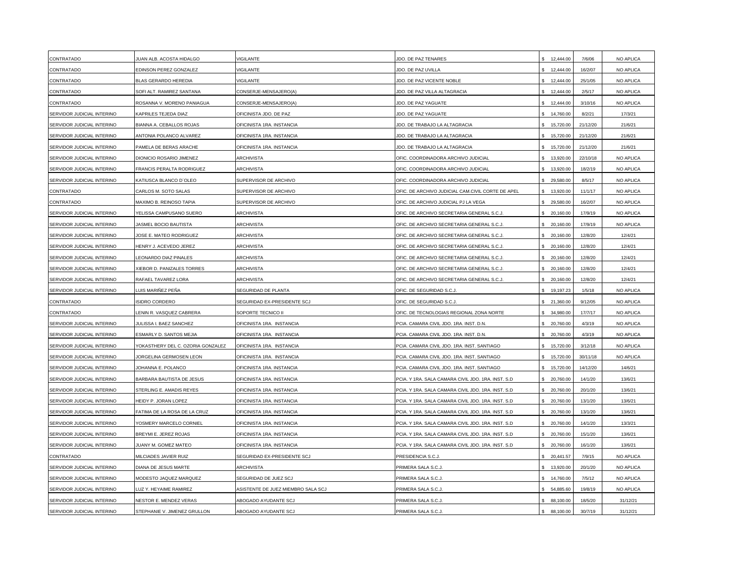| CONTRATADO                 | <b>JUAN ALB. ACOSTA HIDALGO</b>          | /IGILANTE                          | JDO. DE PAZ TENARES                                | 12,444.00        | 7/6/06   | NO APLICA        |
|----------------------------|------------------------------------------|------------------------------------|----------------------------------------------------|------------------|----------|------------------|
| CONTRATADO                 | EDINSON PEREZ GONZALEZ                   | VIGILANTE                          | JDO. DE PAZ UVILLA                                 | 12,444.00        | 16/2/07  | NO APLICA        |
| CONTRATADO                 | BLAS GERARDO HEREDIA                     | <b>VIGILANTE</b>                   | JDO. DE PAZ VICENTE NOBLE                          | 12,444.00        | 25/1/05  | NO APLICA        |
| CONTRATADO                 | SOFI ALT. RAMIREZ SANTANA                | CONSERJE-MENSAJERO(A)              | JDO. DE PAZ VILLA ALTAGRACIA                       | 12,444.00        | 2/5/17   | <b>NO APLICA</b> |
| CONTRATADO                 | ROSANNA V. MORENO PANIAGUA               | CONSERJE-MENSAJERO(A)              | JDO. DE PAZ YAGUATE                                | 12,444.00        | 3/10/16  | NO APLICA        |
| SERVIDOR JUDICIAL INTERINO | KAPRILES TEJEDA DIAZ                     | OFICINISTA JDO. DE PAZ             | JDO. DE PAZ YAGUATE                                | 14,760.00<br>\$  | 8/2/21   | 17/3/21          |
| SERVIDOR JUDICIAL INTERINO | <b>BIANNA A. CEBALLOS ROJAS</b>          | OFICINISTA 1RA. INSTANCIA          | JDO. DE TRABAJO LA ALTAGRACIA                      | 15,720.00        | 21/12/20 | 21/6/21          |
| SERVIDOR JUDICIAL INTERINO | ANTONIA POLANCO ALVAREZ                  | OFICINISTA 1RA. INSTANCIA          | JDO. DE TRABAJO LA ALTAGRACIA                      | 15,720.00<br>\$. | 21/12/20 | 21/6/21          |
| SERVIDOR JUDICIAL INTERINO | PAMELA DE BERAS ARACHE                   | OFICINISTA 1RA. INSTANCIA          | JDO. DE TRABAJO LA ALTAGRACIA                      | 15,720.00        | 21/12/20 | 21/6/21          |
| SERVIDOR JUDICIAL INTERINO | DIONICIO ROSARIO JIMENEZ                 | ARCHIVISTA                         | OFIC. COORDINADORA ARCHIVO JUDICIAL                | 13,920.00        | 22/10/18 | NO APLICA        |
| SERVIDOR JUDICIAL INTERINO | FRANCIS PERALTA RODRIGUEZ                | <b>ARCHIVISTA</b>                  | OFIC. COORDINADORA ARCHIVO JUDICIAL                | 13,920.00        | 18/2/19  | NO APLICA        |
| SERVIDOR JUDICIAL INTERINO | <b>KATIUSCA BLANCO D'OLEO</b>            | SUPERVISOR DE ARCHIVO              | OFIC. COORDINADORA ARCHIVO JUDICIAL                | 29,580.00        | 8/5/17   | NO APLICA        |
| CONTRATADO                 | CARLOS M. SOTO SALAS                     | SUPERVISOR DE ARCHIVO              | OFIC. DE ARCHIVO JUDICIAL CAM.CIVIL CORTE DE APEL  | 13,920.00        | 11/1/17  | <b>NO APLICA</b> |
| CONTRATADO                 | <b>MAXIMO B. REINOSO TAPIA</b>           | SUPERVISOR DE ARCHIVO              | OFIC. DE ARCHIVO JUDICIAL PJ LA VEGA               | 29,580.00        | 16/2/07  | NO APLICA        |
| SERVIDOR JUDICIAL INTERINO | YELISSA CAMPUSANO SUERO                  | <b>ARCHIVISTA</b>                  | OFIC. DE ARCHIVO SECRETARIA GENERAL S.C.J.         | 20,160.00<br>\$  | 17/9/19  | NO APLICA        |
| SERVIDOR JUDICIAL INTERINO | <b>ASMEL BOCIO BAUTISTA</b>              | <b>ARCHIVISTA</b>                  | OFIC. DE ARCHIVO SECRETARIA GENERAL S.C.J.         | \$<br>20,160.00  | 17/9/19  | NO APLICA        |
| SERVIDOR JUDICIAL INTERINO | JOSE E. MATEO RODRIGUEZ                  | <b>ARCHIVISTA</b>                  | OFIC. DE ARCHIVO SECRETARIA GENERAL S.C.J.         | 20,160.00        | 12/8/20  | 12/4/21          |
| SERVIDOR JUDICIAL INTERINO | <b>IENRY J. ACEVEDO JEREZ</b>            | <b>ARCHIVISTA</b>                  | OFIC. DE ARCHIVO SECRETARIA GENERAL S.C.J.         | 20,160.00        | 12/8/20  | 12/4/21          |
| SERVIDOR JUDICIAL INTERINO | EONARDO DIAZ PINALES                     | ARCHIVISTA                         | OFIC. DE ARCHIVO SECRETARIA GENERAL S.C.J.         | 20,160.00        | 12/8/20  | 12/4/21          |
| SERVIDOR JUDICIAL INTERINO | XIEBOR D. PANIZALES TORRES               | ARCHIVISTA                         | OFIC. DE ARCHIVO SECRETARIA GENERAL S.C.J.         | 20,160.00        | 12/8/20  | 12/4/21          |
| SERVIDOR JUDICIAL INTERINO | RAFAEL TAVAREZ LORA                      | <b>ARCHIVISTA</b>                  | OFIC. DE ARCHIVO SECRETARIA GENERAL S.C.J.         | 20,160.00        | 12/8/20  | 12/4/21          |
| SERVIDOR JUDICIAL INTERINO | UIS MARIÑEZ PEÑA                         | SEGURIDAD DE PLANTA                | OFIC. DE SEGURIDAD S.C.J.                          | 19,197.23        | 1/5/18   | NO APLICA        |
| CONTRATADO                 | SIDRO CORDERO                            | SEGURIDAD EX-PRESIDENTE SCJ        | OFIC. DE SEGURIDAD S.C.J.                          | 21,360.00        | 9/12/05  | NO APLICA        |
| CONTRATADO                 | ENIN R. VASQUEZ CABRERA                  | SOPORTE TECNICO II                 | OFIC. DE TECNOLOGIAS REGIONAL ZONA NORTE           | 34,980.00        | 17/7/17  | <b>NO APLICA</b> |
| SERVIDOR JUDICIAL INTERINO | <b>JULISSA I. BAEZ SANCHEZ</b>           | OFICINISTA 1RA. INSTANCIA          | <b>PCIA. CAMARA CIVIL JDO. 1RA. INST. D.N.</b>     | 20,760.00        | 4/3/19   | NO APLICA        |
| SERVIDOR JUDICIAL INTERINO | <b>ESMARLY D. SANTOS MEJIA</b>           | OFICINISTA 1RA. INSTANCIA          | PCIA. CAMARA CIVIL JDO. 1RA. INST. D.N.            | 20,760.00        | 4/3/19   | NO APLICA        |
| SERVIDOR JUDICIAL INTERINO | <b>/OKASTHERY DEL C. OZORIA GONZALEZ</b> | OFICINISTA 1RA. INSTANCIA          | PCIA. CAMARA CIVIL JDO. 1RA. INST. SANTIAGO        | 15,720.00        | 3/12/18  | NO APLICA        |
| SERVIDOR JUDICIAL INTERINO | JORGELINA GERMOSEN LEON                  | OFICINISTA 1RA. INSTANCIA          | PCIA. CAMARA CIVIL JDO. 1RA. INST. SANTIAGO        | 15,720.00        | 30/11/18 | NO APLICA        |
| SERVIDOR JUDICIAL INTERINO | JOHANNA E. POLANCO                       | OFICINISTA 1RA. INSTANCIA          | PCIA. CAMARA CIVIL JDO. 1RA. INST. SANTIAGO        | 15,720.00        | 14/12/20 | 14/6/21          |
| SERVIDOR JUDICIAL INTERINO | BARBARA BAUTISTA DE JESUS                | OFICINISTA 1RA. INSTANCIA          | PCIA. Y 1RA. SALA CAMARA CIVIL JDO. 1RA. INST. S.D | 20,760.00        | 14/1/20  | 13/6/21          |
| SERVIDOR JUDICIAL INTERINO | STERLING E. AMADIS REYES                 | OFICINISTA 1RA. INSTANCIA          | PCIA. Y 1RA. SALA CAMARA CIVIL JDO. 1RA. INST. S.D | 20,760.00        | 20/1/20  | 13/6/21          |
| SERVIDOR JUDICIAL INTERINO | <b>IEIDY P. JORAN LOPEZ</b>              | OFICINISTA 1RA. INSTANCIA          | PCIA. Y 1RA. SALA CAMARA CIVIL JDO. 1RA. INST. S.D | 20,760.00        | 13/1/20  | 13/6/21          |
| SERVIDOR JUDICIAL INTERINO | FATIMA DE LA ROSA DE LA CRUZ             | OFICINISTA 1RA. INSTANCIA          | PCIA. Y 1RA. SALA CAMARA CIVIL JDO. 1RA. INST. S.D | 20,760.00        | 13/1/20  | 13/6/21          |
| SERVIDOR JUDICIAL INTERINO | <b>/OSMERY MARCELO CORNIEL</b>           | OFICINISTA 1RA. INSTANCIA          | PCIA. Y 1RA. SALA CAMARA CIVIL JDO. 1RA. INST. S.D | 20,760.00        | 14/1/20  | 13/3/21          |
| SERVIDOR JUDICIAL INTERINO | BREYMI E. JEREZ ROJAS                    | OFICINISTA 1RA. INSTANCIA          | PCIA. Y 1RA. SALA CAMARA CIVIL JDO. 1RA. INST. S.D | 20,760.00        | 15/1/20  | 13/6/21          |
| SERVIDOR JUDICIAL INTERINO | <b>JUANY M. GOMEZ MATEO</b>              | OFICINISTA 1RA. INSTANCIA          | PCIA. Y 1RA. SALA CAMARA CIVIL JDO. 1RA. INST. S.D | 20,760.00<br>\$  | 16/1/20  | 13/6/21          |
| CONTRATADO                 | <b>MILCIADES JAVIER RUIZ</b>             | SEGURIDAD EX-PRESIDENTE SCJ        | PRESIDENCIA S.C.J                                  | 20,441.57        | 7/9/15   | NO APLICA        |
| SERVIDOR JUDICIAL INTERINO | DIANA DE JESUS MARTE                     | <b>ARCHIVISTA</b>                  | PRIMERA SALA S.C.J.                                | 13,920.00        | 20/1/20  | NO APLICA        |
| SERVIDOR JUDICIAL INTERINO | MODESTO JAQUEZ MARQUEZ                   | SEGURIDAD DE JUEZ SCJ              | PRIMERA SALA S.C.J.                                | 14,760.00        | 7/5/12   | NO APLICA        |
| SERVIDOR JUDICIAL INTERINO | LUZ Y. HEYAIME RAMIREZ                   | ASISTENTE DE JUEZ MIEMBRO SALA SCJ | PRIMERA SALA S.C.J.                                | 54,885.60        | 19/8/19  | <b>NO APLICA</b> |
| SERVIDOR JUDICIAL INTERINO | NESTOR E. MENDEZ VERAS                   | ABOGADO AYUDANTE SCJ               | PRIMERA SALA S.C.J.                                | 88,100.00        | 18/5/20  | 31/12/21         |
| SERVIDOR JUDICIAL INTERINO | STEPHANIE V. JIMENEZ GRULLON             | ABOGADO AYUDANTE SCJ               | PRIMERA SALA S.C.J.                                | 88,100.00        | 30/7/19  | 31/12/21         |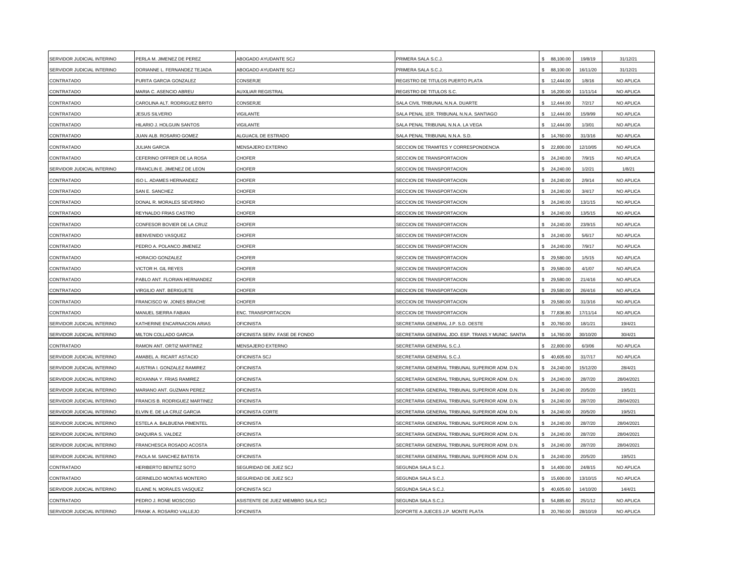| SERVIDOR JUDICIAL INTERINO | PERLA M. JIMENEZ DE PEREZ       | ABOGADO AYUDANTE SCJ               | PRIMERA SALA S.C.J.                                | \$88,100.00               | 19/8/19  | 31/12/21   |
|----------------------------|---------------------------------|------------------------------------|----------------------------------------------------|---------------------------|----------|------------|
| SERVIDOR JUDICIAL INTERINO | DORIANNE L. FERNANDEZ TEJADA    | ABOGADO AYUDANTE SCJ               | PRIMERA SALA S.C.J.                                | \$88,100.00               | 16/11/20 | 31/12/21   |
| CONTRATADO                 | PURITA GARCIA GONZALEZ          | CONSERJE                           | REGISTRO DE TITULOS PUERTO PLATA                   | 12,444.00                 | 1/8/16   | NO APLICA  |
| CONTRATADO                 | MARIA C. ASENCIO ABREU          | AUXILIAR REGISTRAL                 | REGISTRO DE TITULOS S.C.                           | 16,200.00                 | 11/11/14 | NO APLICA  |
| CONTRATADO                 | CAROLINA ALT. RODRIGUEZ BRITO   | CONSERJE                           | SALA CIVIL TRIBUNAL N.N.A. DUARTE                  | \$<br>12,444.00           | 7/2/17   | NO APLICA  |
| CONTRATADO                 | <b>JESUS SILVERIO</b>           | <b>IGILANTE</b>                    | SALA PENAL 1ER. TRIBUNAL N.N.A. SANTIAGO           | \$12,444.00               | 15/9/99  | NO APLICA  |
| CONTRATADO                 | HILARIO J. HOLGUIN SANTOS       | <b>/IGILANTE</b>                   | SALA PENAL TRIBUNAL N.N.A. LA VEGA                 | 12,444.00                 | 1/3/01   | NO APLICA  |
| CONTRATADO                 | UAN ALB. ROSARIO GOMEZ          | ALGUACIL DE ESTRADO                | SALA PENAL TRIBUNAL N.N.A. S.D.                    | 14,760.00<br>\$           | 31/3/16  | NO APLICA  |
| CONTRATADO                 | <b>JULIAN GARCIA</b>            | MENSAJERO EXTERNO                  | SECCION DE TRAMITES Y CORRESPONDENCIA              | \$22,800.00               | 12/10/05 | NO APLICA  |
| CONTRATADO                 | CEFERINO OFFRER DE LA ROSA      | CHOFER                             | SECCION DE TRANSPORTACION                          | 24,240.00<br>\$.          | 7/9/15   | NO APLICA  |
| SERVIDOR JUDICIAL INTERINO | FRANCLIN E. JIMENEZ DE LEON     | CHOFER                             | SECCION DE TRANSPORTACION                          | \$24,240.00               | 1/2/21   | 1/8/21     |
| CONTRATADO                 | ISO L. ADAMES HERNANDEZ         | CHOFER                             | SECCION DE TRANSPORTACION                          | 24,240.00                 | 2/9/14   | NO APLICA  |
| CONTRATADO                 | SAN E. SANCHEZ                  | CHOFER                             | SECCION DE TRANSPORTACION                          | \$24,240.00               | 3/4/17   | NO APLICA  |
| CONTRATADO                 | DONAL R. MORALES SEVERINO       | <b>HOFER</b>                       | SECCION DE TRANSPORTACION                          | \$24,240.00               | 13/1/15  | NO APLICA  |
| CONTRATADO                 | REYNALDO FRIAS CASTRO           | CHOFER                             | SECCION DE TRANSPORTACION                          | \$24,240.00               | 13/5/15  | NO APLICA  |
| CONTRATADO                 | CONFESOR BOVIER DE LA CRUZ      | CHOFER                             | SECCION DE TRANSPORTACION                          | 24,240.00<br>\$.          | 23/9/15  | NO APLICA  |
| CONTRATADO                 | BIENVENIDO VASQUEZ              | <b>CHOFER</b>                      | SECCION DE TRANSPORTACION                          | 24,240.00<br>\$           | 5/6/17   | NO APLICA  |
| CONTRATADO                 | PEDRO A. POLANCO JIMENEZ        | CHOFER                             | SECCION DE TRANSPORTACION                          | 24,240.00<br>\$.          | 7/9/17   | NO APLICA  |
| CONTRATADO                 | HORACIO GONZALEZ                | CHOFER                             | SECCION DE TRANSPORTACION                          | 29,580.00<br>\$.          | 1/5/15   | NO APLICA  |
| CONTRATADO                 | VICTOR H. GIL REYES             | CHOFER                             | SECCION DE TRANSPORTACION                          | 29,580.00                 | 4/1/07   | NO APLICA  |
| CONTRATADO                 | PABLO ANT. FLORIAN HERNANDEZ    | CHOFER                             | SECCION DE TRANSPORTACION                          | 29,580.00                 | 21/4/16  | NO APLICA  |
| CONTRATADO                 | <b>VIRGILIO ANT. BERIGUETE</b>  | CHOFER                             | SECCION DE TRANSPORTACION                          | 29,580.00                 | 26/4/16  | NO APLICA  |
| CONTRATADO                 | FRANCISCO W. JONES BRACHE       | <b>HOFER</b>                       | <b>SECCION DE TRANSPORTACION</b>                   | \$ 29,580.00              | 31/3/16  | NO APLICA  |
| CONTRATADO                 | MANUEL SIERRA FABIAN            | ENC. TRANSPORTACION                | SECCION DE TRANSPORTACION                          | \$77,836.80               | 17/11/14 | NO APLICA  |
| SERVIDOR JUDICIAL INTERINO | KATHERINE ENCARNACION ARIAS     | <b>OFICINISTA</b>                  | SECRETARIA GENERAL J.P. S.D. OESTE                 | 20,760.00<br>\$           | 18/1/21  | 19/4/21    |
| SERVIDOR JUDICIAL INTERINO | MILTON COLLADO GARCIA           | OFICINISTA SERV. FASE DE FONDO     | SECRETARIA GENERAL JDO. ESP. TRANS.Y MUNIC. SANTIA | 14,760.00<br>\$.          | 30/10/20 | 30/4/21    |
| CONTRATADO                 | RAMON ANT. ORTIZ MARTINEZ       | <b>MENSAJERO EXTERNO</b>           | SECRETARIA GENERAL S.C.J.                          | \$ 22,800.00              | 6/3/06   | NO APLICA  |
| SERVIDOR JUDICIAL INTERINO | AMABEL A. RICART ASTACIO        | OFICINISTA SCJ                     | SECRETARIA GENERAL S.C.J.                          | 40,605.60                 | 31/7/17  | NO APLICA  |
| SERVIDOR JUDICIAL INTERINO | AUSTRIA I. GONZALEZ RAMIREZ     | OFICINISTA                         | SECRETARIA GENERAL TRIBUNAL SUPERIOR ADM. D.N.     | 24,240.00<br>\$.          | 15/12/20 | 28/4/21    |
| SERVIDOR JUDICIAL INTERINO | ROXANNA Y. FRIAS RAMIREZ        | <b>OFICINISTA</b>                  | SECRETARIA GENERAL TRIBUNAL SUPERIOR ADM. D.N.     | $\mathbf{s}$<br>24,240.00 | 28/7/20  | 28/04/2021 |
| SERVIDOR JUDICIAL INTERINO | MARIANO ANT. GUZMAN PEREZ       | <b>OFICINISTA</b>                  | SECRETARIA GENERAL TRIBUNAL SUPERIOR ADM. D.N.     | \$24,240.00               | 20/5/20  | 19/5/21    |
| SERVIDOR JUDICIAL INTERINO | FRANCIS B. RODRIGUEZ MARTINEZ   | <b>OFICINISTA</b>                  | SECRETARIA GENERAL TRIBUNAL SUPERIOR ADM. D.N.     | 24,240.00                 | 28/7/20  | 28/04/2021 |
| SERVIDOR JUDICIAL INTERINO | ELVIN E. DE LA CRUZ GARCIA      | OFICINISTA CORTE                   | SECRETARIA GENERAL TRIBUNAL SUPERIOR ADM. D.N.     | \$24,240.00               | 20/5/20  | 19/5/21    |
| SERVIDOR JUDICIAL INTERINO | ESTELA A. BALBUENA PIMENTEL     | <b>OFICINISTA</b>                  | SECRETARIA GENERAL TRIBUNAL SUPERIOR ADM. D.N.     | 24,240.00<br>\$.          | 28/7/20  | 28/04/2021 |
| SERVIDOR JUDICIAL INTERINO | DAIQUIRA S. VALDEZ              | <b>OFICINISTA</b>                  | SECRETARIA GENERAL TRIBUNAL SUPERIOR ADM. D.N.     | 24,240.00<br>\$.          | 28/7/20  | 28/04/2021 |
| SERVIDOR JUDICIAL INTERINO | FRANCHESCA ROSADO ACOSTA        | OFICINISTA                         | SECRETARIA GENERAL TRIBUNAL SUPERIOR ADM. D.N.     | 24,240.00                 | 28/7/20  | 28/04/2021 |
| SERVIDOR JUDICIAL INTERINO | PAOLA M. SANCHEZ BATISTA        | OFICINISTA                         | SECRETARIA GENERAL TRIBUNAL SUPERIOR ADM. D.N.     | 24,240.00                 | 20/5/20  | 19/5/21    |
| CONTRATADO                 | HERIBERTO BENITEZ SOTO          | SEGURIDAD DE JUEZ SCJ              | SEGUNDA SALA S.C.J.                                | \$14,400.00               | 24/8/15  | NO APLICA  |
| CONTRATADO                 | <b>GERINELDO MONTAS MONTERO</b> | SEGURIDAD DE JUEZ SCJ              | SEGUNDA SALA S.C.J.                                | 15,600.00                 | 13/10/15 | NO APLICA  |
| SERVIDOR JUDICIAL INTERINO | ELAINE N. MORALES VASQUEZ       | OFICINISTA SCJ                     | SEGUNDA SALA S.C.J.                                | \$40,605.60               | 14/10/20 | 14/4/21    |
| CONTRATADO                 | PEDRO J. RONE MOSCOSO           | ASISTENTE DE JUEZ MIEMBRO SALA SCJ | SEGUNDA SALA S.C.J.                                | \$.<br>54,885.60          | 25/1/12  | NO APLICA  |
| SERVIDOR JUDICIAL INTERINO | FRANK A. ROSARIO VALLEJO        | <b>OFICINISTA</b>                  | SOPORTE A JUECES J.P. MONTE PLATA                  | 20,760.00<br>\$           | 28/10/19 | NO APLICA  |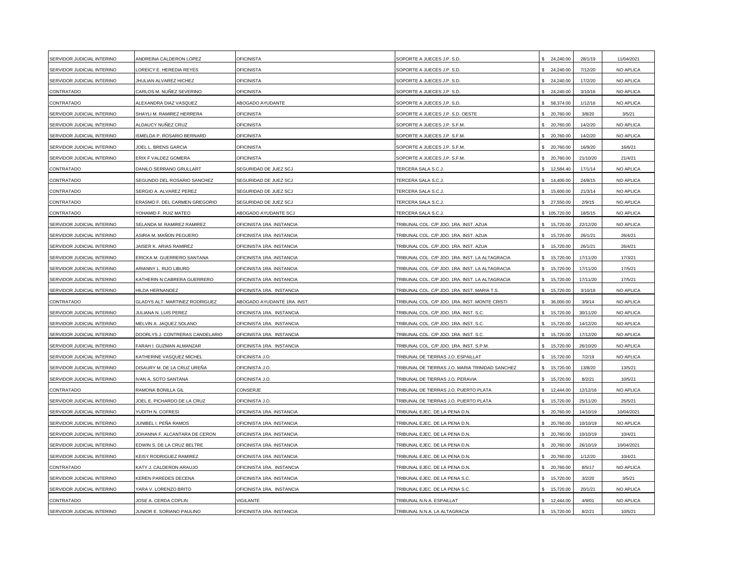| SERVIDOR JUDICIAL INTERINO | ANDREINA CALDERON LOPEZ               | <b>OFICINISTA</b>                | SOPORTE A JUECES J.P. S.D.                      | 24,240.00        | 28/1/19  | 11/04/2021 |
|----------------------------|---------------------------------------|----------------------------------|-------------------------------------------------|------------------|----------|------------|
| SERVIDOR JUDICIAL INTERINO | OREICY E. HEREDIA REYES               | <b>OFICINISTA</b>                | SOPORTE A JUECES J.P. S.D.                      | \$24,240.00      | 7/12/20  | NO APLICA  |
| SERVIDOR JUDICIAL INTERINO | JHULIAN ALVAREZ HICHEZ                | <b>OFICINISTA</b>                | SOPORTE A JUECES J.P. S.D.                      | 24,240.00        | 17/2/20  | NO APLICA  |
| CONTRATADO                 | CARLOS M. NUÑEZ SEVERINO              | <b>OFICINISTA</b>                | SOPORTE A JUECES J.P. S.D.                      | \$24,240.00      | 3/10/16  | NO APLICA  |
| CONTRATADO                 | ALEXANDRA DIAZ VASQUEZ                | ABOGADO AYUDANTE                 | SOPORTE A JUECES J.P. S.D.                      | \$ 58,374.00     | 1/12/16  | NO APLICA  |
| SERVIDOR JUDICIAL INTERINO | SHAYLI M. RAMIREZ HERRERA             | <b>OFICINISTA</b>                | SOPORTE A JUECES J.P. S.D. OESTE                | \$ 20,760.00     | 3/8/20   | 3/5/21     |
| SERVIDOR JUDICIAL INTERINO | ALDAUCY NUÑEZ CRUZ                    | <b>OFICINISTA</b>                | SOPORTE A JUECES J.P. S.F.M.                    | \$ 20,760.00     | 14/2/20  | NO APLICA  |
| SERVIDOR JUDICIAL INTERINO | SMELDA P. ROSARIO BERNARD             | <b>OFICINISTA</b>                | SOPORTE A JUECES J.P. S.F.M.                    | \$ 20,760.00     | 14/2/20  | NO APLICA  |
| SERVIDOR JUDICIAL INTERINO | JOEL L. BRENS GARCIA                  | <b>OFICINISTA</b>                | SOPORTE A JUECES J.P. S.F.M.                    | 20,760.00        | 16/9/20  | 16/6/21    |
| SERVIDOR JUDICIAL INTERINO | ERIX F VALDEZ GOMERA                  | <b>OFICINISTA</b>                | SOPORTE A JUECES J.P. S.F.M                     | 20,760.00        | 21/10/20 | 21/4/21    |
| CONTRATADO                 | DANILO SERRANO GRULLART               | SEGURIDAD DE JUEZ SCJ            | TERCERA SALA S.C.J.                             | 12,584.40<br>\$  | 17/1/14  | NO APLICA  |
| CONTRATADO                 | SEGUNDO DEL ROSARIO SANCHEZ           | SEGURIDAD DE JUEZ SCJ            | TERCERA SALA S.C.J                              | 14,400.00        | 24/8/15  | NO APLICA  |
| CONTRATADO                 | SERGIO A. ALVAREZ PEREZ               | SEGURIDAD DE JUEZ SCJ            | TERCERA SALA S.C.J                              | \$ 15,600.00     | 21/3/14  | NO APLICA  |
| CONTRATADO                 | ERASMO F. DEL CARMEN GREGORIO         | SEGURIDAD DE JUEZ SCJ            | TERCERA SALA S.C.J.                             | \$ 27,550.00     | 2/9/15   | NO APLICA  |
| CONTRATADO                 | YOHAMID F. RUIZ MATEO                 | ABOGADO AYUDANTE SCJ             | TERCERA SALA S.C.J.                             | \$105,720.00     | 18/5/15  | NO APLICA  |
| SERVIDOR JUDICIAL INTERINO | SELANDA M. RAMIREZ RAMIREZ            | OFICINISTA 1RA. INSTANCIA        | TRIBUNAL COL. C/P JDO. 1RA. INST. AZUA          | \$ 15,720.00     | 22/12/20 | NO APLICA  |
| SERVIDOR JUDICIAL INTERINO | ASIRIA M. MAÑON PEGUERO               | OFICINISTA 1RA. INSTANCIA        | TRIBUNAL COL. C/P JDO. 1RA. INST. AZUA          | 15,720.00        | 26/1/21  | 26/4/21    |
| SERVIDOR JUDICIAL INTERINO | JAISER K. ARIAS RAMIREZ               | OFICINISTA 1RA. INSTANCIA        | TRIBUNAL COL. C/P JDO. 1RA. INST. AZUA          | 15,720.00<br>\$. | 26/1/21  | 26/4/21    |
| SERVIDOR JUDICIAL INTERINO | ERICKA M. GUERRERO SANTANA            | OFICINISTA 1RA. INSTANCIA        | TRIBUNAL COL. C/P JDO. 1RA. INST. LA ALTAGRACIA | 15,720.00<br>\$. | 17/11/20 | 17/3/21    |
| SERVIDOR JUDICIAL INTERINO | ARIANNY L. RIJO LIBURD                | <b>DFICINISTA 1RA. INSTANCIA</b> | TRIBUNAL COL. C/P JDO. 1RA. INST. LA ALTAGRACIA | 15,720.00        | 17/11/20 | 17/5/21    |
| SERVIDOR JUDICIAL INTERINO | KATHERIN N CABRERA GUERRERO           | OFICINISTA 1RA. INSTANCIA        | TRIBUNAL COL. C/P JDO. 1RA. INST. LA ALTAGRACIA | 15,720.00        | 17/11/20 | 17/5/21    |
| SERVIDOR JUDICIAL INTERINO | HILDA HERNANDEZ                       | OFICINISTA 1RA. INSTANCIA        | TRIBUNAL COL. C/P JDO. 1RA. INST. MARIA T.S.    | \$ 15,720.00     | 3/10/18  | NO APLICA  |
| CONTRATADO                 | <b>GLADYS ALT. MARTINEZ RODRIGUEZ</b> | ABOGADO AYUDANTE 1RA. INST.      | FRIBUNAL COL. C/P JDO. 1RA. INST. MONTE CRISTI  | \$36,000.00      | 3/9/14   | NO APLICA  |
| SERVIDOR JUDICIAL INTERINO | JULIANA N. LUIS PEREZ                 | OFICINISTA 1RA. INSTANCIA        | TRIBUNAL COL. C/P JDO. 1RA. INST. S.C.          | \$ 15,720.00     | 30/11/20 | NO APLICA  |
| SERVIDOR JUDICIAL INTERINO | MELVIN A. JAQUEZ SOLANO               | OFICINISTA 1RA. INSTANCIA        | TRIBUNAL COL. C/P JDO. 1RA. INST. S.C.          | \$ 15,720.00     | 14/12/20 | NO APLICA  |
| SERVIDOR JUDICIAL INTERINO | DOORLYS J. CONTRERAS CANDELARIO       | OFICINISTA 1RA. INSTANCIA        | TRIBUNAL COL. C/P JDO. 1RA. INST. S.C.          | 15,720.00        | 17/12/20 | NO APLICA  |
| SERVIDOR JUDICIAL INTERINO | FARAH I. GUZMAN ALMANZAR              | OFICINISTA 1RA. INSTANCIA        | TRIBUNAL COL. C/P JDO. 1RA. INST. S.P.M.        | 15,720.00<br>\$. | 26/10/20 | NO APLICA  |
| SERVIDOR JUDICIAL INTERINO | KATHERINE VASQUEZ MICHEL              | OFICINISTA J.O.                  | TRIBUNAL DE TIERRAS J.O. ESPAILLAT              | 15,720.00        | 7/2/19   | NO APLICA  |
| SERVIDOR JUDICIAL INTERINO | DISAURY M. DE LA CRUZ UREÑA           | OFICINISTA J.O.                  | TRIBUNAL DE TIERRAS J.O. MARIA TRINIDAD SANCHEZ | \$ 15,720.00     | 13/8/20  | 13/5/21    |
| SERVIDOR JUDICIAL INTERINO | IVAN A. SOTO SANTANA                  | <b>DFICINISTA J.O.</b>           | TRIBUNAL DE TIERRAS J.O. PERAVIA                | \$ 15,720.00     | 8/2/21   | 10/5/21    |
| CONTRATADO                 | RAMONA BONILLA GIL                    | CONSERJE                         | TRIBUNAL DE TIERRAS J.O. PUERTO PLATA           | \$12,444.00      | 12/12/16 | NO APLICA  |
| SERVIDOR JUDICIAL INTERINO | JOEL E. PICHARDO DE LA CRUZ           | OFICINISTA J.O.                  | <b>FRIBUNAL DE TIERRAS J.O. PUERTO PLATA</b>    | \$.<br>15,720.00 | 25/11/20 | 25/5/21    |
| SERVIDOR JUDICIAL INTERINO | YUDITH N. COFRESI                     | OFICINISTA 1RA. INSTANCIA        | TRIBUNAL EJEC. DE LA PENA D.N.                  | 20,760.00<br>\$. | 14/10/19 | 10/04/2021 |
| SERVIDOR JUDICIAL INTERINO | JUNIBEL I. PEÑA RAMOS                 | OFICINISTA 1RA. INSTANCIA        | TRIBUNAL EJEC. DE LA PENA D.N.                  | \$ 20,760.00     | 10/10/19 | NO APLICA  |
| SERVIDOR JUDICIAL INTERINO | JOHANNA F. ALCANTARA DE CERON         | OFICINISTA 1RA. INSTANCIA        | TRIBUNAL EJEC. DE LA PENA D.N.                  | 20,760.00        | 10/10/19 | 10/4/21    |
| SERVIDOR JUDICIAL INTERINO | EDWIN S. DE LA CRUZ BELTRE            | OFICINISTA 1RA. INSTANCIA        | TRIBUNAL EJEC. DE LA PENA D.N.                  | 20,760.00        | 26/10/19 | 10/04/2021 |
| SERVIDOR JUDICIAL INTERINO | KEISY RODRIGUEZ RAMIREZ               | <b>DFICINISTA 1RA. INSTANCIA</b> | TRIBUNAL EJEC. DE LA PENA D.N.                  | 20,760.00        | 1/12/20  | 10/4/21    |
| CONTRATADO                 | KATY J. CALDERON ARAUJO               | <b>DFICINISTA 1RA. INSTANCIA</b> | TRIBUNAL EJEC. DE LA PENA D.N.                  | \$ 20,760.00     | 8/5/17   | NO APLICA  |
| SERVIDOR JUDICIAL INTERINO | KEREN PAREDES DECENA                  | OFICINISTA 1RA. INSTANCIA        | TRIBUNAL EJEC. DE LA PENA S.C.                  | \$ 15,720.00     | 3/2/20   | 3/5/21     |
| SERVIDOR JUDICIAL INTERINO | YARA V. LORENZO BRITO                 | OFICINISTA 1RA. INSTANCIA        | TRIBUNAL EJEC. DE LA PENA S.C.                  | \$ 15,720.00     | 20/1/21  | NO APLICA  |
| CONTRATADO                 | JOSE A. CERDA COPLIN                  | <b>/IGILANTE</b>                 | TRIBUNAL N.N.A. ESPAILLAT                       | \$<br>12,444.00  | 4/9/01   | NO APLICA  |
| SERVIDOR JUDICIAL INTERINO | JUNIOR E. SORIANO PAULINO             | OFICINISTA 1RA. INSTANCIA        | TRIBUNAL N.N.A. LA ALTAGRACIA                   | 15,720.00<br>\$. | 8/2/21   | 10/5/21    |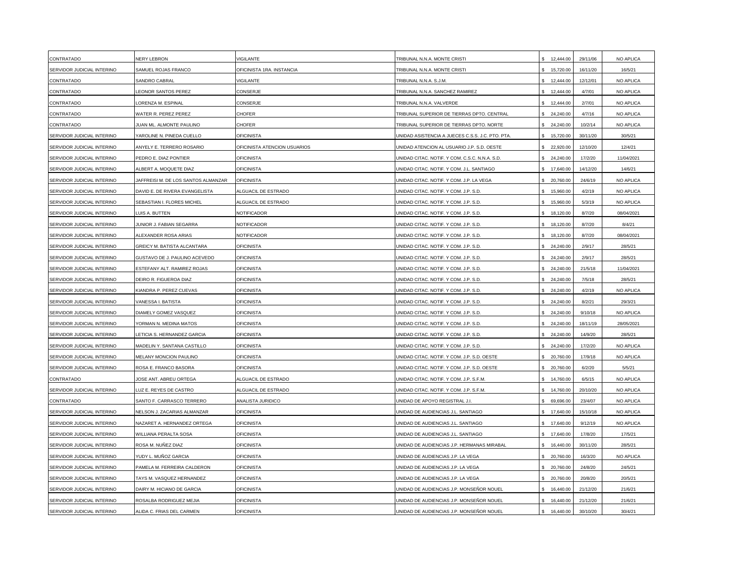| CONTRATADO                 | NERY LEBRON                        | <b>/IGILANTE</b>             | TRIBUNAL N.N.A. MONTE CRISTI                    | 12,444.00                       | 29/11/06 | NO APLICA  |
|----------------------------|------------------------------------|------------------------------|-------------------------------------------------|---------------------------------|----------|------------|
| SERVIDOR JUDICIAL INTERINO | SAMUEL ROJAS FRANCO                | OFICINISTA 1RA. INSTANCIA    | TRIBUNAL N.N.A. MONTE CRISTI                    | \$ 15,720.00                    | 16/11/20 | 16/5/21    |
| CONTRATADO                 | <b>SANDRO CABRAL</b>               | /IGILANTE                    | TRIBUNAL N.N.A. S.J.M.                          | \$12,444.00                     | 12/12/01 | NO APLICA  |
| CONTRATADO                 | <b>EONOR SANTOS PEREZ</b>          | CONSERJE                     | TRIBUNAL N.N.A. SANCHEZ RAMIREZ                 | \$12,444.00                     | 4/7/01   | NO APLICA  |
| CONTRATADO                 | ORENZA M. ESPINAL                  | CONSERJE                     | TRIBUNAL N.N.A. VALVERDE                        | \$<br>12,444.00                 | 2/7/01   | NO APLICA  |
| CONTRATADO                 | <b>NATER R. PEREZ PEREZ</b>        | CHOFFR                       | TRIBUNAL SUPERIOR DE TIERRAS DPTO. CENTRAL      | 24.240.00<br>\$.                | 4/7/16   | NO APLICA  |
| CONTRATADO                 | <b>JUAN ML. ALMONTE PAULINO</b>    | CHOFER                       | TRIBUNAL SUPERIOR DE TIERRAS DPTO. NORTE        | \$24,240.00                     | 10/2/14  | NO APLICA  |
| SERVIDOR JUDICIAL INTERINO | YAROLINE N. PINEDA CUELLO          | <b>OFICINISTA</b>            | UNIDAD ASISTENCIA A JUECES C.S.S. J.C. PTO. PTA | 15,720.00<br>\$.                | 30/11/20 | 30/5/21    |
| SERVIDOR JUDICIAL INTERINO | ANYELY E. TERRERO ROSARIO          | OFICINISTA ATENCION USUARIOS | UNIDAD ATENCION AL USUARIO J.P. S.D. OESTE      | 22,920.00                       | 12/10/20 | 12/4/21    |
| SERVIDOR JUDICIAL INTERINO | PEDRO E. DIAZ PONTIER              | OFICINISTA                   | UNIDAD CITAC. NOTIF. Y COM. C.S.C. N.N.A. S.D.  | 24,240.00                       | 17/2/20  | 11/04/2021 |
| SERVIDOR JUDICIAL INTERINO | ALBERT A. MOQUETE DIAZ             | OFICINISTA                   | UNIDAD CITAC. NOTIF. Y COM. J.L. SANTIAGO       | \$ 17,640.00                    | 14/12/20 | 14/6/21    |
| SERVIDOR JUDICIAL INTERINO | AFFREISI M. DE LOS SANTOS ALMANZAR | <b>OFICINISTA</b>            | JNIDAD CITAC. NOTIF. Y COM. J.P. LA VEGA        | 20,760.00                       | 24/6/19  | NO APLICA  |
| SERVIDOR JUDICIAL INTERINO | DAVID E. DE RIVERA EVANGELISTA     | ALGUACIL DE ESTRADO          | UNIDAD CITAC. NOTIF. Y COM. J.P. S.D.           | \$ 15,960.00                    | 4/2/19   | NO APLICA  |
| SERVIDOR JUDICIAL INTERINO | SEBASTIAN I. FLORES MICHEL         | ALGUACIL DE ESTRADO          | UNIDAD CITAC. NOTIF. Y COM. J.P. S.D.           | \$15,960.00                     | 5/3/19   | NO APLICA  |
| SERVIDOR JUDICIAL INTERINO | UIS A. BUTTEN                      | NOTIFICADOR                  | UNIDAD CITAC. NOTIF. Y COM. J.P. S.D.           | \$18,120.00                     | 8/7/20   | 08/04/2021 |
| SERVIDOR JUDICIAL INTERINO | <b>JUNIOR J. FABIAN SEGARRA</b>    | NOTIFICADOR                  | UNIDAD CITAC. NOTIF. Y COM. J.P. S.D.           | \$ 18,120.00                    | 8/7/20   | 8/4/21     |
| SERVIDOR JUDICIAL INTERINO | <b>ILEXANDER ROSA ARIAS</b>        | NOTIFICADOR                  | UNIDAD CITAC. NOTIF. Y COM. J.P. S.D.           | 18,120.00                       | 8/7/20   | 08/04/2021 |
| SERVIDOR JUDICIAL INTERINO | GREICY M. BATISTA ALCANTARA        | <b>OFICINISTA</b>            | UNIDAD CITAC. NOTIF. Y COM. J.P. S.D.           | 24,240.00                       | 2/9/17   | 28/5/21    |
| SERVIDOR JUDICIAL INTERINO | GUSTAVO DE J. PAULINO ACEVEDO      | <b>OFICINISTA</b>            | UNIDAD CITAC. NOTIF. Y COM. J.P. S.D.           | 24,240.00                       | 2/9/17   | 28/5/21    |
| SERVIDOR JUDICIAL INTERINO | <b>ESTEFANY ALT. RAMIREZ ROJAS</b> | <b>OFICINISTA</b>            | UNIDAD CITAC. NOTIF. Y COM. J.P. S.D.           | \$24,240.00                     | 21/5/18  | 11/04/2021 |
| SERVIDOR JUDICIAL INTERINO | DEIRO R. FIGUEROA DIAZ             | <b>OFICINISTA</b>            | JNIDAD CITAC. NOTIF. Y COM. J.P. S.D.           | 24,240.00                       | 7/5/18   | 28/5/21    |
| SERVIDOR JUDICIAL INTERINO | (IANDRA P. PEREZ CUEVAS            | <b>OFICINISTA</b>            | UNIDAD CITAC. NOTIF. Y COM. J.P. S.D.           | \$24,240.00                     | 4/2/19   | NO APLICA  |
| SERVIDOR JUDICIAL INTERINO | /ANESSA I. BATISTA                 | <b>OFICINISTA</b>            | UNIDAD CITAC. NOTIF. Y COM. J.P. S.D.           | \$24,240.00                     | 8/2/21   | 29/3/21    |
| SERVIDOR JUDICIAL INTERINO | DIAMELY GOMEZ VASQUEZ              | <b>OFICINISTA</b>            | UNIDAD CITAC. NOTIF. Y COM. J.P. S.D.           | \$24,240.00                     | 9/10/18  | NO APLICA  |
| SERVIDOR JUDICIAL INTERINO | <b>/ORMAN N. MEDINA MATOS</b>      | <b>OFICINISTA</b>            | UNIDAD CITAC. NOTIF. Y COM. J.P. S.D.           | 24,240.00<br>\$.                | 18/11/19 | 28/05/2021 |
| SERVIDOR JUDICIAL INTERINO | ETICIA S. HERNANDEZ GARCIA         | <b>OFICINISTA</b>            | UNIDAD CITAC. NOTIF. Y COM. J.P. S.D.           | 24,240.00                       | 14/9/20  | 28/5/21    |
| SERVIDOR JUDICIAL INTERINO | MADELIN Y. SANTANA CASTILLO        | <b>OFICINISTA</b>            | UNIDAD CITAC. NOTIF. Y COM. J.P. S.D.           | \$24,240.00                     | 17/2/20  | NO APLICA  |
| SERVIDOR JUDICIAL INTERINO | MELANY MONCION PAULINO             | OFICINISTA                   | UNIDAD CITAC. NOTIF. Y COM. J.P. S.D. OESTE     | 20,760.00                       | 17/9/18  | NO APLICA  |
| SERVIDOR JUDICIAL INTERINO | ROSA E. FRANCO BASORA              | OFICINISTA                   | UNIDAD CITAC. NOTIF. Y COM. J.P. S.D. OESTE     | 20,760.00                       | 6/2/20   | 5/5/21     |
| CONTRATADO                 | JOSE ANT. ABREU ORTEGA             | ALGUACIL DE ESTRADO          | UNIDAD CITAC. NOTIF. Y COM. J.P. S.F.M.         | 14,760.00<br>\$.                | 6/5/15   | NO APLICA  |
| SERVIDOR JUDICIAL INTERINO | LUZ E. REYES DE CASTRO             | ALGUACIL DE ESTRADO          | UNIDAD CITAC. NOTIF. Y COM. J.P. S.F.M.         | \$ 14,760.00                    | 20/10/20 | NO APLICA  |
| CONTRATADO                 | SANTO F. CARRASCO TERRERO          | ANALISTA JURIDICO            | JNIDAD DE APOYO REGISTRAL J.I.                  | 69,696.00                       | 23/4/07  | NO APLICA  |
| SERVIDOR JUDICIAL INTERINO | <b>VELSON J. ZACARIAS ALMANZAR</b> | <b>OFICINISTA</b>            | UNIDAD DE AUDIENCIAS J.L. SANTIAGO              | 17.640.00<br>$\hat{\mathbf{x}}$ | 15/10/18 | NO APLICA  |
| SERVIDOR JUDICIAL INTERINO | NAZARET A. HERNANDEZ ORTEGA        | <b>OFICINISTA</b>            | UNIDAD DE AUDIENCIAS J.L. SANTIAGO              | \$17,640.00                     | 9/12/19  | NO APLICA  |
| SERVIDOR JUDICIAL INTERINO | WILLIANA PERALTA SOSA              | <b>OFICINISTA</b>            | UNIDAD DE AUDIENCIAS J.L. SANTIAGO              | \$17,640.00                     | 17/8/20  | 17/5/21    |
| SERVIDOR JUDICIAL INTERINO | ROSA M. NUÑEZ DIAZ                 | OFICINISTA                   | UNIDAD DE AUDIENCIAS J.P. HERMANAS MIRABAL      | \$.<br>16,440.00                | 30/11/20 | 28/5/21    |
| SERVIDOR JUDICIAL INTERINO | YUDY L. MUÑOZ GARCIA               | OFICINISTA                   | UNIDAD DE AUDIENCIAS J.P. LA VEGA               | 20,760.00                       | 16/3/20  | NO APLICA  |
| SERVIDOR JUDICIAL INTERINO | PAMELA M. FERREIRA CALDERON        | <b>OFICINISTA</b>            | UNIDAD DE AUDIENCIAS J.P. LA VEGA               | 20,760.00<br>\$                 | 24/8/20  | 24/5/21    |
| SERVIDOR JUDICIAL INTERINO | TAYS M. VASQUEZ HERNANDEZ          | <b>OFICINISTA</b>            | JNIDAD DE AUDIENCIAS J.P. LA VEGA               | 20,760.00                       | 20/8/20  | 20/5/21    |
| SERVIDOR JUDICIAL INTERINO | DAIRY M. HICIANO DE GARCIA         | <b>OFICINISTA</b>            | UNIDAD DE AUDIENCIAS J.P. MONSEÑOR NOUEL        | 16,440.00                       | 21/12/20 | 21/6/21    |
| SERVIDOR JUDICIAL INTERINO | ROSALBA RODRIGUEZ MEJIA            | <b>OFICINISTA</b>            | JNIDAD DE AUDIENCIAS J.P. MONSEÑOR NOUEL        | 16,440.00                       | 21/12/20 | 21/6/21    |
| SERVIDOR JUDICIAL INTERINO | ALIDA C. FRIAS DEL CARMEN          | <b>OFICINISTA</b>            | UNIDAD DE AUDIENCIAS J.P. MONSEÑOR NOUEL        | 16,440.00<br>$\mathbf{s}$       | 30/10/20 | 30/4/21    |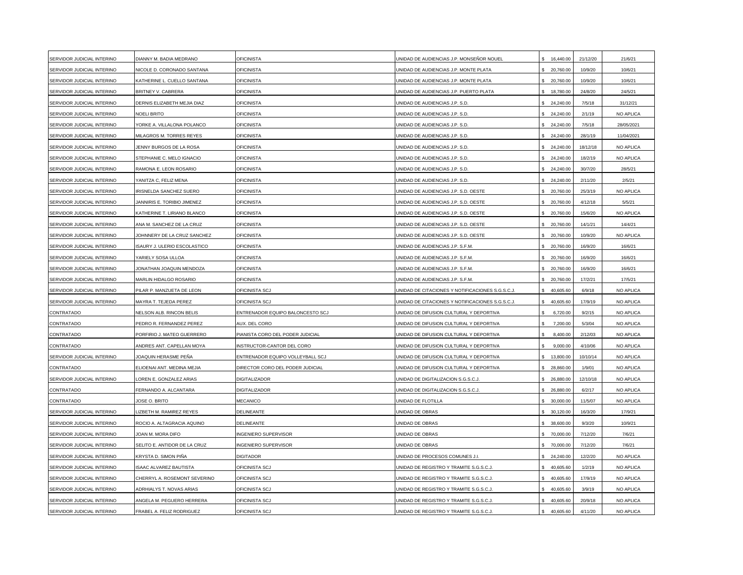| SERVIDOR JUDICIAL INTERINO | DIANNY M. BADIA MEDRANO       | <b>OFICINISTA</b>                | UNIDAD DE AUDIENCIAS J.P. MONSEÑOR NOUEL         | 16,440.00        | 21/12/20 | 21/6/21    |
|----------------------------|-------------------------------|----------------------------------|--------------------------------------------------|------------------|----------|------------|
| SERVIDOR JUDICIAL INTERINO | NICOLE D. CORONADO SANTANA    | <b>OFICINISTA</b>                | UNIDAD DE AUDIENCIAS J.P. MONTE PLATA            | \$ 20,760.00     | 10/9/20  | 10/6/21    |
| SERVIDOR JUDICIAL INTERINO | KATHERINE L. CUELLO SANTANA   | <b>OFICINISTA</b>                | UNIDAD DE AUDIENCIAS J.P. MONTE PLATA            | 20,760.00        | 10/9/20  | 10/6/21    |
| SERVIDOR JUDICIAL INTERINO | BRITNEY V. CABRERA            | <b>OFICINISTA</b>                | UNIDAD DE AUDIENCIAS J.P. PUERTO PLATA           | \$ 18,780.00     | 24/8/20  | 24/5/21    |
| SERVIDOR JUDICIAL INTERINO | DERNIS ELIZABETH MEJIA DIAZ   | <b>OFICINISTA</b>                | JNIDAD DE AUDIENCIAS J.P. S.D.                   | \$24,240.00      | 7/5/18   | 31/12/21   |
| SERVIDOR JUDICIAL INTERINO | <b>NOELI BRITO</b>            | <b>OFICINISTA</b>                | JNIDAD DE AUDIENCIAS J.P. S.D.                   | \$24,240.00      | 2/1/19   | NO APLICA  |
| SERVIDOR JUDICIAL INTERINO | YORKE A. VILLALONA POLANCO    | <b>OFICINISTA</b>                | JNIDAD DE AUDIENCIAS J.P. S.D.                   | \$24,240.00      | 7/5/18   | 28/05/2021 |
| SERVIDOR JUDICIAL INTERINO | MILAGROS M. TORRES REYES      | <b>OFICINISTA</b>                | UNIDAD DE AUDIENCIAS J.P. S.D.                   | \$24.240.00      | 28/1/19  | 11/04/2021 |
| SERVIDOR JUDICIAL INTERINO | JENNY BURGOS DE LA ROSA       | OFICINISTA                       | JNIDAD DE AUDIENCIAS J.P. S.D.                   | 24,240.00        | 18/12/18 | NO APLICA  |
| SERVIDOR JUDICIAL INTERINO | STEPHANIE C. MELO IGNACIO     | <b>OFICINISTA</b>                | UNIDAD DE AUDIENCIAS J.P. S.D.                   | 24,240.00        | 18/2/19  | NO APLICA  |
| SERVIDOR JUDICIAL INTERINO | RAMONA E. LEON ROSARIO        | <b>OFICINISTA</b>                | UNIDAD DE AUDIENCIAS J.P. S.D.                   | \$24,240.00      | 30/7/20  | 28/5/21    |
| SERVIDOR JUDICIAL INTERINO | YANITZA C, FELIZ MENA         | <b>OFICINISTA</b>                | UNIDAD DE AUDIENCIAS J.P. S.D.                   | 24,240.00        | 2/11/20  | 2/5/21     |
| SERVIDOR JUDICIAL INTERINO | IRISNELDA SANCHEZ SUERO       | <b>OFICINISTA</b>                | UNIDAD DE AUDIENCIAS J.P. S.D. OESTE             | \$ 20,760.00     | 25/3/19  | NO APLICA  |
| SERVIDOR JUDICIAL INTERINO | ANNIRIS E. TORIBIO JIMENEZ    | <b>OFICINISTA</b>                | JNIDAD DE AUDIENCIAS J.P. S.D. OESTE             | \$ 20,760.00     | 4/12/18  | 5/5/21     |
| SERVIDOR JUDICIAL INTERINO | KATHERINE T. LIRIANO BLANCO   | <b>OFICINISTA</b>                | JNIDAD DE AUDIENCIAS J.P. S.D. OESTE             | \$ 20,760.00     | 15/6/20  | NO APLICA  |
| SERVIDOR JUDICIAL INTERINO | ANA M. SANCHEZ DE LA CRUZ     | <b>OFICINISTA</b>                | JNIDAD DE AUDIENCIAS J.P. S.D. OESTE             | \$ 20,760.00     | 14/1/21  | 14/4/21    |
| SERVIDOR JUDICIAL INTERINO | JOHNNERY DE LA CRUZ SANCHEZ   | <b>OFICINISTA</b>                | UNIDAD DE AUDIENCIAS J.P. S.D. OESTE             | 20,760.00        | 10/9/20  | NO APLICA  |
| SERVIDOR JUDICIAL INTERINO | SAURY J. ULERIO ESCOLASTICO   | OFICINISTA                       | JNIDAD DE AUDIENCIAS J.P. S.F.M.                 | \$ 20,760.00     | 16/9/20  | 16/6/21    |
| SERVIDOR JUDICIAL INTERINO | YARIELY SOSA ULLOA            | OFICINISTA                       | UNIDAD DE AUDIENCIAS J.P. S.F.M.                 | 20,760.00        | 16/9/20  | 16/6/21    |
| SERVIDOR JUDICIAL INTERINO | JONATHAN JOAQUIN MENDOZA      | <b>OFICINISTA</b>                | UNIDAD DE AUDIENCIAS J.P. S.F.M.                 | 20,760.00        | 16/9/20  | 16/6/21    |
| SERVIDOR JUDICIAL INTERINO | MARLIN HIDALGO ROSARIO        | <b>OFICINISTA</b>                | UNIDAD DE AUDIENCIAS J.P. S.F.M.                 | 20,760.00        | 17/2/21  | 17/5/21    |
| SERVIDOR JUDICIAL INTERINO | PILAR P. MANZUETA DE LEON     | OFICINISTA SCJ                   | UNIDAD DE CITACIONES Y NOTIFICACIONES S.G.S.C.J. | \$40,605.60      | 6/9/18   | NO APLICA  |
| SERVIDOR JUDICIAL INTERINO | MAYRA T. TEJEDA PEREZ         | OFICINISTA SCJ                   | JNIDAD DE CITACIONES Y NOTIFICACIONES S.G.S.C.J. | \$40,605.60      | 17/9/19  | NO APLICA  |
| CONTRATADO                 | NELSON ALB. RINCON BELIS      | ENTRENADOR EQUIPO BALONCESTO SCJ | UNIDAD DE DIFUSION CULTURAL Y DEPORTIVA          | 6,720.00<br>\$   | 9/2/15   | NO APLICA  |
| CONTRATADO                 | PEDRO R. FERNANDEZ PEREZ      | AUX. DEL CORO                    | JNIDAD DE DIFUSION CULTURAL Y DEPORTIVA          | 7,200.00<br>\$   | 5/3/04   | NO APLICA  |
| CONTRATADO                 | PORFIRIO J. MATEO GUERRERO    | PIANISTA CORO DEL PODER JUDICIAL | JNIDAD DE DIFUSION CULTURAL Y DEPORTIVA          | 8,400.00         | 2/12/03  | NO APLICA  |
| CONTRATADO                 | ANDRES ANT. CAPELLAN MOYA     | <b>NSTRUCTOR-CANTOR DEL CORO</b> | JNIDAD DE DIFUSION CULTURAL Y DEPORTIVA          | 9,000.00         | 4/10/06  | NO APLICA  |
| SERVIDOR JUDICIAL INTERINO | JOAQUIN HERASME PEÑA          | ENTRENADOR EQUIPO VOLLEYBALL SCJ | UNIDAD DE DIFUSION CULTURAL Y DEPORTIVA          | \$<br>13,800.00  | 10/10/14 | NO APLICA  |
| CONTRATADO                 | ELIOENAI ANT. MEDINA MEJIA    | DIRECTOR CORO DEL PODER JUDICIAL | UNIDAD DE DIFUSION CULTURAL Y DEPORTIVA          | \$ 28,860.00     | 1/9/01   | NO APLICA  |
| SERVIDOR JUDICIAL INTERINO | OREN E. GONZALEZ ARIAS        | <b>DIGITALIZADOR</b>             | JNIDAD DE DIGITALIZACION S.G.S.C.J.              | \$ 26,880.00     | 12/10/18 | NO APLICA  |
| CONTRATADO                 | FERNANDO A. ALCANTARA         | <b>DIGITALIZADOR</b>             | UNIDAD DE DIGITALIZACION S.G.S.C.J.              | \$ 26,880.00     | 6/2/17   | NO APLICA  |
| CONTRATADO                 | JOSE O. BRITO                 | <b>MECANICO</b>                  | JNIDAD DE FLOTILLA                               | \$ 30,000.00     | 11/5/07  | NO APLICA  |
| SERVIDOR JUDICIAL INTERINO | IZBETH M. RAMIREZ REYES       | DELINEANTE                       | JNIDAD DE OBRAS                                  | 30,120.00<br>\$. | 16/3/20  | 17/9/21    |
| SERVIDOR JUDICIAL INTERINO | ROCIO A. ALTAGRACIA AQUINO    | DELINEANTE                       | JNIDAD DE OBRAS                                  | 38,600.00<br>\$. | 9/3/20   | 10/9/21    |
| SERVIDOR JUDICIAL INTERINO | JOAN M. MORA DIFO             | NGENIERO SUPERVISOR              | UNIDAD DE OBRAS                                  | 70,000.00<br>\$. | 7/12/20  | 7/6/21     |
| SERVIDOR JUDICIAL INTERINO | SELITO E. ANTIDOR DE LA CRUZ  | NGENIERO SUPERVISOR              | UNIDAD DE OBRAS                                  | 70,000.00        | 7/12/20  | 7/6/21     |
| SERVIDOR JUDICIAL INTERINO | KRYSTA D. SIMON PIÑA          | <b>DIGITADOR</b>                 | UNIDAD DE PROCESOS COMUNES J.I.                  | 24,240.00        | 12/2/20  | NO APLICA  |
| SERVIDOR JUDICIAL INTERINO | <b>ISAAC ALVAREZ BAUTISTA</b> | <b>DFICINISTA SCJ</b>            | UNIDAD DE REGISTRO Y TRAMITE S.G.S.C.J.          | \$40,605.60      | 1/2/19   | NO APLICA  |
| SERVIDOR JUDICIAL INTERINO | CHERRYL A. ROSEMONT SEVERINO  | <b>OFICINISTA SCJ</b>            | UNIDAD DE REGISTRO Y TRAMITE S.G.S.C.J.          | 40,605.60        | 17/9/19  | NO APLICA  |
| SERVIDOR JUDICIAL INTERINO | ADRHIALYS T. NOVAS ARIAS      | OFICINISTA SCJ                   | UNIDAD DE REGISTRO Y TRAMITE S.G.S.C.J.          | \$40,605.60      | 3/9/19   | NO APLICA  |
| SERVIDOR JUDICIAL INTERINO | ANGELA M. PEGUERO HERRERA     | OFICINISTA SCJ                   | JNIDAD DE REGISTRO Y TRAMITE S.G.S.C.J.          | 40,605.60        | 20/9/18  | NO APLICA  |
| SERVIDOR JUDICIAL INTERINO | FRABEL A. FELIZ RODRIGUEZ     | OFICINISTA SCJ                   | UNIDAD DE REGISTRO Y TRAMITE S.G.S.C.J.          | 40.605.60<br>\$. | 4/11/20  | NO APLICA  |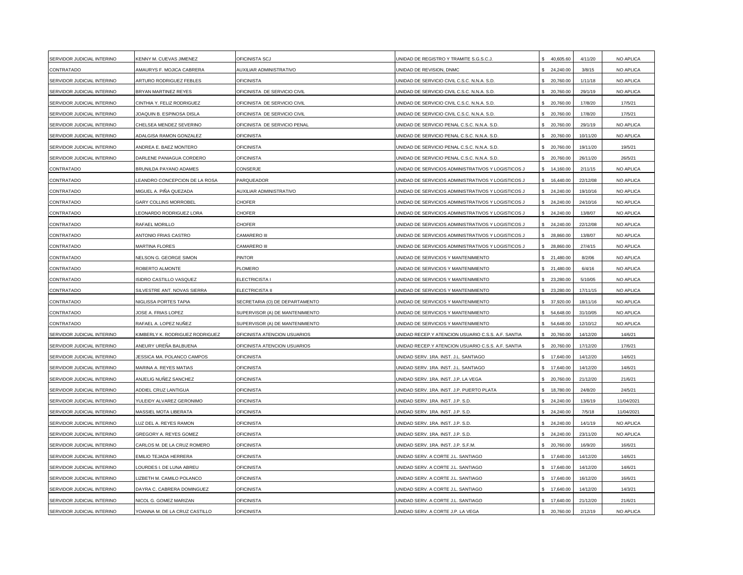| SERVIDOR JUDICIAL INTERINO | KENNY M. CUEVAS JIMENEZ              | OFICINISTA SCJ                  | UNIDAD DE REGISTRO Y TRAMITE S.G.S.C.J             | 40,605.60        | 4/11/20  | NO APLICA  |
|----------------------------|--------------------------------------|---------------------------------|----------------------------------------------------|------------------|----------|------------|
| CONTRATADO                 | AMAURYS F. MOJICA CABRERA            | AUXILIAR ADMINISTRATIVO         | UNIDAD DE REVISION, DNMC                           | 24,240.00<br>\$. | 3/8/15   | NO APLICA  |
| SERVIDOR JUDICIAL INTERINO | ARTURO RODRIGUEZ FEBLES              | <b>OFICINISTA</b>               | UNIDAD DE SERVICIO CIVIL C.S.C. N.N.A. S.D.        | 20,760.00        | 1/11/18  | NO APLICA  |
| SERVIDOR JUDICIAL INTERINO | BRYAN MARTINEZ REYES                 | OFICINISTA DE SERVICIO CIVIL    | UNIDAD DE SERVICIO CIVIL C.S.C. N.N.A. S.D.        | \$ 20,760.00     | 29/1/19  | NO APLICA  |
| SERVIDOR JUDICIAL INTERINO | CINTHIA Y. FELIZ RODRIGUEZ           | OFICINISTA DE SERVICIO CIVIL    | UNIDAD DE SERVICIO CIVIL C.S.C. N.N.A. S.D.        | \$ 20,760.00     | 17/8/20  | 17/5/21    |
| SERVIDOR JUDICIAL INTERINO | JOAQUIN B. ESPINOSA DISLA            | OFICINISTA DE SERVICIO CIVIL    | UNIDAD DE SERVICIO CIVIL C.S.C. N.N.A. S.D.        | \$ 20,760.00     | 17/8/20  | 17/5/21    |
| SERVIDOR JUDICIAL INTERINO | CHELSEA MENDEZ SEVERINO              | OFICINISTA DE SERVICIO PENAL    | JNIDAD DE SERVICIO PENAL C.S.C. N.N.A. S.D.        | \$ 20,760.00     | 29/1/19  | NO APLICA  |
| SERVIDOR JUDICIAL INTERINO | ADALGISA RAMON GONZALEZ              | <b>OFICINISTA</b>               | UNIDAD DE SERVICIO PENAL C.S.C. N.N.A. S.D.        | \$ 20,760.00     | 10/11/20 | NO APLICA  |
| SERVIDOR JUDICIAL INTERINO | ANDREA E. BAEZ MONTERO               | <b>OFICINISTA</b>               | UNIDAD DE SERVICIO PENAL C.S.C. N.N.A. S.D.        | 20,760.00        | 19/11/20 | 19/5/21    |
| SERVIDOR JUDICIAL INTERINO | DARLENE PANIAGUA CORDERO             | OFICINISTA                      | UNIDAD DE SERVICIO PENAL C.S.C. N.N.A. S.D.        | 20,760.00        | 26/11/20 | 26/5/21    |
| CONTRATADO                 | BRUNILDA PAYANO ADAMES               | CONSERJE                        | UNIDAD DE SERVICIOS ADMINISTRATIVOS Y LOGISTICOS J | 14,160.00<br>\$  | 2/11/15  | NO APLICA  |
| CONTRATADO                 | <b>LEANDRO CONCEPCION DE LA ROSA</b> | PARQUEADOR                      | UNIDAD DE SERVICIOS ADMINISTRATIVOS Y LOGISTICOS J | 16,440.00        | 22/12/08 | NO APLICA  |
| CONTRATADO                 | MIGUEL A. PIÑA QUEZADA               | AUXILIAR ADMINISTRATIVO         | UNIDAD DE SERVICIOS ADMINISTRATIVOS Y LOGISTICOS J | \$24,240.00      | 19/10/16 | NO APLICA  |
| CONTRATADO                 | <b>GARY COLLINS MORROBEL</b>         | <b>CHOFER</b>                   | UNIDAD DE SERVICIOS ADMINISTRATIVOS Y LOGISTICOS J | \$24,240.00      | 24/10/16 | NO APLICA  |
| CONTRATADO                 | <b>EONARDO RODRIGUEZ LORA</b>        | <b>CHOFER</b>                   | UNIDAD DE SERVICIOS ADMINISTRATIVOS Y LOGISTICOS J | \$24,240.00      | 13/8/07  | NO APLICA  |
| CONTRATADO                 | RAFAEL MORILLO                       | CHOFER                          | UNIDAD DE SERVICIOS ADMINISTRATIVOS Y LOGISTICOS J | \$24,240.00      | 22/12/08 | NO APLICA  |
| CONTRATADO                 | ANTONIO FRIAS CASTRO                 | CAMARERO III                    | UNIDAD DE SERVICIOS ADMINISTRATIVOS Y LOGISTICOS J | 28,860.00        | 13/8/07  | NO APLICA  |
| CONTRATADO                 | <b>MARTINA FLORES</b>                | CAMARERO III                    | UNIDAD DE SERVICIOS ADMINISTRATIVOS Y LOGISTICOS J | \$ 28,860.00     | 27/4/15  | NO APLICA  |
| CONTRATADO                 | NELSON G. GEORGE SIMON               | PINTOR                          | UNIDAD DE SERVICIOS Y MANTENIMIENTO                | 21,480.00        | 8/2/06   | NO APLICA  |
| CONTRATADO                 | ROBERTO ALMONTE                      | PLOMERO                         | UNIDAD DE SERVICIOS Y MANTENIMIENTO                | 21,480.00        | 6/4/16   | NO APLICA  |
| CONTRATADO                 | SIDRO CASTILLO VASQUEZ               | ELECTRICISTA I                  | JNIDAD DE SERVICIOS Y MANTENIMIENTO                | 23,280.00        | 5/10/05  | NO APLICA  |
| CONTRATADO                 | SILVESTRE ANT. NOVAS SIERRA          | <b>ELECTRICISTA II</b>          | JNIDAD DE SERVICIOS Y MANTENIMIENTO                | \$ 23,280.00     | 17/11/15 | NO APLICA  |
| CONTRATADO                 | <b>NIGLISSA PORTES TAPIA</b>         | SECRETARIA (O) DE DEPARTAMENTO  | UNIDAD DE SERVICIOS Y MANTENIMIENTO                | \$ 37,920.00     | 18/11/16 | NO APLICA  |
| CONTRATADO                 | <b>JOSE A. FRIAS LOPEZ</b>           | SUPERVISOR (A) DE MANTENIMIENTO | UNIDAD DE SERVICIOS Y MANTENIMIENTO                | 54,648.00<br>\$. | 31/10/05 | NO APLICA  |
| CONTRATADO                 | RAFAEL A. LOPEZ NUÑEZ                | SUPERVISOR (A) DE MANTENIMIENTO | UNIDAD DE SERVICIOS Y MANTENIMIENTO                | 54,648.00<br>\$. | 12/10/12 | NO APLICA  |
| SERVIDOR JUDICIAL INTERINO | (IMBERLY K. RODRIGUEZ RODRIGUEZ      | OFICINISTA ATENCION USUARIOS    | JNIDAD RECEP.Y ATENCION USUARIO C.S.S. A.F. SANTIA | 20,760.00        | 14/12/20 | 14/6/21    |
| SERVIDOR JUDICIAL INTERINO | ANEURY UREÑA BALBUENA                | OFICINISTA ATENCION USUARIOS    | UNIDAD RECEP.Y ATENCION USUARIO C.S.S. A.F. SANTIA | 20,760.00<br>\$. | 17/12/20 | 17/6/21    |
| SERVIDOR JUDICIAL INTERINO | JESSICA MA. POLANCO CAMPOS           | OFICINISTA                      | UNIDAD SERV. 1RA. INST. J.L. SANTIAGO              | 17,640.00        | 14/12/20 | 14/6/21    |
| SERVIDOR JUDICIAL INTERINO | <b>MARINA A. REYES MATIAS</b>        | <b>OFICINISTA</b>               | UNIDAD SERV. 1RA. INST. J.L. SANTIAGO              | \$ 17,640.00     | 14/12/20 | 14/6/21    |
| SERVIDOR JUDICIAL INTERINO | ANJELIG NUÑEZ SANCHEZ                | <b>OFICINISTA</b>               | JNIDAD SERV. 1RA. INST. J.P. LA VEGA               | \$ 20,760.00     | 21/12/20 | 21/6/21    |
| SERVIDOR JUDICIAL INTERINO | ADDIEL CRUZ LANTIGUA                 | <b>OFICINISTA</b>               | UNIDAD SERV. 1RA. INST. J.P. PUERTO PLATA          | \$18,780.00      | 24/8/20  | 24/5/21    |
| SERVIDOR JUDICIAL INTERINO | YULEIDY ALVAREZ GERONIMO             | <b>OFICINISTA</b>               | UNIDAD SERV. 1RA. INST. J.P. S.D.                  | \$24,240.00      | 13/6/19  | 11/04/2021 |
| SERVIDOR JUDICIAL INTERINO | MASSIEL MOTA LIBERATA                | <b>OFICINISTA</b>               | UNIDAD SERV. 1RA. INST. J.P. S.D.                  | 24,240.00<br>\$. | 7/5/18   | 11/04/2021 |
| SERVIDOR JUDICIAL INTERINO | UZ DEL A. REYES RAMON                | <b>OFICINISTA</b>               | UNIDAD SERV. 1RA. INST. J.P. S.D.                  | 24,240.00<br>\$. | 14/1/19  | NO APLICA  |
| SERVIDOR JUDICIAL INTERINO | GREGORY A. REYES GOMEZ               | <b>OFICINISTA</b>               | UNIDAD SERV. 1RA. INST. J.P. S.D.                  | 24,240.00        | 23/11/20 | NO APLICA  |
| SERVIDOR JUDICIAL INTERINO | CARLOS M. DE LA CRUZ ROMERO          | OFICINISTA                      | UNIDAD SERV. 1RA. INST. J.P. S.F.M.                | 20,760.00        | 16/9/20  | 16/6/21    |
| SERVIDOR JUDICIAL INTERINO | EMILIO TEJADA HERRERA                | OFICINISTA                      | UNIDAD SERV. A CORTE J.L. SANTIAGO                 | 17,640.00        | 14/12/20 | 14/6/21    |
| SERVIDOR JUDICIAL INTERINO | OURDES I. DE LUNA ABREU              | <b>OFICINISTA</b>               | UNIDAD SERV. A CORTE J.L. SANTIAGO                 | \$ 17,640.00     | 14/12/20 | 14/6/21    |
| SERVIDOR JUDICIAL INTERINO | IZBETH M. CAMILO POLANCO             | <b>OFICINISTA</b>               | UNIDAD SERV. A CORTE J.L. SANTIAGO                 | \$ 17,640.00     | 16/12/20 | 16/6/21    |
| SERVIDOR JUDICIAL INTERINO | DAYRA C. CABRERA DOMINGUEZ           | <b>OFICINISTA</b>               | JNIDAD SERV. A CORTE J.L. SANTIAGO                 | \$ 17,640.00     | 14/12/20 | 14/3/21    |
| SERVIDOR JUDICIAL INTERINO | NICOL G. GOMEZ MARIZAN               | <b>OFICINISTA</b>               | UNIDAD SERV. A CORTE J.L. SANTIAGO                 | 17,640.00<br>\$. | 21/12/20 | 21/6/21    |
| SERVIDOR JUDICIAL INTERINO | YOANNA M. DE LA CRUZ CASTILLO        | <b>OFICINISTA</b>               | UNIDAD SERV. A CORTE J.P. LA VEGA                  | 20,760.00<br>\$. | 2/12/19  | NO APLICA  |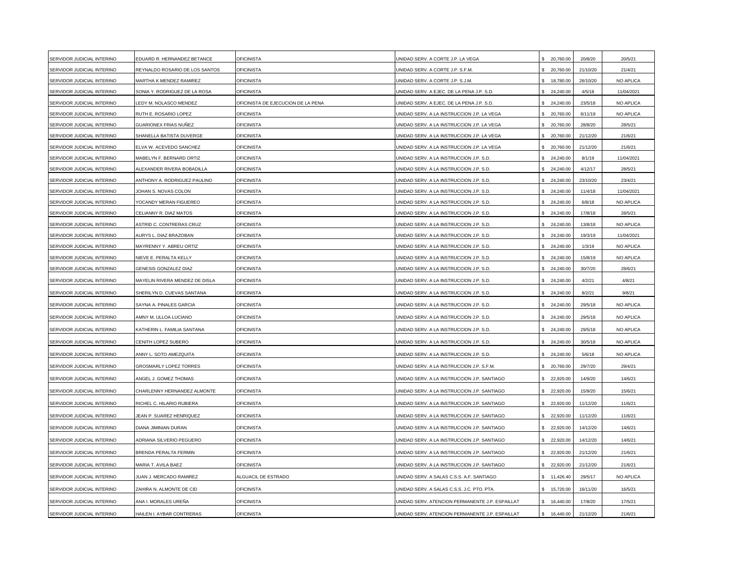| SERVIDOR JUDICIAL INTERINO | EDUARD R. HERNANDEZ BETANCE       | <b>OFICINISTA</b>                  | UNIDAD SERV. A CORTE J.P. LA VEGA               | 20,760.00        | 20/8/20  | 20/5/21    |
|----------------------------|-----------------------------------|------------------------------------|-------------------------------------------------|------------------|----------|------------|
| SERVIDOR JUDICIAL INTERINO | REYNALDO ROSARIO DE LOS SANTOS    | <b>OFICINISTA</b>                  | UNIDAD SERV. A CORTE J.P. S.F.M.                | \$ 20,760.00     | 21/10/20 | 21/4/21    |
| SERVIDOR JUDICIAL INTERINO | MARTHA K MENDEZ RAMIREZ           | OFICINISTA                         | UNIDAD SERV. A CORTE J.P. S.J.M.                | 18,780.00        | 26/10/20 | NO APLICA  |
| SERVIDOR JUDICIAL INTERINO | SONIA Y. RODRIGUEZ DE LA ROSA     | <b>OFICINISTA</b>                  | UNIDAD SERV. A EJEC. DE LA PENA J.P. S.D.       | 24,240.00        | 4/5/18   | 11/04/2021 |
| SERVIDOR JUDICIAL INTERINO | LEDY M. NOLASCO MENDEZ            | OFICINISTA DE EJECUCION DE LA PENA | UNIDAD SERV. A EJEC. DE LA PENA J.P. S.D.       | 24,240.00        | 23/5/18  | NO APLICA  |
| SERVIDOR JUDICIAL INTERINO | RUTH E. ROSARIO LOPEZ             | <b>OFICINISTA</b>                  | UNIDAD SERV. A LA INSTRUCCION J.P. LA VEGA      | 20,760.00        | 6/11/19  | NO APLICA  |
| SERVIDOR JUDICIAL INTERINO | GUARIONEX FRIAS NUÑEZ             | <b>OFICINISTA</b>                  | JNIDAD SERV. A LA INSTRUCCION J.P. LA VEGA      | 20,760.00        | 28/8/20  | 28/5/21    |
| SERVIDOR JUDICIAL INTERINO | SHANELLA BATISTA DUVERGE          | <b>OFICINISTA</b>                  | UNIDAD SERV. A LA INSTRUCCION J.P. LA VEGA      | 20,760.00        | 21/12/20 | 21/6/21    |
| SERVIDOR JUDICIAL INTERINO | ELVA W. ACEVEDO SANCHEZ           | <b>OFICINISTA</b>                  | JNIDAD SERV. A LA INSTRUCCION J.P. LA VEGA      | 20,760.00        | 21/12/20 | 21/6/21    |
| SERVIDOR JUDICIAL INTERINO | MABELYN F. BERNARD ORTIZ          | <b>OFICINISTA</b>                  | UNIDAD SERV. A LA INSTRUCCION J.P. S.D.         | 24,240.00        | 8/1/19   | 11/04/2021 |
| SERVIDOR JUDICIAL INTERINO | <b>ILEXANDER RIVERA BOBADILLA</b> | <b>OFICINISTA</b>                  | UNIDAD SERV. A LA INSTRUCCION J.P. S.D.         | 24,240.00        | 4/12/17  | 28/5/21    |
| SERVIDOR JUDICIAL INTERINO | ANTHONY A. RODRIGUEZ PAULINO      | <b>OFICINISTA</b>                  | UNIDAD SERV. A LA INSTRUCCION J.P. S.D.         | 24,240.00        | 23/10/20 | 23/4/21    |
| SERVIDOR JUDICIAL INTERINO | <b>JOHAN S. NOVAS COLON</b>       | <b>OFICINISTA</b>                  | UNIDAD SERV. A LA INSTRUCCION J.P. S.D.         | 24,240.00        | 11/4/18  | 11/04/2021 |
| SERVIDOR JUDICIAL INTERINO | YOCANDY MERAN FIGUEREO            | <b>OFICINISTA</b>                  | UNIDAD SERV. A LA INSTRUCCION J.P. S.D.         | 24,240.00        | 6/8/18   | NO APLICA  |
| SERVIDOR JUDICIAL INTERINO | CELIANNY R. DIAZ MATOS            | OFICINISTA                         | UNIDAD SERV. A LA INSTRUCCION J.P. S.D.         | 24,240.00        | 17/8/18  | 28/5/21    |
| SERVIDOR JUDICIAL INTERINO | ASTRID C. CONTRERAS CRUZ          | <b>OFICINISTA</b>                  | UNIDAD SERV. A LA INSTRUCCION J.P. S.D.         | 24,240.00        | 13/8/18  | NO APLICA  |
| SERVIDOR JUDICIAL INTERINO | AURYS L. DIAZ BRAZOBAN            | <b>OFICINISTA</b>                  | UNIDAD SERV. A LA INSTRUCCION J.P. S.D.         | 24,240.00        | 19/3/19  | 11/04/2021 |
| SERVIDOR JUDICIAL INTERINO | MAYRENNY Y. ABREU ORTIZ           | <b>OFICINISTA</b>                  | UNIDAD SERV. A LA INSTRUCCION J.P. S.D.         | 24,240.00        | 1/3/19   | NO APLICA  |
| SERVIDOR JUDICIAL INTERINO | NIEVE E. PERALTA KELLY            | <b>OFICINISTA</b>                  | UNIDAD SERV. A LA INSTRUCCION J.P. S.D.         | 24,240.00        | 15/8/19  | NO APLICA  |
| SERVIDOR JUDICIAL INTERINO | <b>GENESIS GONZALEZ DIAZ</b>      | <b>OFICINISTA</b>                  | JNIDAD SERV. A LA INSTRUCCION J.P. S.D.         | 24,240.00        | 30/7/20  | 28/6/21    |
| SERVIDOR JUDICIAL INTERINO | MAYELIN RIVERA MENDEZ DE DISLA    | <b>OFICINISTA</b>                  | UNIDAD SERV. A LA INSTRUCCION J.P. S.D.         | 24,240.00        | 4/2/21   | 4/8/21     |
| SERVIDOR JUDICIAL INTERINO | SHERILYN D. CUEVAS SANTANA        | <b>OFICINISTA</b>                  | UNIDAD SERV. A LA INSTRUCCION J.P. S.D.         | 24,240.00        | 8/2/21   | 9/8/21     |
| SERVIDOR JUDICIAL INTERINO | SAYNA A. PINALES GARCIA           | <b>OFICINISTA</b>                  | UNIDAD SERV. A LA INSTRUCCION J.P. S.D.         | 24,240.00        | 29/5/18  | NO APLICA  |
| SERVIDOR JUDICIAL INTERINO | AMNY M. ULLOA LUCIANO             | <b>OFICINISTA</b>                  | UNIDAD SERV. A LA INSTRUCCION J.P. S.D.         | 24,240.00        | 29/5/18  | NO APLICA  |
| SERVIDOR JUDICIAL INTERINO | KATHERIN L. FAMILIA SANTANA       | <b>OFICINISTA</b>                  | UNIDAD SERV. A LA INSTRUCCION J.P. S.D.         | 24,240.00        | 29/5/18  | NO APLICA  |
| SERVIDOR JUDICIAL INTERINO | CENITH LOPEZ SUBERO               | <b>OFICINISTA</b>                  | UNIDAD SERV. A LA INSTRUCCION J.P. S.D.         | 24,240.00        | 30/5/18  | NO APLICA  |
| SERVIDOR JUDICIAL INTERINO | ANNY L. SOTO AMEZQUITA            | <b>OFICINISTA</b>                  | UNIDAD SERV. A LA INSTRUCCION J.P. S.D.         | 24,240.00        | 5/6/18   | NO APLICA  |
| SERVIDOR JUDICIAL INTERINO | <b>GROSMARLY LOPEZ TORRES</b>     | <b>OFICINISTA</b>                  | UNIDAD SERV. A LA INSTRUCCION J.P. S.F.M.       | \$20,760.00      | 29/7/20  | 29/4/21    |
| SERVIDOR JUDICIAL INTERINO | ANGEL J. GOMEZ THOMAS             | <b>OFICINISTA</b>                  | UNIDAD SERV. A LA INSTRUCCION J.P. SANTIAGO     | 22,920.00        | 14/9/20  | 14/6/21    |
| SERVIDOR JUDICIAL INTERINO | CHARLENNY HERNANDEZ ALMONTE       | <b>OFICINISTA</b>                  | UNIDAD SERV. A LA INSTRUCCION J.P. SANTIAGO     | 22,920.00        | 15/9/20  | 15/6/21    |
| SERVIDOR JUDICIAL INTERINO | RICHEL C. HILARIO RUBIERA         | <b>OFICINISTA</b>                  | UNIDAD SERV. A LA INSTRUCCION J.P. SANTIAGO     | 22,920.00        | 11/12/20 | 11/6/21    |
| SERVIDOR JUDICIAL INTERINO | JEAN P. SUAREZ HENRIQUEZ          | <b>OFICINISTA</b>                  | UNIDAD SERV. A LA INSTRUCCION J.P. SANTIAGO     | 22,920.00        | 11/12/20 | 11/6/21    |
| SERVIDOR JUDICIAL INTERINO | DIANA JIMINIAN DURAN              | <b>OFICINISTA</b>                  | UNIDAD SERV. A LA INSTRUCCION J.P. SANTIAGO     | 22,920.00        | 14/12/20 | 14/6/21    |
| SERVIDOR JUDICIAL INTERINO | ADRIANA SILVERIO PEGUERO          | <b>OFICINISTA</b>                  | UNIDAD SERV. A LA INSTRUCCION J.P. SANTIAGO     | 22,920.00        | 14/12/20 | 14/6/21    |
| SERVIDOR JUDICIAL INTERINO | BRENDA PERALTA FERMIN             | <b>OFICINISTA</b>                  | UNIDAD SERV. A LA INSTRUCCION J.P. SANTIAGO     | 22,920.00        | 21/12/20 | 21/6/21    |
| SERVIDOR JUDICIAL INTERINO | MARIA T. AVILA BAEZ               | <b>OFICINISTA</b>                  | UNIDAD SERV. A LA INSTRUCCION J.P. SANTIAGO     | 22,920.00        | 21/12/20 | 21/6/21    |
| SERVIDOR JUDICIAL INTERINO | JUAN J. MERCADO RAMIREZ           | ALGUACIL DE ESTRADO                | UNIDAD SERV. A SALAS C.S.S. A.F. SANTIAGO       | 11,426.40        | 29/5/17  | NO APLICA  |
| SERVIDOR JUDICIAL INTERINO | ZAHIRA N. ALMONTE DE CID          | <b>OFICINISTA</b>                  | UNIDAD SERV. A SALAS C.S.S. J.C. PTO. PTA       | 15,720.00<br>\$. | 16/11/20 | 16/5/21    |
| SERVIDOR JUDICIAL INTERINO | ANA I. MORALES UREÑA              | <b>OFICINISTA</b>                  | UNIDAD SERV. ATENCION PERMANENTE J.P. ESPAILLAT | 16,440,00<br>\$  | 17/8/20  | 17/5/21    |
| SERVIDOR JUDICIAL INTERINO | HAILEN I. AYBAR CONTRERAS         | <b>OFICINISTA</b>                  | UNIDAD SERV. ATENCION PERMANENTE J.P. ESPAILLAT | 16,440.00<br>\$  | 21/12/20 | 21/6/21    |